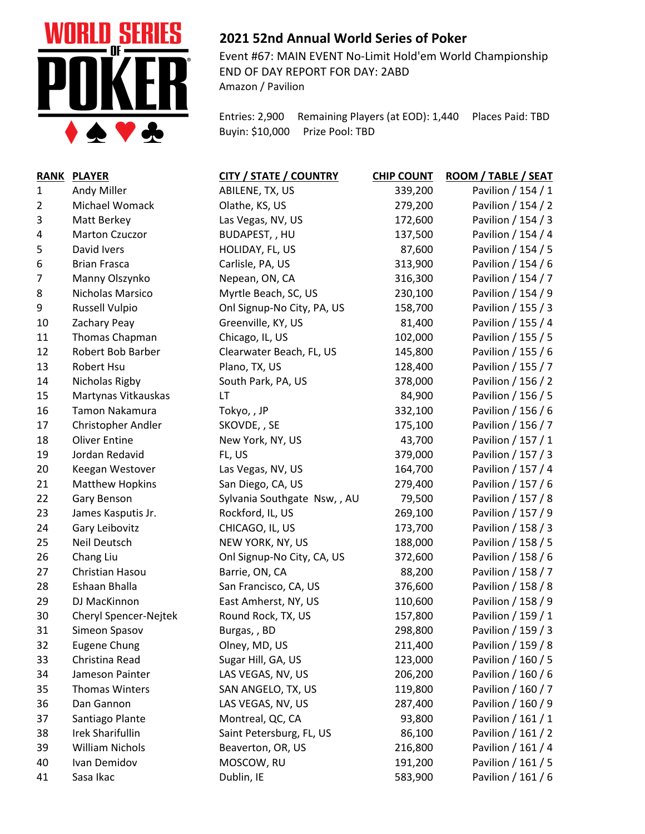

## **2021 52nd Annual World Series of Poker**

Event #67: MAIN EVENT No-Limit Hold'em World Championship END OF DAY REPORT FOR DAY: 2ABD Amazon / Pavilion

Entries: 2,900 Remaining Players (at EOD): 1,440 Places Paid: TBD Buyin: \$10,000 Prize Pool: TBD

| <b>RANK</b>    | <b>PLAYER</b>             | <b>CITY / STATE / COUNTRY</b> | <b>CHIP COUNT</b> | ROOM / TABLE / SEAT |
|----------------|---------------------------|-------------------------------|-------------------|---------------------|
| 1              | Andy Miller               | ABILENE, TX, US               | 339,200           | Pavilion / 154 / 1  |
| $\overline{2}$ | Michael Womack            | Olathe, KS, US                | 279,200           | Pavilion / 154 / 2  |
| 3              | Matt Berkey               | Las Vegas, NV, US             | 172,600           | Pavilion / 154 / 3  |
| 4              | Marton Czuczor            | BUDAPEST, , HU                | 137,500           | Pavilion / 154 / 4  |
| 5              | David Ivers               | HOLIDAY, FL, US               | 87,600            | Pavilion / 154 / 5  |
| 6              | <b>Brian Frasca</b>       | Carlisle, PA, US              | 313,900           | Pavilion / 154 / 6  |
| $\overline{7}$ | Manny Olszynko            | Nepean, ON, CA                | 316,300           | Pavilion / 154 / 7  |
| 8              | Nicholas Marsico          | Myrtle Beach, SC, US          | 230,100           | Pavilion / 154 / 9  |
| 9              | <b>Russell Vulpio</b>     | Onl Signup-No City, PA, US    | 158,700           | Pavilion / 155 / 3  |
| 10             | Zachary Peay              | Greenville, KY, US            | 81,400            | Pavilion / 155 / 4  |
| 11             | Thomas Chapman            | Chicago, IL, US               | 102,000           | Pavilion / 155 / 5  |
| 12             | Robert Bob Barber         | Clearwater Beach, FL, US      | 145,800           | Pavilion / 155 / 6  |
| 13             | Robert Hsu                | Plano, TX, US                 | 128,400           | Pavilion / 155 / 7  |
| 14             | Nicholas Rigby            | South Park, PA, US            | 378,000           | Pavilion / 156 / 2  |
| 15             | Martynas Vitkauskas       | LT                            | 84,900            | Pavilion / 156 / 5  |
| 16             | Tamon Nakamura            | Tokyo,, JP                    | 332,100           | Pavilion / 156 / 6  |
| 17             | <b>Christopher Andler</b> | SKOVDE, , SE                  | 175,100           | Pavilion / 156 / 7  |
| 18             | <b>Oliver Entine</b>      | New York, NY, US              | 43,700            | Pavilion / 157 / 1  |
| 19             | Jordan Redavid            | FL, US                        | 379,000           | Pavilion / 157 / 3  |
| 20             | Keegan Westover           | Las Vegas, NV, US             | 164,700           | Pavilion / 157 / 4  |
| 21             | <b>Matthew Hopkins</b>    | San Diego, CA, US             | 279,400           | Pavilion / 157 / 6  |
| 22             | Gary Benson               | Sylvania Southgate Nsw,, AU   | 79,500            | Pavilion / 157 / 8  |
| 23             | James Kasputis Jr.        | Rockford, IL, US              | 269,100           | Pavilion / 157 / 9  |
| 24             | Gary Leibovitz            | CHICAGO, IL, US               | 173,700           | Pavilion / 158 / 3  |
| 25             | Neil Deutsch              | NEW YORK, NY, US              | 188,000           | Pavilion / 158 / 5  |
| 26             | Chang Liu                 | Onl Signup-No City, CA, US    | 372,600           | Pavilion / 158 / 6  |
| 27             | Christian Hasou           | Barrie, ON, CA                | 88,200            | Pavilion / 158 / 7  |
| 28             | Eshaan Bhalla             | San Francisco, CA, US         | 376,600           | Pavilion / 158 / 8  |
| 29             | DJ MacKinnon              | East Amherst, NY, US          | 110,600           | Pavilion / 158 / 9  |
| 30             | Cheryl Spencer-Nejtek     | Round Rock, TX, US            | 157,800           | Pavilion / 159 / 1  |
| 31             | Simeon Spasov             | Burgas,, BD                   | 298,800           | Pavilion / 159 / 3  |
| 32             | <b>Eugene Chung</b>       | Olney, MD, US                 | 211,400           | Pavilion / 159 / 8  |
| 33             | Christina Read            | Sugar Hill, GA, US            | 123,000           | Pavilion / 160 / 5  |
| 34             | Jameson Painter           | LAS VEGAS, NV, US             | 206,200           | Pavilion / 160 / 6  |
| 35             | <b>Thomas Winters</b>     | SAN ANGELO, TX, US            | 119,800           | Pavilion / 160 / 7  |
| 36             | Dan Gannon                | LAS VEGAS, NV, US             | 287,400           | Pavilion / 160 / 9  |
| 37             | Santiago Plante           | Montreal, QC, CA              | 93,800            | Pavilion / 161 / 1  |
| 38             | Irek Sharifullin          | Saint Petersburg, FL, US      | 86,100            | Pavilion / 161 / 2  |
| 39             | <b>William Nichols</b>    | Beaverton, OR, US             | 216,800           | Pavilion / 161 / 4  |
| 40             | Ivan Demidov              | MOSCOW, RU                    | 191,200           | Pavilion / 161 / 5  |
| 41             | Sasa Ikac                 | Dublin, IE                    | 583,900           | Pavilion / 161 / 6  |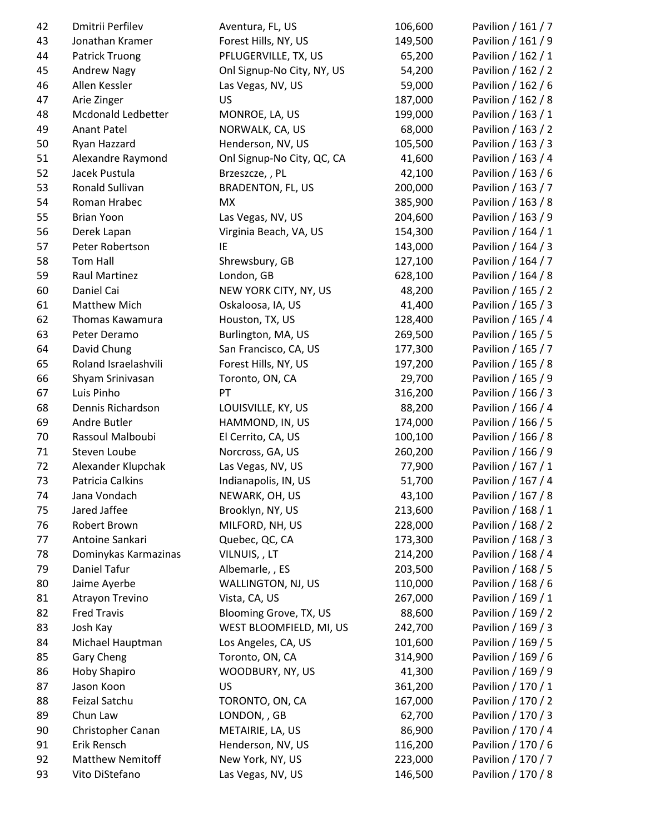| 42 | Dmitrii Perfilev        | Aventura, FL, US           | 106,600 | Pavilion / 161 / 7 |
|----|-------------------------|----------------------------|---------|--------------------|
| 43 | Jonathan Kramer         | Forest Hills, NY, US       | 149,500 | Pavilion / 161 / 9 |
| 44 | Patrick Truong          | PFLUGERVILLE, TX, US       | 65,200  | Pavilion / 162 / 1 |
| 45 | <b>Andrew Nagy</b>      | Onl Signup-No City, NY, US | 54,200  | Pavilion / 162 / 2 |
| 46 | Allen Kessler           | Las Vegas, NV, US          | 59,000  | Pavilion / 162 / 6 |
| 47 | Arie Zinger             | US                         | 187,000 | Pavilion / 162 / 8 |
| 48 | Mcdonald Ledbetter      | MONROE, LA, US             | 199,000 | Pavilion / 163 / 1 |
| 49 | <b>Anant Patel</b>      | NORWALK, CA, US            | 68,000  | Pavilion / 163 / 2 |
| 50 | Ryan Hazzard            | Henderson, NV, US          | 105,500 | Pavilion / 163 / 3 |
| 51 | Alexandre Raymond       | Onl Signup-No City, QC, CA | 41,600  | Pavilion / 163 / 4 |
| 52 | Jacek Pustula           | Brzeszcze, , PL            | 42,100  | Pavilion / 163 / 6 |
| 53 | Ronald Sullivan         | <b>BRADENTON, FL, US</b>   | 200,000 | Pavilion / 163 / 7 |
| 54 | Roman Hrabec            | MX                         | 385,900 | Pavilion / 163 / 8 |
| 55 | <b>Brian Yoon</b>       | Las Vegas, NV, US          | 204,600 | Pavilion / 163 / 9 |
| 56 | Derek Lapan             | Virginia Beach, VA, US     | 154,300 | Pavilion / 164 / 1 |
| 57 | Peter Robertson         | IE                         | 143,000 | Pavilion / 164 / 3 |
| 58 | Tom Hall                | Shrewsbury, GB             | 127,100 | Pavilion / 164 / 7 |
| 59 | Raul Martinez           | London, GB                 | 628,100 | Pavilion / 164 / 8 |
| 60 | Daniel Cai              | NEW YORK CITY, NY, US      | 48,200  | Pavilion / 165 / 2 |
| 61 | Matthew Mich            | Oskaloosa, IA, US          | 41,400  | Pavilion / 165 / 3 |
| 62 | Thomas Kawamura         | Houston, TX, US            | 128,400 | Pavilion / 165 / 4 |
| 63 | Peter Deramo            | Burlington, MA, US         | 269,500 | Pavilion / 165 / 5 |
| 64 | David Chung             | San Francisco, CA, US      | 177,300 | Pavilion / 165 / 7 |
| 65 | Roland Israelashvili    | Forest Hills, NY, US       | 197,200 | Pavilion / 165 / 8 |
| 66 | Shyam Srinivasan        | Toronto, ON, CA            | 29,700  | Pavilion / 165 / 9 |
| 67 | Luis Pinho              | PT                         | 316,200 | Pavilion / 166 / 3 |
| 68 | Dennis Richardson       | LOUISVILLE, KY, US         | 88,200  | Pavilion / 166 / 4 |
| 69 | Andre Butler            | HAMMOND, IN, US            | 174,000 | Pavilion / 166 / 5 |
| 70 | Rassoul Malboubi        | El Cerrito, CA, US         | 100,100 | Pavilion / 166 / 8 |
| 71 | Steven Loube            | Norcross, GA, US           | 260,200 | Pavilion / 166 / 9 |
| 72 | Alexander Klupchak      | Las Vegas, NV, US          | 77,900  | Pavilion / 167 / 1 |
| 73 | Patricia Calkins        | Indianapolis, IN, US       | 51,700  | Pavilion / 167 / 4 |
| 74 | Jana Vondach            | NEWARK, OH, US             | 43,100  | Pavilion / 167 / 8 |
| 75 | Jared Jaffee            | Brooklyn, NY, US           | 213,600 | Pavilion / 168 / 1 |
| 76 | Robert Brown            | MILFORD, NH, US            | 228,000 | Pavilion / 168 / 2 |
| 77 | Antoine Sankari         | Quebec, QC, CA             | 173,300 | Pavilion / 168 / 3 |
| 78 | Dominykas Karmazinas    | VILNUIS,, LT               | 214,200 | Pavilion / 168 / 4 |
| 79 | Daniel Tafur            | Albemarle, , ES            | 203,500 | Pavilion / 168 / 5 |
| 80 | Jaime Ayerbe            | WALLINGTON, NJ, US         | 110,000 | Pavilion / 168 / 6 |
| 81 | Atrayon Trevino         | Vista, CA, US              | 267,000 | Pavilion / 169 / 1 |
| 82 | <b>Fred Travis</b>      | Blooming Grove, TX, US     | 88,600  | Pavilion / 169 / 2 |
| 83 | Josh Kay                | WEST BLOOMFIELD, MI, US    | 242,700 | Pavilion / 169 / 3 |
| 84 | Michael Hauptman        | Los Angeles, CA, US        | 101,600 | Pavilion / 169 / 5 |
| 85 | Gary Cheng              | Toronto, ON, CA            | 314,900 | Pavilion / 169 / 6 |
| 86 | Hoby Shapiro            | WOODBURY, NY, US           | 41,300  | Pavilion / 169 / 9 |
| 87 | Jason Koon              | US                         | 361,200 | Pavilion / 170 / 1 |
| 88 | Feizal Satchu           | TORONTO, ON, CA            | 167,000 | Pavilion / 170 / 2 |
| 89 | Chun Law                | LONDON, , GB               | 62,700  | Pavilion / 170 / 3 |
| 90 | Christopher Canan       | METAIRIE, LA, US           | 86,900  | Pavilion / 170 / 4 |
| 91 | Erik Rensch             | Henderson, NV, US          | 116,200 | Pavilion / 170 / 6 |
| 92 | <b>Matthew Nemitoff</b> | New York, NY, US           | 223,000 | Pavilion / 170 / 7 |
| 93 | Vito DiStefano          | Las Vegas, NV, US          | 146,500 | Pavilion / 170 / 8 |
|    |                         |                            |         |                    |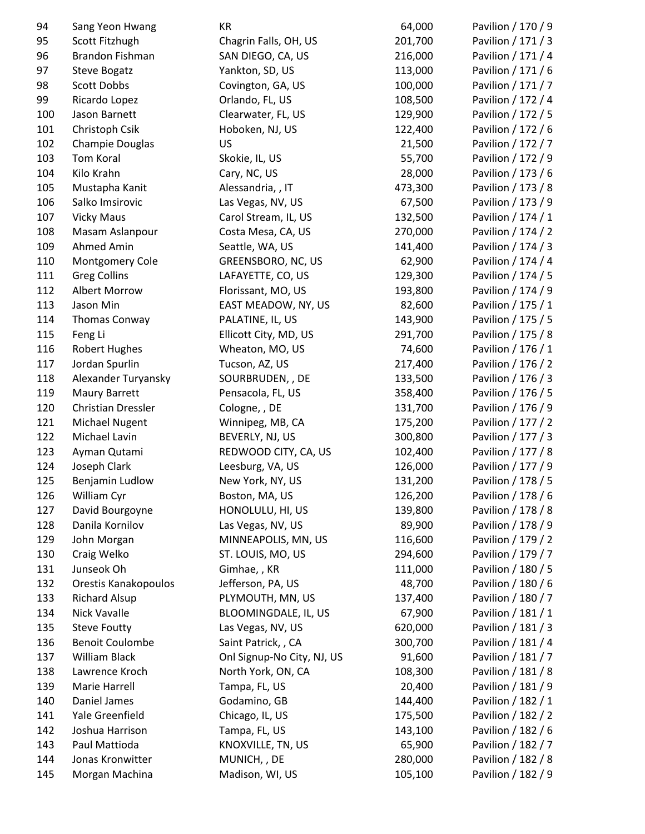| 94  | Sang Yeon Hwang           | КR                         | 64,000  | Pavilion / 170 / 9 |
|-----|---------------------------|----------------------------|---------|--------------------|
| 95  | Scott Fitzhugh            | Chagrin Falls, OH, US      | 201,700 | Pavilion / 171 / 3 |
| 96  | Brandon Fishman           | SAN DIEGO, CA, US          | 216,000 | Pavilion / 171 / 4 |
| 97  | <b>Steve Bogatz</b>       | Yankton, SD, US            | 113,000 | Pavilion / 171 / 6 |
| 98  | <b>Scott Dobbs</b>        | Covington, GA, US          | 100,000 | Pavilion / 171 / 7 |
| 99  | Ricardo Lopez             | Orlando, FL, US            | 108,500 | Pavilion / 172 / 4 |
| 100 | Jason Barnett             | Clearwater, FL, US         | 129,900 | Pavilion / 172 / 5 |
| 101 | Christoph Csik            | Hoboken, NJ, US            | 122,400 | Pavilion / 172 / 6 |
| 102 | Champie Douglas           | US                         | 21,500  | Pavilion / 172 / 7 |
| 103 | Tom Koral                 | Skokie, IL, US             | 55,700  | Pavilion / 172 / 9 |
| 104 | Kilo Krahn                | Cary, NC, US               | 28,000  | Pavilion / 173 / 6 |
| 105 | Mustapha Kanit            | Alessandria, , IT          | 473,300 | Pavilion / 173 / 8 |
| 106 | Salko Imsirovic           | Las Vegas, NV, US          | 67,500  | Pavilion / 173 / 9 |
| 107 | <b>Vicky Maus</b>         | Carol Stream, IL, US       | 132,500 | Pavilion / 174 / 1 |
| 108 | Masam Aslanpour           | Costa Mesa, CA, US         | 270,000 | Pavilion / 174 / 2 |
| 109 | Ahmed Amin                | Seattle, WA, US            | 141,400 | Pavilion / 174 / 3 |
| 110 | Montgomery Cole           | GREENSBORO, NC, US         | 62,900  | Pavilion / 174 / 4 |
| 111 | <b>Greg Collins</b>       | LAFAYETTE, CO, US          | 129,300 | Pavilion / 174 / 5 |
| 112 | Albert Morrow             | Florissant, MO, US         | 193,800 | Pavilion / 174 / 9 |
| 113 | Jason Min                 | EAST MEADOW, NY, US        | 82,600  | Pavilion / 175 / 1 |
| 114 | Thomas Conway             | PALATINE, IL, US           | 143,900 | Pavilion / 175 / 5 |
| 115 | Feng Li                   | Ellicott City, MD, US      | 291,700 | Pavilion / 175 / 8 |
| 116 | <b>Robert Hughes</b>      | Wheaton, MO, US            | 74,600  | Pavilion / 176 / 1 |
| 117 | Jordan Spurlin            | Tucson, AZ, US             | 217,400 | Pavilion / 176 / 2 |
| 118 | Alexander Turyansky       | SOURBRUDEN, , DE           | 133,500 | Pavilion / 176 / 3 |
| 119 | Maury Barrett             | Pensacola, FL, US          | 358,400 | Pavilion / 176 / 5 |
| 120 | <b>Christian Dressler</b> | Cologne, , DE              | 131,700 | Pavilion / 176 / 9 |
| 121 | <b>Michael Nugent</b>     | Winnipeg, MB, CA           | 175,200 | Pavilion / 177 / 2 |
| 122 | Michael Lavin             | BEVERLY, NJ, US            | 300,800 | Pavilion / 177 / 3 |
| 123 | Ayman Qutami              | REDWOOD CITY, CA, US       | 102,400 | Pavilion / 177 / 8 |
| 124 | Joseph Clark              | Leesburg, VA, US           | 126,000 | Pavilion / 177 / 9 |
| 125 | Benjamin Ludlow           | New York, NY, US           | 131,200 | Pavilion / 178 / 5 |
| 126 | William Cyr               | Boston, MA, US             | 126,200 | Pavilion / 178 / 6 |
| 127 | David Bourgoyne           | HONOLULU, HI, US           | 139,800 | Pavilion / 178 / 8 |
| 128 | Danila Kornilov           | Las Vegas, NV, US          | 89,900  | Pavilion / 178 / 9 |
| 129 | John Morgan               | MINNEAPOLIS, MN, US        | 116,600 | Pavilion / 179 / 2 |
| 130 | Craig Welko               | ST. LOUIS, MO, US          | 294,600 | Pavilion / 179 / 7 |
| 131 | Junseok Oh                | Gimhae, , KR               | 111,000 | Pavilion / 180 / 5 |
| 132 | Orestis Kanakopoulos      | Jefferson, PA, US          | 48,700  | Pavilion / 180 / 6 |
| 133 | <b>Richard Alsup</b>      | PLYMOUTH, MN, US           | 137,400 | Pavilion / 180 / 7 |
| 134 | Nick Vavalle              | BLOOMINGDALE, IL, US       | 67,900  | Pavilion / 181 / 1 |
| 135 | <b>Steve Foutty</b>       | Las Vegas, NV, US          | 620,000 | Pavilion / 181 / 3 |
| 136 | <b>Benoit Coulombe</b>    | Saint Patrick, , CA        | 300,700 | Pavilion / 181 / 4 |
| 137 | William Black             | Onl Signup-No City, NJ, US | 91,600  | Pavilion / 181 / 7 |
| 138 | Lawrence Kroch            | North York, ON, CA         | 108,300 | Pavilion / 181 / 8 |
| 139 | Marie Harrell             | Tampa, FL, US              | 20,400  | Pavilion / 181 / 9 |
| 140 | Daniel James              | Godamino, GB               | 144,400 | Pavilion / 182 / 1 |
| 141 | Yale Greenfield           | Chicago, IL, US            | 175,500 | Pavilion / 182 / 2 |
| 142 | Joshua Harrison           | Tampa, FL, US              | 143,100 | Pavilion / 182 / 6 |
| 143 | Paul Mattioda             | KNOXVILLE, TN, US          | 65,900  | Pavilion / 182 / 7 |
| 144 | Jonas Kronwitter          | MUNICH, , DE               | 280,000 | Pavilion / 182 / 8 |
| 145 | Morgan Machina            | Madison, WI, US            | 105,100 | Pavilion / 182 / 9 |
|     |                           |                            |         |                    |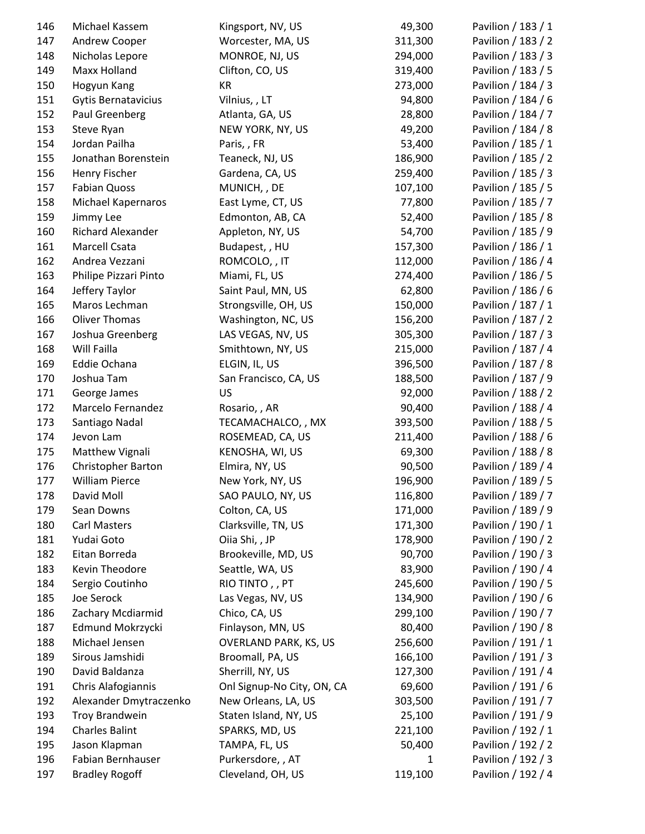| 146 | Michael Kassem             | Kingsport, NV, US            | 49,300       | Pavilion / 183 / 1 |
|-----|----------------------------|------------------------------|--------------|--------------------|
| 147 | Andrew Cooper              | Worcester, MA, US            | 311,300      | Pavilion / 183 / 2 |
| 148 | Nicholas Lepore            | MONROE, NJ, US               | 294,000      | Pavilion / 183 / 3 |
| 149 | Maxx Holland               | Clifton, CO, US              | 319,400      | Pavilion / 183 / 5 |
| 150 | Hogyun Kang                | KR                           | 273,000      | Pavilion / 184 / 3 |
| 151 | <b>Gytis Bernatavicius</b> | Vilnius, , LT                | 94,800       | Pavilion / 184 / 6 |
| 152 | Paul Greenberg             | Atlanta, GA, US              | 28,800       | Pavilion / 184 / 7 |
| 153 | Steve Ryan                 | NEW YORK, NY, US             | 49,200       | Pavilion / 184 / 8 |
| 154 | Jordan Pailha              | Paris, , FR                  | 53,400       | Pavilion / 185 / 1 |
| 155 | Jonathan Borenstein        | Teaneck, NJ, US              | 186,900      | Pavilion / 185 / 2 |
| 156 | Henry Fischer              | Gardena, CA, US              | 259,400      | Pavilion / 185 / 3 |
| 157 | <b>Fabian Quoss</b>        | MUNICH, , DE                 | 107,100      | Pavilion / 185 / 5 |
| 158 | Michael Kapernaros         | East Lyme, CT, US            | 77,800       | Pavilion / 185 / 7 |
| 159 | Jimmy Lee                  | Edmonton, AB, CA             | 52,400       | Pavilion / 185 / 8 |
| 160 | Richard Alexander          | Appleton, NY, US             | 54,700       | Pavilion / 185 / 9 |
| 161 | Marcell Csata              | Budapest, , HU               | 157,300      | Pavilion / 186 / 1 |
| 162 | Andrea Vezzani             | ROMCOLO, , IT                | 112,000      | Pavilion / 186 / 4 |
| 163 | Philipe Pizzari Pinto      | Miami, FL, US                | 274,400      | Pavilion / 186 / 5 |
| 164 | Jeffery Taylor             | Saint Paul, MN, US           | 62,800       | Pavilion / 186 / 6 |
| 165 | Maros Lechman              | Strongsville, OH, US         | 150,000      | Pavilion / 187 / 1 |
| 166 | <b>Oliver Thomas</b>       | Washington, NC, US           | 156,200      | Pavilion / 187 / 2 |
| 167 | Joshua Greenberg           | LAS VEGAS, NV, US            | 305,300      | Pavilion / 187 / 3 |
| 168 | Will Failla                | Smithtown, NY, US            | 215,000      | Pavilion / 187 / 4 |
| 169 | Eddie Ochana               | ELGIN, IL, US                | 396,500      | Pavilion / 187 / 8 |
| 170 | Joshua Tam                 | San Francisco, CA, US        | 188,500      | Pavilion / 187 / 9 |
| 171 | George James               | US                           | 92,000       | Pavilion / 188 / 2 |
| 172 | Marcelo Fernandez          | Rosario, , AR                | 90,400       | Pavilion / 188 / 4 |
| 173 | Santiago Nadal             | TECAMACHALCO, , MX           | 393,500      | Pavilion / 188 / 5 |
| 174 | Jevon Lam                  | ROSEMEAD, CA, US             | 211,400      | Pavilion / 188 / 6 |
| 175 | Matthew Vignali            | KENOSHA, WI, US              | 69,300       | Pavilion / 188 / 8 |
| 176 | <b>Christopher Barton</b>  | Elmira, NY, US               | 90,500       | Pavilion / 189 / 4 |
| 177 | <b>William Pierce</b>      | New York, NY, US             | 196,900      | Pavilion / 189 / 5 |
| 178 | David Moll                 | SAO PAULO, NY, US            | 116,800      | Pavilion / 189 / 7 |
| 179 | Sean Downs                 | Colton, CA, US               | 171,000      | Pavilion / 189 / 9 |
| 180 | <b>Carl Masters</b>        | Clarksville, TN, US          | 171,300      | Pavilion / 190 / 1 |
| 181 | Yudai Goto                 | Oiia Shi, , JP               | 178,900      | Pavilion / 190 / 2 |
| 182 | Eitan Borreda              | Brookeville, MD, US          | 90,700       | Pavilion / 190 / 3 |
| 183 | Kevin Theodore             | Seattle, WA, US              | 83,900       | Pavilion / 190 / 4 |
| 184 | Sergio Coutinho            | RIO TINTO,, PT               | 245,600      | Pavilion / 190 / 5 |
| 185 | Joe Serock                 | Las Vegas, NV, US            | 134,900      | Pavilion / 190 / 6 |
| 186 | Zachary Mcdiarmid          | Chico, CA, US                | 299,100      | Pavilion / 190 / 7 |
| 187 | Edmund Mokrzycki           | Finlayson, MN, US            | 80,400       | Pavilion / 190 / 8 |
| 188 | Michael Jensen             | <b>OVERLAND PARK, KS, US</b> | 256,600      | Pavilion / 191 / 1 |
| 189 | Sirous Jamshidi            | Broomall, PA, US             | 166,100      | Pavilion / 191 / 3 |
| 190 | David Baldanza             | Sherrill, NY, US             | 127,300      | Pavilion / 191 / 4 |
| 191 | Chris Alafogiannis         | Onl Signup-No City, ON, CA   | 69,600       | Pavilion / 191 / 6 |
| 192 | Alexander Dmytraczenko     | New Orleans, LA, US          | 303,500      | Pavilion / 191 / 7 |
| 193 | <b>Troy Brandwein</b>      | Staten Island, NY, US        | 25,100       | Pavilion / 191 / 9 |
| 194 | <b>Charles Balint</b>      | SPARKS, MD, US               | 221,100      | Pavilion / 192 / 1 |
| 195 | Jason Klapman              | TAMPA, FL, US                | 50,400       | Pavilion / 192 / 2 |
| 196 | Fabian Bernhauser          | Purkersdore, , AT            | $\mathbf{1}$ | Pavilion / 192 / 3 |
| 197 | <b>Bradley Rogoff</b>      | Cleveland, OH, US            | 119,100      | Pavilion / 192 / 4 |
|     |                            |                              |              |                    |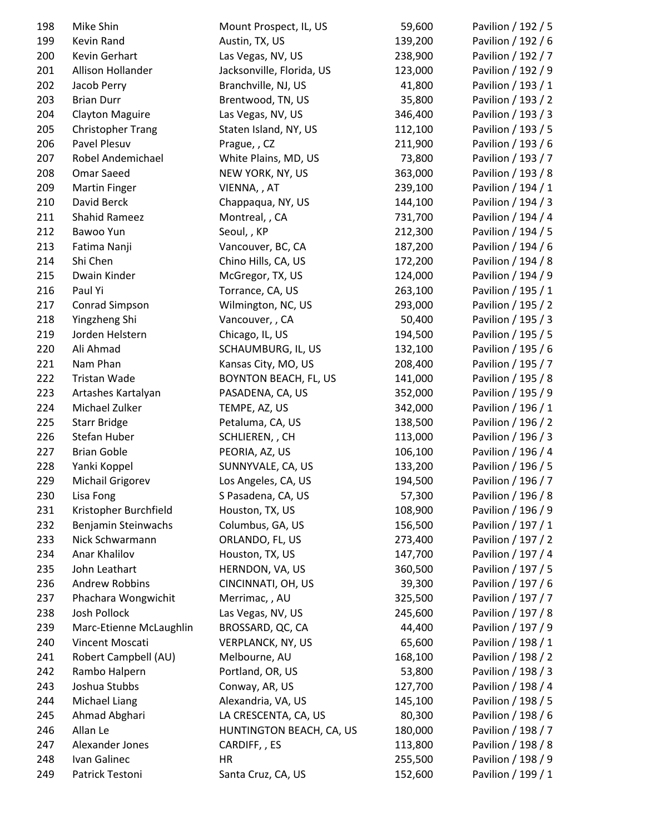| 198        | Mike Shin                      | Mount Prospect, IL, US                     | 59,600  | Pavilion / 192 / 5 |
|------------|--------------------------------|--------------------------------------------|---------|--------------------|
| 199        | Kevin Rand                     | Austin, TX, US                             | 139,200 | Pavilion / 192 / 6 |
| 200        | Kevin Gerhart                  | Las Vegas, NV, US                          | 238,900 | Pavilion / 192 / 7 |
| 201        | Allison Hollander              | Jacksonville, Florida, US                  | 123,000 | Pavilion / 192 / 9 |
| 202        | Jacob Perry                    | Branchville, NJ, US                        | 41,800  | Pavilion / 193 / 1 |
| 203        | <b>Brian Durr</b>              | Brentwood, TN, US                          | 35,800  | Pavilion / 193 / 2 |
| 204        | <b>Clayton Maguire</b>         | Las Vegas, NV, US                          | 346,400 | Pavilion / 193 / 3 |
| 205        | <b>Christopher Trang</b>       | Staten Island, NY, US                      | 112,100 | Pavilion / 193 / 5 |
| 206        | Pavel Plesuv                   | Prague, , CZ                               | 211,900 | Pavilion / 193 / 6 |
| 207        | Robel Andemichael              | White Plains, MD, US                       | 73,800  | Pavilion / 193 / 7 |
| 208        | <b>Omar Saeed</b>              | NEW YORK, NY, US                           | 363,000 | Pavilion / 193 / 8 |
| 209        | <b>Martin Finger</b>           | VIENNA, , AT                               | 239,100 | Pavilion / 194 / 1 |
| 210        | David Berck                    | Chappaqua, NY, US                          | 144,100 | Pavilion / 194 / 3 |
| 211        | Shahid Rameez                  | Montreal, , CA                             | 731,700 | Pavilion / 194 / 4 |
| 212        | Bawoo Yun                      | Seoul, , KP                                | 212,300 | Pavilion / 194 / 5 |
| 213        | Fatima Nanji                   | Vancouver, BC, CA                          | 187,200 | Pavilion / 194 / 6 |
| 214        | Shi Chen                       | Chino Hills, CA, US                        | 172,200 | Pavilion / 194 / 8 |
| 215        | Dwain Kinder                   | McGregor, TX, US                           | 124,000 | Pavilion / 194 / 9 |
| 216        | Paul Yi                        | Torrance, CA, US                           | 263,100 | Pavilion / 195 / 1 |
| 217        | Conrad Simpson                 | Wilmington, NC, US                         | 293,000 | Pavilion / 195 / 2 |
| 218        | Yingzheng Shi                  | Vancouver, , CA                            | 50,400  | Pavilion / 195 / 3 |
| 219        | Jorden Helstern                | Chicago, IL, US                            | 194,500 | Pavilion / 195 / 5 |
| 220        | Ali Ahmad                      | SCHAUMBURG, IL, US                         | 132,100 | Pavilion / 195 / 6 |
| 221        | Nam Phan                       | Kansas City, MO, US                        | 208,400 | Pavilion / 195 / 7 |
| 222        | Tristan Wade                   | <b>BOYNTON BEACH, FL, US</b>               | 141,000 | Pavilion / 195 / 8 |
| 223        | Artashes Kartalyan             | PASADENA, CA, US                           | 352,000 | Pavilion / 195 / 9 |
| 224        | Michael Zulker                 | TEMPE, AZ, US                              | 342,000 | Pavilion / 196 / 1 |
| 225        | <b>Starr Bridge</b>            | Petaluma, CA, US                           | 138,500 | Pavilion / 196 / 2 |
| 226        | Stefan Huber                   | SCHLIEREN, , CH                            | 113,000 | Pavilion / 196 / 3 |
| 227        | <b>Brian Goble</b>             | PEORIA, AZ, US                             | 106,100 | Pavilion / 196 / 4 |
| 228        | Yanki Koppel                   | SUNNYVALE, CA, US                          | 133,200 | Pavilion / 196 / 5 |
| 229        | Michail Grigorev               | Los Angeles, CA, US                        | 194,500 | Pavilion / 196 / 7 |
| 230        | Lisa Fong                      | S Pasadena, CA, US                         | 57,300  | Pavilion / 196 / 8 |
| 231        | Kristopher Burchfield          | Houston, TX, US                            | 108,900 | Pavilion / 196 / 9 |
| 232        | Benjamin Steinwachs            | Columbus, GA, US                           | 156,500 | Pavilion / 197 / 1 |
| 233        | Nick Schwarmann                | ORLANDO, FL, US                            | 273,400 | Pavilion / 197 / 2 |
| 234        | Anar Khalilov                  | Houston, TX, US                            | 147,700 | Pavilion / 197 / 4 |
| 235        | John Leathart                  | HERNDON, VA, US                            | 360,500 | Pavilion / 197 / 5 |
| 236        | <b>Andrew Robbins</b>          | CINCINNATI, OH, US                         | 39,300  | Pavilion / 197 / 6 |
| 237        | Phachara Wongwichit            | Merrimac, , AU                             | 325,500 | Pavilion / 197 / 7 |
| 238        | Josh Pollock                   | Las Vegas, NV, US                          | 245,600 | Pavilion / 197 / 8 |
| 239        | Marc-Etienne McLaughlin        | BROSSARD, QC, CA                           | 44,400  | Pavilion / 197 / 9 |
| 240        | Vincent Moscati                | <b>VERPLANCK, NY, US</b>                   | 65,600  | Pavilion / 198 / 1 |
| 241        | Robert Campbell (AU)           | Melbourne, AU                              | 168,100 | Pavilion / 198 / 2 |
| 242        | Rambo Halpern                  | Portland, OR, US                           | 53,800  | Pavilion / 198 / 3 |
| 243        | Joshua Stubbs                  | Conway, AR, US                             | 127,700 | Pavilion / 198 / 4 |
|            |                                |                                            | 145,100 | Pavilion / 198 / 5 |
| 244<br>245 | Michael Liang<br>Ahmad Abghari | Alexandria, VA, US<br>LA CRESCENTA, CA, US | 80,300  | Pavilion / 198 / 6 |
| 246        | Allan Le                       | HUNTINGTON BEACH, CA, US                   | 180,000 | Pavilion / 198 / 7 |
| 247        | Alexander Jones                | CARDIFF, , ES                              | 113,800 | Pavilion / 198 / 8 |
| 248        | Ivan Galinec                   | HR                                         | 255,500 | Pavilion / 198 / 9 |
| 249        | Patrick Testoni                | Santa Cruz, CA, US                         | 152,600 | Pavilion / 199 / 1 |
|            |                                |                                            |         |                    |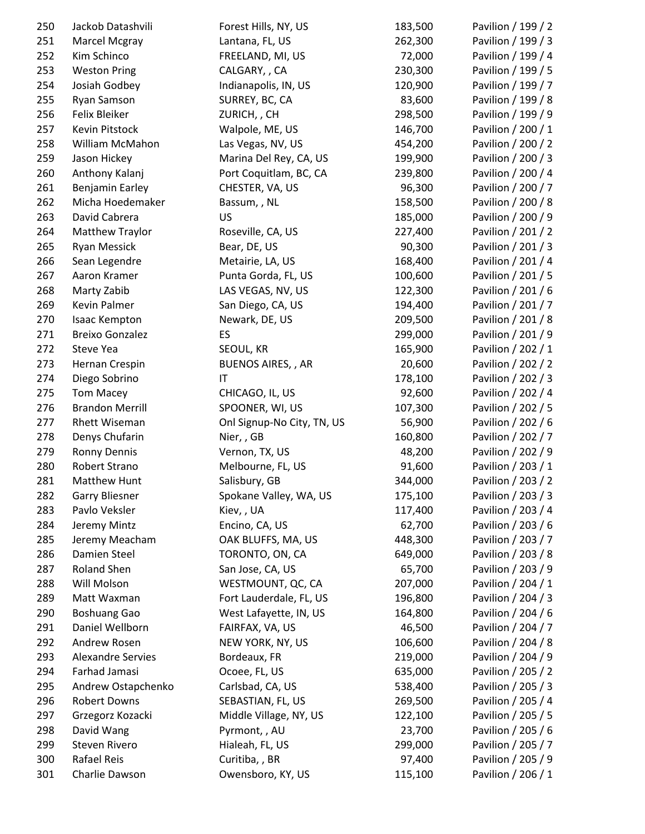| 250 | Jackob Datashvili        | Forest Hills, NY, US       | 183,500 | Pavilion / 199 / 2 |
|-----|--------------------------|----------------------------|---------|--------------------|
| 251 | Marcel Mcgray            | Lantana, FL, US            | 262,300 | Pavilion / 199 / 3 |
| 252 | Kim Schinco              | FREELAND, MI, US           | 72,000  | Pavilion / 199 / 4 |
| 253 | <b>Weston Pring</b>      | CALGARY, , CA              | 230,300 | Pavilion / 199 / 5 |
| 254 | Josiah Godbey            | Indianapolis, IN, US       | 120,900 | Pavilion / 199 / 7 |
| 255 | Ryan Samson              | SURREY, BC, CA             | 83,600  | Pavilion / 199 / 8 |
| 256 | Felix Bleiker            | ZURICH, , CH               | 298,500 | Pavilion / 199 / 9 |
| 257 | Kevin Pitstock           | Walpole, ME, US            | 146,700 | Pavilion / 200 / 1 |
| 258 | William McMahon          | Las Vegas, NV, US          | 454,200 | Pavilion / 200 / 2 |
| 259 | Jason Hickey             | Marina Del Rey, CA, US     | 199,900 | Pavilion / 200 / 3 |
| 260 | Anthony Kalanj           | Port Coquitlam, BC, CA     | 239,800 | Pavilion / 200 / 4 |
| 261 | Benjamin Earley          | CHESTER, VA, US            | 96,300  | Pavilion / 200 / 7 |
| 262 | Micha Hoedemaker         | Bassum, , NL               | 158,500 | Pavilion / 200 / 8 |
| 263 | David Cabrera            | US                         | 185,000 | Pavilion / 200 / 9 |
| 264 | <b>Matthew Traylor</b>   | Roseville, CA, US          | 227,400 | Pavilion / 201 / 2 |
| 265 | <b>Ryan Messick</b>      | Bear, DE, US               | 90,300  | Pavilion / 201 / 3 |
| 266 | Sean Legendre            | Metairie, LA, US           | 168,400 | Pavilion / 201 / 4 |
| 267 | Aaron Kramer             | Punta Gorda, FL, US        | 100,600 | Pavilion / 201 / 5 |
| 268 | Marty Zabib              | LAS VEGAS, NV, US          | 122,300 | Pavilion / 201 / 6 |
| 269 | Kevin Palmer             | San Diego, CA, US          | 194,400 | Pavilion / 201 / 7 |
| 270 | Isaac Kempton            | Newark, DE, US             | 209,500 | Pavilion / 201 / 8 |
| 271 | <b>Breixo Gonzalez</b>   | ES                         | 299,000 | Pavilion / 201 / 9 |
| 272 | Steve Yea                | SEOUL, KR                  | 165,900 | Pavilion / 202 / 1 |
| 273 | Hernan Crespin           | <b>BUENOS AIRES,, AR</b>   | 20,600  | Pavilion / 202 / 2 |
| 274 | Diego Sobrino            | IT                         | 178,100 | Pavilion / 202 / 3 |
| 275 | <b>Tom Macey</b>         | CHICAGO, IL, US            | 92,600  | Pavilion / 202 / 4 |
| 276 | <b>Brandon Merrill</b>   | SPOONER, WI, US            | 107,300 | Pavilion / 202 / 5 |
| 277 | <b>Rhett Wiseman</b>     | Onl Signup-No City, TN, US | 56,900  | Pavilion / 202 / 6 |
| 278 | Denys Chufarin           | Nier, , GB                 | 160,800 | Pavilion / 202 / 7 |
| 279 | <b>Ronny Dennis</b>      | Vernon, TX, US             | 48,200  | Pavilion / 202 / 9 |
| 280 | Robert Strano            | Melbourne, FL, US          | 91,600  | Pavilion / 203 / 1 |
| 281 | <b>Matthew Hunt</b>      | Salisbury, GB              | 344,000 | Pavilion / 203 / 2 |
| 282 | <b>Garry Bliesner</b>    | Spokane Valley, WA, US     | 175,100 | Pavilion / 203 / 3 |
| 283 | Pavlo Veksler            | Kiev, , UA                 | 117,400 | Pavilion / 203 / 4 |
| 284 | Jeremy Mintz             | Encino, CA, US             | 62,700  | Pavilion / 203 / 6 |
| 285 | Jeremy Meacham           | OAK BLUFFS, MA, US         | 448,300 | Pavilion / 203 / 7 |
| 286 | Damien Steel             | TORONTO, ON, CA            | 649,000 | Pavilion / 203 / 8 |
| 287 | <b>Roland Shen</b>       | San Jose, CA, US           | 65,700  | Pavilion / 203 / 9 |
| 288 | Will Molson              | WESTMOUNT, QC, CA          | 207,000 | Pavilion / 204 / 1 |
| 289 | Matt Waxman              | Fort Lauderdale, FL, US    | 196,800 | Pavilion / 204 / 3 |
| 290 | <b>Boshuang Gao</b>      | West Lafayette, IN, US     | 164,800 | Pavilion / 204 / 6 |
| 291 | Daniel Wellborn          | FAIRFAX, VA, US            | 46,500  | Pavilion / 204 / 7 |
| 292 | Andrew Rosen             | NEW YORK, NY, US           | 106,600 | Pavilion / 204 / 8 |
| 293 | <b>Alexandre Servies</b> | Bordeaux, FR               | 219,000 | Pavilion / 204 / 9 |
| 294 | Farhad Jamasi            | Ocoee, FL, US              | 635,000 | Pavilion / 205 / 2 |
| 295 | Andrew Ostapchenko       | Carlsbad, CA, US           | 538,400 | Pavilion / 205 / 3 |
| 296 | <b>Robert Downs</b>      | SEBASTIAN, FL, US          | 269,500 | Pavilion / 205 / 4 |
| 297 | Grzegorz Kozacki         | Middle Village, NY, US     | 122,100 | Pavilion / 205 / 5 |
| 298 | David Wang               | Pyrmont, , AU              | 23,700  | Pavilion / 205 / 6 |
| 299 | Steven Rivero            | Hialeah, FL, US            | 299,000 | Pavilion / 205 / 7 |
| 300 | Rafael Reis              | Curitiba, , BR             | 97,400  | Pavilion / 205 / 9 |
| 301 | Charlie Dawson           | Owensboro, KY, US          | 115,100 | Pavilion / 206 / 1 |
|     |                          |                            |         |                    |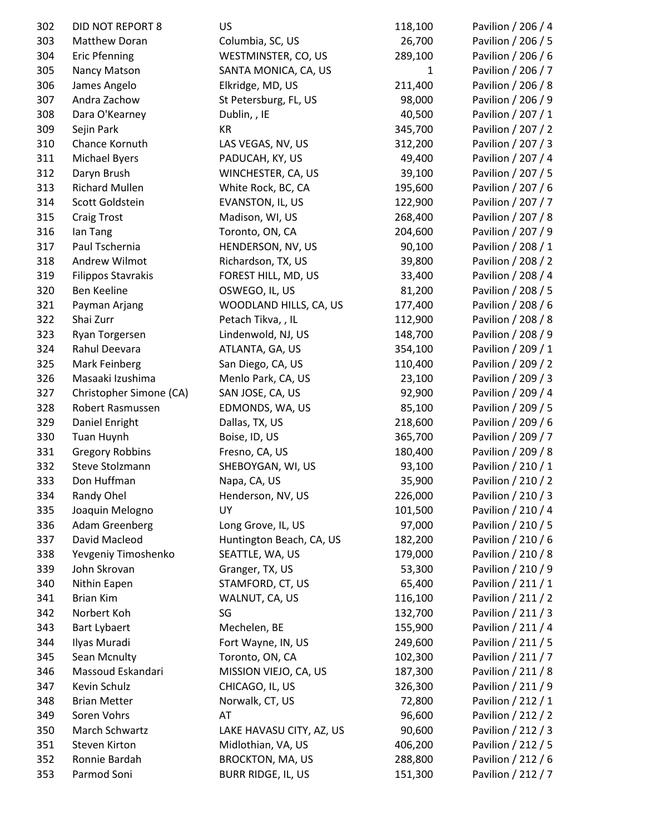| 302 | <b>DID NOT REPORT 8</b>   | US                        | 118,100      | Pavilion / 206 / 4 |
|-----|---------------------------|---------------------------|--------------|--------------------|
| 303 | Matthew Doran             | Columbia, SC, US          | 26,700       | Pavilion / 206 / 5 |
| 304 | <b>Eric Pfenning</b>      | WESTMINSTER, CO, US       | 289,100      | Pavilion / 206 / 6 |
| 305 | Nancy Matson              | SANTA MONICA, CA, US      | $\mathbf{1}$ | Pavilion / 206 / 7 |
| 306 | James Angelo              | Elkridge, MD, US          | 211,400      | Pavilion / 206 / 8 |
| 307 | Andra Zachow              | St Petersburg, FL, US     | 98,000       | Pavilion / 206 / 9 |
| 308 | Dara O'Kearney            | Dublin, , IE              | 40,500       | Pavilion / 207 / 1 |
| 309 | Sejin Park                | <b>KR</b>                 | 345,700      | Pavilion / 207 / 2 |
| 310 | Chance Kornuth            | LAS VEGAS, NV, US         | 312,200      | Pavilion / 207 / 3 |
| 311 | <b>Michael Byers</b>      | PADUCAH, KY, US           | 49,400       | Pavilion / 207 / 4 |
| 312 | Daryn Brush               | WINCHESTER, CA, US        | 39,100       | Pavilion / 207 / 5 |
| 313 | <b>Richard Mullen</b>     | White Rock, BC, CA        | 195,600      | Pavilion / 207 / 6 |
| 314 | Scott Goldstein           | EVANSTON, IL, US          | 122,900      | Pavilion / 207 / 7 |
| 315 | <b>Craig Trost</b>        | Madison, WI, US           | 268,400      | Pavilion / 207 / 8 |
| 316 | lan Tang                  | Toronto, ON, CA           | 204,600      | Pavilion / 207 / 9 |
| 317 | Paul Tschernia            | HENDERSON, NV, US         | 90,100       | Pavilion / 208 / 1 |
| 318 | Andrew Wilmot             | Richardson, TX, US        | 39,800       | Pavilion / 208 / 2 |
| 319 | <b>Filippos Stavrakis</b> | FOREST HILL, MD, US       | 33,400       | Pavilion / 208 / 4 |
| 320 | Ben Keeline               | OSWEGO, IL, US            | 81,200       | Pavilion / 208 / 5 |
| 321 | Payman Arjang             | WOODLAND HILLS, CA, US    | 177,400      | Pavilion / 208 / 6 |
| 322 | Shai Zurr                 | Petach Tikva, , IL        | 112,900      | Pavilion / 208 / 8 |
| 323 | Ryan Torgersen            | Lindenwold, NJ, US        | 148,700      | Pavilion / 208 / 9 |
| 324 | Rahul Deevara             | ATLANTA, GA, US           | 354,100      | Pavilion / 209 / 1 |
| 325 | Mark Feinberg             | San Diego, CA, US         | 110,400      | Pavilion / 209 / 2 |
| 326 | Masaaki Izushima          | Menlo Park, CA, US        | 23,100       | Pavilion / 209 / 3 |
| 327 | Christopher Simone (CA)   | SAN JOSE, CA, US          | 92,900       | Pavilion / 209 / 4 |
| 328 | Robert Rasmussen          | EDMONDS, WA, US           | 85,100       | Pavilion / 209 / 5 |
| 329 | Daniel Enright            | Dallas, TX, US            | 218,600      | Pavilion / 209 / 6 |
| 330 | Tuan Huynh                | Boise, ID, US             | 365,700      | Pavilion / 209 / 7 |
| 331 | <b>Gregory Robbins</b>    | Fresno, CA, US            | 180,400      | Pavilion / 209 / 8 |
| 332 | Steve Stolzmann           | SHEBOYGAN, WI, US         | 93,100       | Pavilion / 210 / 1 |
| 333 | Don Huffman               | Napa, CA, US              | 35,900       | Pavilion / 210 / 2 |
| 334 | Randy Ohel                | Henderson, NV, US         | 226,000      | Pavilion / 210 / 3 |
| 335 | Joaquin Melogno           | UY                        | 101,500      | Pavilion / 210 / 4 |
| 336 | <b>Adam Greenberg</b>     | Long Grove, IL, US        | 97,000       | Pavilion / 210 / 5 |
| 337 | David Macleod             | Huntington Beach, CA, US  | 182,200      | Pavilion / 210 / 6 |
| 338 | Yevgeniy Timoshenko       | SEATTLE, WA, US           | 179,000      | Pavilion / 210 / 8 |
| 339 | John Skrovan              | Granger, TX, US           | 53,300       | Pavilion / 210 / 9 |
| 340 | Nithin Eapen              | STAMFORD, CT, US          | 65,400       | Pavilion / 211 / 1 |
| 341 | <b>Brian Kim</b>          | WALNUT, CA, US            | 116,100      | Pavilion / 211 / 2 |
| 342 | Norbert Koh               | SG                        | 132,700      | Pavilion / 211 / 3 |
| 343 | <b>Bart Lybaert</b>       | Mechelen, BE              | 155,900      | Pavilion / 211 / 4 |
| 344 | Ilyas Muradi              | Fort Wayne, IN, US        | 249,600      | Pavilion / 211 / 5 |
| 345 | Sean Mcnulty              | Toronto, ON, CA           | 102,300      | Pavilion / 211 / 7 |
| 346 | Massoud Eskandari         | MISSION VIEJO, CA, US     | 187,300      | Pavilion / 211 / 8 |
| 347 | Kevin Schulz              | CHICAGO, IL, US           | 326,300      | Pavilion / 211 / 9 |
| 348 | <b>Brian Metter</b>       | Norwalk, CT, US           | 72,800       | Pavilion / 212 / 1 |
| 349 | Soren Vohrs               | AT                        | 96,600       | Pavilion / 212 / 2 |
| 350 | March Schwartz            | LAKE HAVASU CITY, AZ, US  | 90,600       | Pavilion / 212 / 3 |
| 351 | <b>Steven Kirton</b>      | Midlothian, VA, US        | 406,200      | Pavilion / 212 / 5 |
| 352 | Ronnie Bardah             | <b>BROCKTON, MA, US</b>   | 288,800      | Pavilion / 212 / 6 |
| 353 | Parmod Soni               | <b>BURR RIDGE, IL, US</b> | 151,300      | Pavilion / 212 / 7 |
|     |                           |                           |              |                    |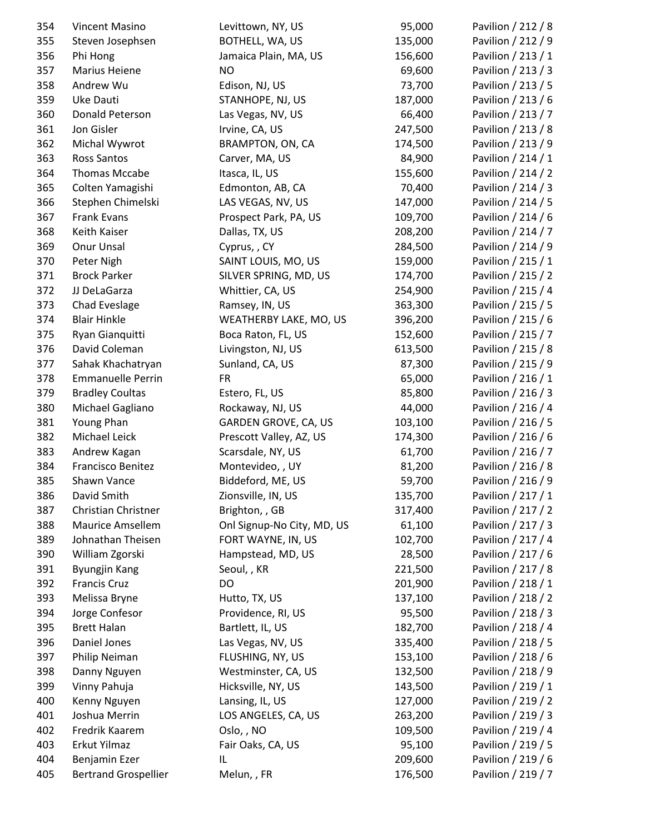| 354 | Vincent Masino              | Levittown, NY, US           | 95,000  | Pavilion / 212 / 8 |
|-----|-----------------------------|-----------------------------|---------|--------------------|
| 355 | Steven Josephsen            | BOTHELL, WA, US             | 135,000 | Pavilion / 212 / 9 |
| 356 | Phi Hong                    | Jamaica Plain, MA, US       | 156,600 | Pavilion / 213 / 1 |
| 357 | Marius Heiene               | <b>NO</b>                   | 69,600  | Pavilion / 213 / 3 |
| 358 | Andrew Wu                   | Edison, NJ, US              | 73,700  | Pavilion / 213 / 5 |
| 359 | Uke Dauti                   | STANHOPE, NJ, US            | 187,000 | Pavilion / 213 / 6 |
| 360 | Donald Peterson             | Las Vegas, NV, US           | 66,400  | Pavilion / 213 / 7 |
| 361 | Jon Gisler                  | Irvine, CA, US              | 247,500 | Pavilion / 213 / 8 |
| 362 | Michal Wywrot               | BRAMPTON, ON, CA            | 174,500 | Pavilion / 213 / 9 |
| 363 | <b>Ross Santos</b>          | Carver, MA, US              | 84,900  | Pavilion / 214 / 1 |
| 364 | Thomas Mccabe               | Itasca, IL, US              | 155,600 | Pavilion / 214 / 2 |
| 365 | Colten Yamagishi            | Edmonton, AB, CA            | 70,400  | Pavilion / 214 / 3 |
| 366 | Stephen Chimelski           | LAS VEGAS, NV, US           | 147,000 | Pavilion / 214 / 5 |
| 367 | Frank Evans                 | Prospect Park, PA, US       | 109,700 | Pavilion / 214 / 6 |
| 368 | Keith Kaiser                | Dallas, TX, US              | 208,200 | Pavilion / 214 / 7 |
| 369 | Onur Unsal                  | Cyprus, , CY                | 284,500 | Pavilion / 214 / 9 |
| 370 | Peter Nigh                  | SAINT LOUIS, MO, US         | 159,000 | Pavilion / 215 / 1 |
| 371 | <b>Brock Parker</b>         | SILVER SPRING, MD, US       | 174,700 | Pavilion / 215 / 2 |
| 372 | JJ DeLaGarza                | Whittier, CA, US            | 254,900 | Pavilion / 215 / 4 |
| 373 | Chad Eveslage               | Ramsey, IN, US              | 363,300 | Pavilion / 215 / 5 |
| 374 | <b>Blair Hinkle</b>         | WEATHERBY LAKE, MO, US      | 396,200 | Pavilion / 215 / 6 |
| 375 | Ryan Gianquitti             | Boca Raton, FL, US          | 152,600 | Pavilion / 215 / 7 |
| 376 | David Coleman               | Livingston, NJ, US          | 613,500 | Pavilion / 215 / 8 |
| 377 | Sahak Khachatryan           | Sunland, CA, US             | 87,300  | Pavilion / 215 / 9 |
| 378 | <b>Emmanuelle Perrin</b>    | <b>FR</b>                   | 65,000  | Pavilion / 216 / 1 |
| 379 | <b>Bradley Coultas</b>      | Estero, FL, US              | 85,800  | Pavilion / 216 / 3 |
| 380 | Michael Gagliano            | Rockaway, NJ, US            | 44,000  | Pavilion / 216 / 4 |
| 381 | Young Phan                  | <b>GARDEN GROVE, CA, US</b> | 103,100 | Pavilion / 216 / 5 |
| 382 | Michael Leick               | Prescott Valley, AZ, US     | 174,300 | Pavilion / 216 / 6 |
| 383 | Andrew Kagan                | Scarsdale, NY, US           | 61,700  | Pavilion / 216 / 7 |
| 384 | Francisco Benitez           | Montevideo, , UY            | 81,200  | Pavilion / 216 / 8 |
| 385 | Shawn Vance                 | Biddeford, ME, US           | 59,700  | Pavilion / 216 / 9 |
| 386 | David Smith                 | Zionsville, IN, US          | 135,700 | Pavilion / 217 / 1 |
| 387 | Christian Christner         | Brighton, , GB              | 317,400 | Pavilion / 217 / 2 |
| 388 | <b>Maurice Amsellem</b>     | Onl Signup-No City, MD, US  | 61,100  | Pavilion / 217 / 3 |
| 389 | Johnathan Theisen           | FORT WAYNE, IN, US          | 102,700 | Pavilion / 217 / 4 |
| 390 | William Zgorski             | Hampstead, MD, US           | 28,500  | Pavilion / 217 / 6 |
| 391 | Byungjin Kang               | Seoul, , KR                 | 221,500 | Pavilion / 217 / 8 |
| 392 | <b>Francis Cruz</b>         | DO                          | 201,900 | Pavilion / 218 / 1 |
| 393 | Melissa Bryne               | Hutto, TX, US               | 137,100 | Pavilion / 218 / 2 |
| 394 | Jorge Confesor              | Providence, RI, US          | 95,500  | Pavilion / 218 / 3 |
| 395 | <b>Brett Halan</b>          | Bartlett, IL, US            | 182,700 | Pavilion / 218 / 4 |
| 396 | Daniel Jones                | Las Vegas, NV, US           | 335,400 | Pavilion / 218 / 5 |
| 397 | Philip Neiman               | FLUSHING, NY, US            | 153,100 | Pavilion / 218 / 6 |
| 398 | Danny Nguyen                | Westminster, CA, US         | 132,500 | Pavilion / 218 / 9 |
| 399 | Vinny Pahuja                | Hicksville, NY, US          | 143,500 | Pavilion / 219 / 1 |
| 400 | Kenny Nguyen                | Lansing, IL, US             | 127,000 | Pavilion / 219 / 2 |
| 401 | Joshua Merrin               | LOS ANGELES, CA, US         | 263,200 | Pavilion / 219 / 3 |
| 402 | Fredrik Kaarem              | Oslo, , NO                  | 109,500 | Pavilion / 219 / 4 |
| 403 | Erkut Yilmaz                | Fair Oaks, CA, US           | 95,100  | Pavilion / 219 / 5 |
| 404 | Benjamin Ezer               | IL                          | 209,600 | Pavilion / 219 / 6 |
| 405 | <b>Bertrand Grospellier</b> | Melun,, FR                  | 176,500 | Pavilion / 219 / 7 |
|     |                             |                             |         |                    |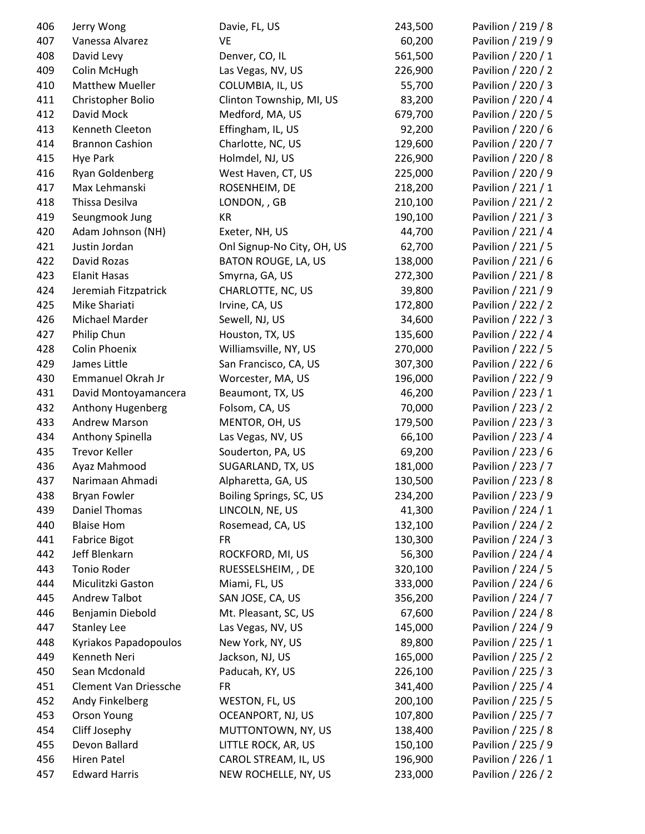| 406 | Jerry Wong             | Davie, FL, US              | 243,500 | Pavilion / 219 / 8 |
|-----|------------------------|----------------------------|---------|--------------------|
| 407 | Vanessa Alvarez        | VE                         | 60,200  | Pavilion / 219 / 9 |
| 408 | David Levy             | Denver, CO, IL             | 561,500 | Pavilion / 220 / 1 |
| 409 | Colin McHugh           | Las Vegas, NV, US          | 226,900 | Pavilion / 220 / 2 |
| 410 | <b>Matthew Mueller</b> | COLUMBIA, IL, US           | 55,700  | Pavilion / 220 / 3 |
| 411 | Christopher Bolio      | Clinton Township, MI, US   | 83,200  | Pavilion / 220 / 4 |
| 412 | David Mock             | Medford, MA, US            | 679,700 | Pavilion / 220 / 5 |
| 413 | Kenneth Cleeton        | Effingham, IL, US          | 92,200  | Pavilion / 220 / 6 |
| 414 | <b>Brannon Cashion</b> | Charlotte, NC, US          | 129,600 | Pavilion / 220 / 7 |
| 415 | <b>Hye Park</b>        | Holmdel, NJ, US            | 226,900 | Pavilion / 220 / 8 |
| 416 | Ryan Goldenberg        | West Haven, CT, US         | 225,000 | Pavilion / 220 / 9 |
| 417 | Max Lehmanski          | ROSENHEIM, DE              | 218,200 | Pavilion / 221 / 1 |
| 418 | Thissa Desilva         | LONDON, , GB               | 210,100 | Pavilion / 221 / 2 |
| 419 | Seungmook Jung         | KR                         | 190,100 | Pavilion / 221 / 3 |
| 420 | Adam Johnson (NH)      | Exeter, NH, US             | 44,700  | Pavilion / 221 / 4 |
| 421 | Justin Jordan          | Onl Signup-No City, OH, US | 62,700  | Pavilion / 221 / 5 |
| 422 | David Rozas            | BATON ROUGE, LA, US        | 138,000 | Pavilion / 221 / 6 |
| 423 | <b>Elanit Hasas</b>    | Smyrna, GA, US             | 272,300 | Pavilion / 221 / 8 |
| 424 | Jeremiah Fitzpatrick   | CHARLOTTE, NC, US          | 39,800  | Pavilion / 221 / 9 |
| 425 | Mike Shariati          | Irvine, CA, US             | 172,800 | Pavilion / 222 / 2 |
| 426 | Michael Marder         | Sewell, NJ, US             | 34,600  | Pavilion / 222 / 3 |
| 427 | Philip Chun            | Houston, TX, US            | 135,600 | Pavilion / 222 / 4 |
| 428 | <b>Colin Phoenix</b>   | Williamsville, NY, US      | 270,000 | Pavilion / 222 / 5 |
| 429 | James Little           | San Francisco, CA, US      | 307,300 | Pavilion / 222 / 6 |
| 430 | Emmanuel Okrah Jr      | Worcester, MA, US          | 196,000 | Pavilion / 222 / 9 |
| 431 | David Montoyamancera   | Beaumont, TX, US           | 46,200  | Pavilion / 223 / 1 |
| 432 | Anthony Hugenberg      | Folsom, CA, US             | 70,000  | Pavilion / 223 / 2 |
| 433 | <b>Andrew Marson</b>   | MENTOR, OH, US             | 179,500 | Pavilion / 223 / 3 |
| 434 | Anthony Spinella       | Las Vegas, NV, US          | 66,100  | Pavilion / 223 / 4 |
| 435 | <b>Trevor Keller</b>   | Souderton, PA, US          | 69,200  | Pavilion / 223 / 6 |
| 436 | Ayaz Mahmood           | SUGARLAND, TX, US          | 181,000 | Pavilion / 223 / 7 |
| 437 | Narimaan Ahmadi        | Alpharetta, GA, US         | 130,500 | Pavilion / 223 / 8 |
| 438 | <b>Bryan Fowler</b>    | Boiling Springs, SC, US    | 234,200 | Pavilion / 223 / 9 |
| 439 | Daniel Thomas          | LINCOLN, NE, US            | 41,300  | Pavilion / 224 / 1 |
| 440 | <b>Blaise Hom</b>      | Rosemead, CA, US           | 132,100 | Pavilion / 224 / 2 |
| 441 | <b>Fabrice Bigot</b>   | <b>FR</b>                  | 130,300 | Pavilion / 224 / 3 |
| 442 | Jeff Blenkarn          | ROCKFORD, MI, US           | 56,300  | Pavilion / 224 / 4 |
| 443 | Tonio Roder            | RUESSELSHEIM, , DE         | 320,100 | Pavilion / 224 / 5 |
| 444 | Miculitzki Gaston      | Miami, FL, US              | 333,000 | Pavilion / 224 / 6 |
| 445 | <b>Andrew Talbot</b>   | SAN JOSE, CA, US           | 356,200 | Pavilion / 224 / 7 |
| 446 | Benjamin Diebold       | Mt. Pleasant, SC, US       | 67,600  | Pavilion / 224 / 8 |
| 447 | <b>Stanley Lee</b>     | Las Vegas, NV, US          | 145,000 | Pavilion / 224 / 9 |
| 448 | Kyriakos Papadopoulos  | New York, NY, US           | 89,800  | Pavilion / 225 / 1 |
| 449 | Kenneth Neri           | Jackson, NJ, US            | 165,000 | Pavilion / 225 / 2 |
| 450 | Sean Mcdonald          | Paducah, KY, US            | 226,100 | Pavilion / 225 / 3 |
| 451 | Clement Van Driessche  | <b>FR</b>                  | 341,400 | Pavilion / 225 / 4 |
| 452 | Andy Finkelberg        | WESTON, FL, US             | 200,100 | Pavilion / 225 / 5 |
| 453 | <b>Orson Young</b>     | OCEANPORT, NJ, US          | 107,800 | Pavilion / 225 / 7 |
| 454 | Cliff Josephy          | MUTTONTOWN, NY, US         | 138,400 | Pavilion / 225 / 8 |
| 455 | Devon Ballard          | LITTLE ROCK, AR, US        | 150,100 | Pavilion / 225 / 9 |
| 456 | <b>Hiren Patel</b>     | CAROL STREAM, IL, US       | 196,900 | Pavilion / 226 / 1 |
| 457 | <b>Edward Harris</b>   | NEW ROCHELLE, NY, US       | 233,000 | Pavilion / 226 / 2 |
|     |                        |                            |         |                    |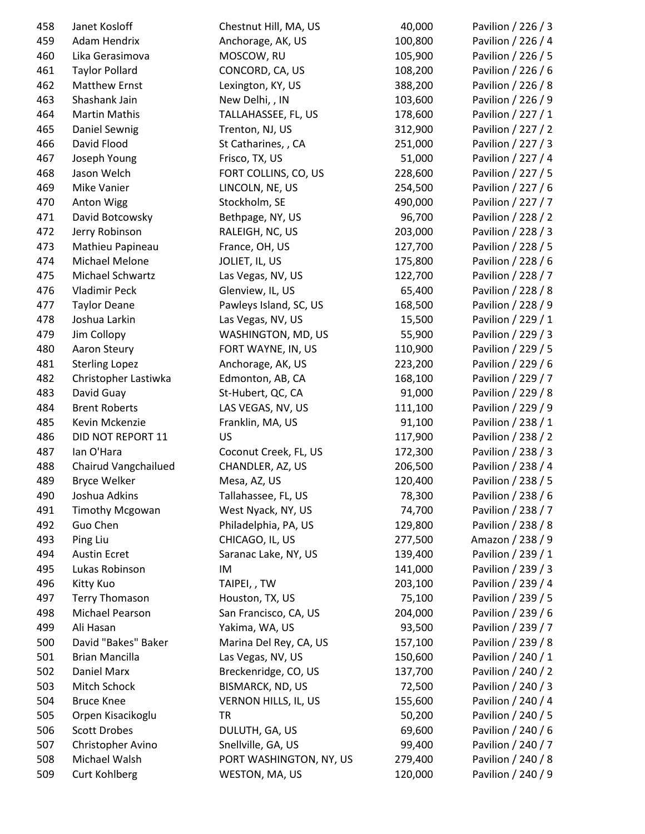| 458 | Janet Kosloff                      | Chestnut Hill, MA, US   | 40,000  | Pavilion / 226 / 3 |
|-----|------------------------------------|-------------------------|---------|--------------------|
| 459 | Adam Hendrix                       | Anchorage, AK, US       | 100,800 | Pavilion / 226 / 4 |
| 460 | Lika Gerasimova                    | MOSCOW, RU              | 105,900 | Pavilion / 226 / 5 |
| 461 | <b>Taylor Pollard</b>              | CONCORD, CA, US         | 108,200 | Pavilion / 226 / 6 |
| 462 | Matthew Ernst                      | Lexington, KY, US       | 388,200 | Pavilion / 226 / 8 |
| 463 | Shashank Jain                      | New Delhi, , IN         | 103,600 | Pavilion / 226 / 9 |
| 464 | <b>Martin Mathis</b>               | TALLAHASSEE, FL, US     | 178,600 | Pavilion / 227 / 1 |
| 465 | Daniel Sewnig                      | Trenton, NJ, US         | 312,900 | Pavilion / 227 / 2 |
| 466 | David Flood                        | St Catharines, , CA     | 251,000 | Pavilion / 227 / 3 |
| 467 | Joseph Young                       | Frisco, TX, US          | 51,000  | Pavilion / 227 / 4 |
| 468 | Jason Welch                        | FORT COLLINS, CO, US    | 228,600 | Pavilion / 227 / 5 |
| 469 | Mike Vanier                        | LINCOLN, NE, US         | 254,500 | Pavilion / 227 / 6 |
| 470 | <b>Anton Wigg</b>                  | Stockholm, SE           | 490,000 | Pavilion / 227 / 7 |
| 471 | David Botcowsky                    | Bethpage, NY, US        | 96,700  | Pavilion / 228 / 2 |
| 472 | Jerry Robinson                     | RALEIGH, NC, US         | 203,000 | Pavilion / 228 / 3 |
| 473 | Mathieu Papineau                   | France, OH, US          | 127,700 | Pavilion / 228 / 5 |
| 474 | Michael Melone                     | JOLIET, IL, US          | 175,800 | Pavilion / 228 / 6 |
| 475 | Michael Schwartz                   | Las Vegas, NV, US       | 122,700 | Pavilion / 228 / 7 |
| 476 | <b>Vladimir Peck</b>               | Glenview, IL, US        | 65,400  | Pavilion / 228 / 8 |
| 477 | <b>Taylor Deane</b>                | Pawleys Island, SC, US  | 168,500 | Pavilion / 228 / 9 |
| 478 | Joshua Larkin                      | Las Vegas, NV, US       | 15,500  | Pavilion / 229 / 1 |
| 479 | Jim Collopy                        | WASHINGTON, MD, US      | 55,900  | Pavilion / 229 / 3 |
| 480 | Aaron Steury                       | FORT WAYNE, IN, US      | 110,900 | Pavilion / 229 / 5 |
| 481 | <b>Sterling Lopez</b>              | Anchorage, AK, US       | 223,200 | Pavilion / 229 / 6 |
| 482 | Christopher Lastiwka               | Edmonton, AB, CA        | 168,100 | Pavilion / 229 / 7 |
| 483 | David Guay                         | St-Hubert, QC, CA       | 91,000  | Pavilion / 229 / 8 |
| 484 | <b>Brent Roberts</b>               | LAS VEGAS, NV, US       | 111,100 | Pavilion / 229 / 9 |
| 485 | Kevin Mckenzie                     | Franklin, MA, US        | 91,100  | Pavilion / 238 / 1 |
| 486 | DID NOT REPORT 11                  | <b>US</b>               | 117,900 | Pavilion / 238 / 2 |
| 487 | lan O'Hara                         | Coconut Creek, FL, US   | 172,300 | Pavilion / 238 / 3 |
| 488 | Chairud Vangchailued               | CHANDLER, AZ, US        | 206,500 | Pavilion / 238 / 4 |
| 489 | <b>Bryce Welker</b>                | Mesa, AZ, US            | 120,400 | Pavilion / 238 / 5 |
| 490 | Joshua Adkins                      | Tallahassee, FL, US     | 78,300  | Pavilion / 238 / 6 |
| 491 |                                    | West Nyack, NY, US      | 74,700  | Pavilion / 238 / 7 |
| 492 | <b>Timothy Mcgowan</b><br>Guo Chen | Philadelphia, PA, US    | 129,800 | Pavilion / 238 / 8 |
| 493 | Ping Liu                           | CHICAGO, IL, US         | 277,500 | Amazon / 238 / 9   |
|     |                                    |                         |         | Pavilion / 239 / 1 |
| 494 | <b>Austin Ecret</b>                | Saranac Lake, NY, US    | 139,400 |                    |
| 495 | Lukas Robinson                     | IM                      | 141,000 | Pavilion / 239 / 3 |
| 496 | Kitty Kuo                          | TAIPEI,, TW             | 203,100 | Pavilion / 239 / 4 |
| 497 | <b>Terry Thomason</b>              | Houston, TX, US         | 75,100  | Pavilion / 239 / 5 |
| 498 | Michael Pearson                    | San Francisco, CA, US   | 204,000 | Pavilion / 239 / 6 |
| 499 | Ali Hasan                          | Yakima, WA, US          | 93,500  | Pavilion / 239 / 7 |
| 500 | David "Bakes" Baker                | Marina Del Rey, CA, US  | 157,100 | Pavilion / 239 / 8 |
| 501 | Brian Mancilla                     | Las Vegas, NV, US       | 150,600 | Pavilion / 240 / 1 |
| 502 | Daniel Marx                        | Breckenridge, CO, US    | 137,700 | Pavilion / 240 / 2 |
| 503 | Mitch Schock                       | BISMARCK, ND, US        | 72,500  | Pavilion / 240 / 3 |
| 504 | <b>Bruce Knee</b>                  | VERNON HILLS, IL, US    | 155,600 | Pavilion / 240 / 4 |
| 505 | Orpen Kisacikoglu                  | <b>TR</b>               | 50,200  | Pavilion / 240 / 5 |
| 506 | <b>Scott Drobes</b>                | DULUTH, GA, US          | 69,600  | Pavilion / 240 / 6 |
| 507 | Christopher Avino                  | Snellville, GA, US      | 99,400  | Pavilion / 240 / 7 |
| 508 | Michael Walsh                      | PORT WASHINGTON, NY, US | 279,400 | Pavilion / 240 / 8 |
| 509 | <b>Curt Kohlberg</b>               | WESTON, MA, US          | 120,000 | Pavilion / 240 / 9 |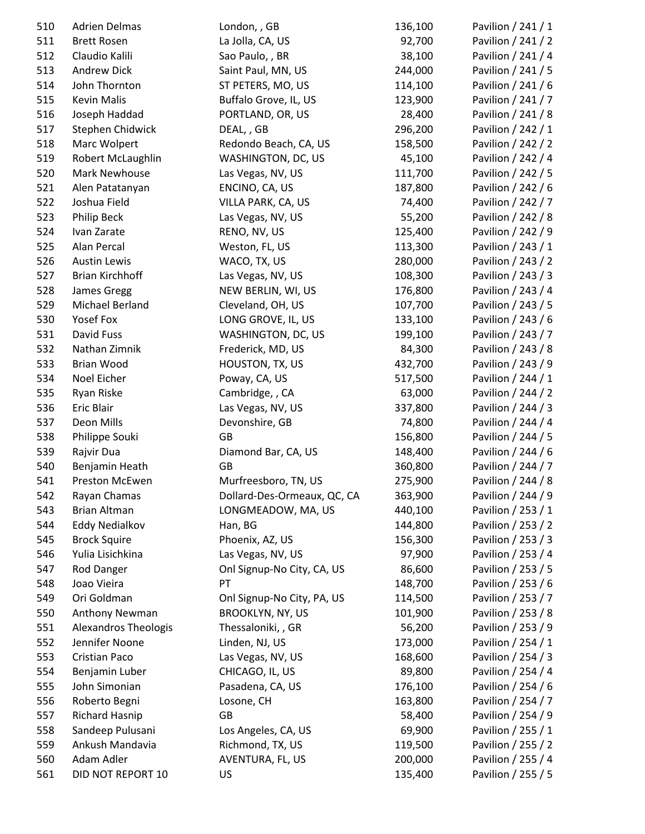| 510 | <b>Adrien Delmas</b>   | London, , GB                | 136,100 | Pavilion / 241 / 1 |
|-----|------------------------|-----------------------------|---------|--------------------|
| 511 | <b>Brett Rosen</b>     | La Jolla, CA, US            | 92,700  | Pavilion / 241 / 2 |
| 512 | Claudio Kalili         | Sao Paulo, , BR             | 38,100  | Pavilion / 241 / 4 |
| 513 | <b>Andrew Dick</b>     | Saint Paul, MN, US          | 244,000 | Pavilion / 241 / 5 |
| 514 | John Thornton          | ST PETERS, MO, US           | 114,100 | Pavilion / 241 / 6 |
| 515 | <b>Kevin Malis</b>     | Buffalo Grove, IL, US       | 123,900 | Pavilion / 241 / 7 |
| 516 | Joseph Haddad          | PORTLAND, OR, US            | 28,400  | Pavilion / 241 / 8 |
| 517 | Stephen Chidwick       | DEAL, , GB                  | 296,200 | Pavilion / 242 / 1 |
| 518 | Marc Wolpert           | Redondo Beach, CA, US       | 158,500 | Pavilion / 242 / 2 |
| 519 | Robert McLaughlin      | WASHINGTON, DC, US          | 45,100  | Pavilion / 242 / 4 |
| 520 | Mark Newhouse          | Las Vegas, NV, US           | 111,700 | Pavilion / 242 / 5 |
| 521 | Alen Patatanyan        | ENCINO, CA, US              | 187,800 | Pavilion / 242 / 6 |
| 522 | Joshua Field           | VILLA PARK, CA, US          | 74,400  | Pavilion / 242 / 7 |
| 523 | Philip Beck            | Las Vegas, NV, US           | 55,200  | Pavilion / 242 / 8 |
| 524 | Ivan Zarate            | RENO, NV, US                | 125,400 | Pavilion / 242 / 9 |
| 525 | Alan Percal            | Weston, FL, US              | 113,300 | Pavilion / 243 / 1 |
| 526 | <b>Austin Lewis</b>    | WACO, TX, US                | 280,000 | Pavilion / 243 / 2 |
| 527 | <b>Brian Kirchhoff</b> | Las Vegas, NV, US           | 108,300 | Pavilion / 243 / 3 |
| 528 | James Gregg            | NEW BERLIN, WI, US          | 176,800 | Pavilion / 243 / 4 |
| 529 | Michael Berland        | Cleveland, OH, US           | 107,700 | Pavilion / 243 / 5 |
| 530 | Yosef Fox              | LONG GROVE, IL, US          | 133,100 | Pavilion / 243 / 6 |
| 531 | David Fuss             | WASHINGTON, DC, US          | 199,100 | Pavilion / 243 / 7 |
| 532 | Nathan Zimnik          | Frederick, MD, US           | 84,300  | Pavilion / 243 / 8 |
| 533 | <b>Brian Wood</b>      | HOUSTON, TX, US             | 432,700 | Pavilion / 243 / 9 |
| 534 | Noel Eicher            | Poway, CA, US               | 517,500 | Pavilion / 244 / 1 |
| 535 | Ryan Riske             | Cambridge, , CA             | 63,000  | Pavilion / 244 / 2 |
| 536 | Eric Blair             | Las Vegas, NV, US           | 337,800 | Pavilion / 244 / 3 |
| 537 | Deon Mills             | Devonshire, GB              | 74,800  | Pavilion / 244 / 4 |
| 538 | Philippe Souki         | GB                          | 156,800 | Pavilion / 244 / 5 |
| 539 | Rajvir Dua             | Diamond Bar, CA, US         | 148,400 | Pavilion / 244 / 6 |
| 540 | Benjamin Heath         | <b>GB</b>                   | 360,800 | Pavilion / 244 / 7 |
| 541 | Preston McEwen         | Murfreesboro, TN, US        | 275,900 | Pavilion / 244 / 8 |
| 542 | Rayan Chamas           | Dollard-Des-Ormeaux, QC, CA | 363,900 | Pavilion / 244 / 9 |
| 543 | <b>Brian Altman</b>    | LONGMEADOW, MA, US          | 440,100 | Pavilion / 253 / 1 |
| 544 | <b>Eddy Nedialkov</b>  | Han, BG                     | 144,800 | Pavilion / 253 / 2 |
| 545 | <b>Brock Squire</b>    | Phoenix, AZ, US             | 156,300 | Pavilion / 253 / 3 |
| 546 | Yulia Lisichkina       | Las Vegas, NV, US           | 97,900  | Pavilion / 253 / 4 |
| 547 | Rod Danger             | Onl Signup-No City, CA, US  | 86,600  | Pavilion / 253 / 5 |
| 548 | Joao Vieira            | PT                          | 148,700 | Pavilion / 253 / 6 |
| 549 | Ori Goldman            | Onl Signup-No City, PA, US  | 114,500 | Pavilion / 253 / 7 |
| 550 | Anthony Newman         | BROOKLYN, NY, US            | 101,900 | Pavilion / 253 / 8 |
| 551 | Alexandros Theologis   | Thessaloniki, , GR          | 56,200  | Pavilion / 253 / 9 |
| 552 | Jennifer Noone         | Linden, NJ, US              | 173,000 | Pavilion / 254 / 1 |
| 553 | Cristian Paco          | Las Vegas, NV, US           | 168,600 | Pavilion / 254 / 3 |
| 554 | Benjamin Luber         | CHICAGO, IL, US             | 89,800  | Pavilion / 254 / 4 |
| 555 | John Simonian          | Pasadena, CA, US            | 176,100 | Pavilion / 254 / 6 |
| 556 | Roberto Begni          | Losone, CH                  | 163,800 | Pavilion / 254 / 7 |
| 557 | <b>Richard Hasnip</b>  | <b>GB</b>                   | 58,400  | Pavilion / 254 / 9 |
| 558 | Sandeep Pulusani       | Los Angeles, CA, US         | 69,900  | Pavilion / 255 / 1 |
| 559 | Ankush Mandavia        | Richmond, TX, US            | 119,500 | Pavilion / 255 / 2 |
| 560 | Adam Adler             | AVENTURA, FL, US            | 200,000 | Pavilion / 255 / 4 |
| 561 | DID NOT REPORT 10      | US                          | 135,400 | Pavilion / 255 / 5 |
|     |                        |                             |         |                    |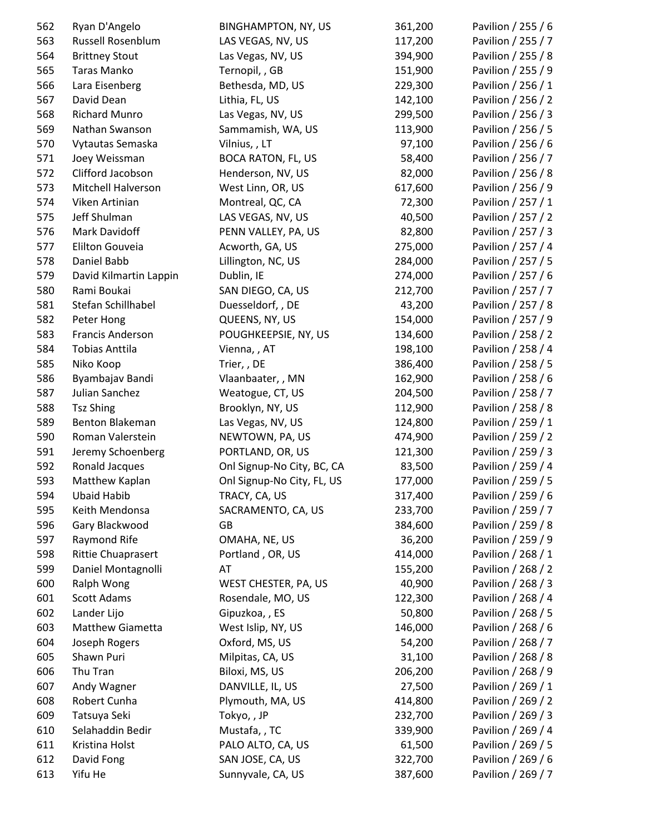| 562 | Ryan D'Angelo             | <b>BINGHAMPTON, NY, US</b> | 361,200 | Pavilion / 255 / 6 |
|-----|---------------------------|----------------------------|---------|--------------------|
| 563 | Russell Rosenblum         | LAS VEGAS, NV, US          | 117,200 | Pavilion / 255 / 7 |
| 564 | <b>Brittney Stout</b>     | Las Vegas, NV, US          | 394,900 | Pavilion / 255 / 8 |
| 565 | Taras Manko               | Ternopil, , GB             | 151,900 | Pavilion / 255 / 9 |
| 566 | Lara Eisenberg            | Bethesda, MD, US           | 229,300 | Pavilion / 256 / 1 |
| 567 | David Dean                | Lithia, FL, US             | 142,100 | Pavilion / 256 / 2 |
| 568 | <b>Richard Munro</b>      | Las Vegas, NV, US          | 299,500 | Pavilion / 256 / 3 |
| 569 | Nathan Swanson            | Sammamish, WA, US          | 113,900 | Pavilion / 256 / 5 |
| 570 | Vytautas Semaska          | Vilnius, , LT              | 97,100  | Pavilion / 256 / 6 |
| 571 | Joey Weissman             | <b>BOCA RATON, FL, US</b>  | 58,400  | Pavilion / 256 / 7 |
| 572 | Clifford Jacobson         | Henderson, NV, US          | 82,000  | Pavilion / 256 / 8 |
| 573 | Mitchell Halverson        | West Linn, OR, US          | 617,600 | Pavilion / 256 / 9 |
| 574 | Viken Artinian            | Montreal, QC, CA           | 72,300  | Pavilion / 257 / 1 |
| 575 | Jeff Shulman              | LAS VEGAS, NV, US          | 40,500  | Pavilion / 257 / 2 |
| 576 | Mark Davidoff             | PENN VALLEY, PA, US        | 82,800  | Pavilion / 257 / 3 |
| 577 | Elilton Gouveia           | Acworth, GA, US            | 275,000 | Pavilion / 257 / 4 |
| 578 | Daniel Babb               | Lillington, NC, US         | 284,000 | Pavilion / 257 / 5 |
| 579 | David Kilmartin Lappin    | Dublin, IE                 | 274,000 | Pavilion / 257 / 6 |
| 580 | Rami Boukai               | SAN DIEGO, CA, US          | 212,700 | Pavilion / 257 / 7 |
| 581 | Stefan Schillhabel        | Duesseldorf, , DE          | 43,200  | Pavilion / 257 / 8 |
| 582 | Peter Hong                | QUEENS, NY, US             | 154,000 | Pavilion / 257 / 9 |
| 583 | Francis Anderson          | POUGHKEEPSIE, NY, US       | 134,600 | Pavilion / 258 / 2 |
| 584 | <b>Tobias Anttila</b>     | Vienna, , AT               | 198,100 | Pavilion / 258 / 4 |
| 585 | Niko Koop                 | Trier, , DE                | 386,400 | Pavilion / 258 / 5 |
| 586 | Byambajav Bandi           | Vlaanbaater, , MN          | 162,900 | Pavilion / 258 / 6 |
| 587 | Julian Sanchez            | Weatogue, CT, US           | 204,500 | Pavilion / 258 / 7 |
| 588 | <b>Tsz Shing</b>          | Brooklyn, NY, US           | 112,900 | Pavilion / 258 / 8 |
| 589 | Benton Blakeman           | Las Vegas, NV, US          | 124,800 | Pavilion / 259 / 1 |
| 590 | Roman Valerstein          | NEWTOWN, PA, US            | 474,900 | Pavilion / 259 / 2 |
| 591 | Jeremy Schoenberg         | PORTLAND, OR, US           | 121,300 | Pavilion / 259 / 3 |
| 592 | Ronald Jacques            | Onl Signup-No City, BC, CA | 83,500  | Pavilion / 259 / 4 |
| 593 | Matthew Kaplan            | Onl Signup-No City, FL, US | 177,000 | Pavilion / 259 / 5 |
| 594 | <b>Ubaid Habib</b>        | TRACY, CA, US              | 317,400 | Pavilion / 259 / 6 |
| 595 | Keith Mendonsa            | SACRAMENTO, CA, US         | 233,700 | Pavilion / 259 / 7 |
| 596 | Gary Blackwood            | GB                         | 384,600 | Pavilion / 259 / 8 |
| 597 | Raymond Rife              | OMAHA, NE, US              | 36,200  | Pavilion / 259 / 9 |
| 598 | <b>Rittie Chuaprasert</b> | Portland, OR, US           | 414,000 | Pavilion / 268 / 1 |
| 599 | Daniel Montagnolli        | AT                         | 155,200 | Pavilion / 268 / 2 |
| 600 | Ralph Wong                | WEST CHESTER, PA, US       | 40,900  | Pavilion / 268 / 3 |
| 601 | <b>Scott Adams</b>        | Rosendale, MO, US          | 122,300 | Pavilion / 268 / 4 |
| 602 | Lander Lijo               | Gipuzkoa, , ES             | 50,800  | Pavilion / 268 / 5 |
| 603 | Matthew Giametta          | West Islip, NY, US         | 146,000 | Pavilion / 268 / 6 |
| 604 | Joseph Rogers             | Oxford, MS, US             | 54,200  | Pavilion / 268 / 7 |
| 605 | Shawn Puri                | Milpitas, CA, US           | 31,100  | Pavilion / 268 / 8 |
| 606 | Thu Tran                  | Biloxi, MS, US             | 206,200 | Pavilion / 268 / 9 |
| 607 | Andy Wagner               | DANVILLE, IL, US           | 27,500  | Pavilion / 269 / 1 |
| 608 | Robert Cunha              | Plymouth, MA, US           | 414,800 | Pavilion / 269 / 2 |
| 609 | Tatsuya Seki              | Tokyo,, JP                 | 232,700 | Pavilion / 269 / 3 |
| 610 | Selahaddin Bedir          | Mustafa, , TC              | 339,900 | Pavilion / 269 / 4 |
| 611 | Kristina Holst            | PALO ALTO, CA, US          | 61,500  | Pavilion / 269 / 5 |
| 612 | David Fong                | SAN JOSE, CA, US           | 322,700 | Pavilion / 269 / 6 |
| 613 | Yifu He                   | Sunnyvale, CA, US          | 387,600 | Pavilion / 269 / 7 |
|     |                           |                            |         |                    |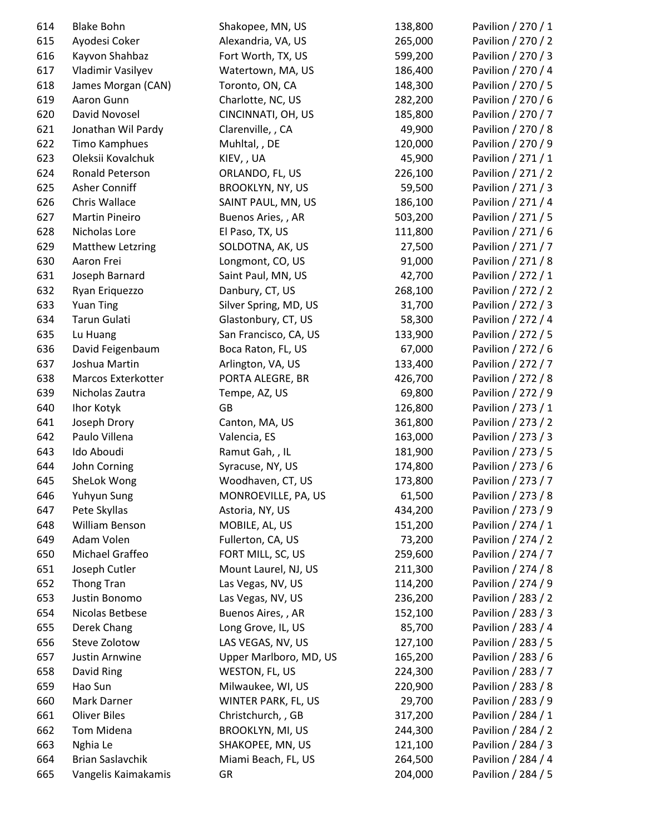| 614 | <b>Blake Bohn</b>       | Shakopee, MN, US        | 138,800 | Pavilion / 270 / 1 |
|-----|-------------------------|-------------------------|---------|--------------------|
| 615 | Ayodesi Coker           | Alexandria, VA, US      | 265,000 | Pavilion / 270 / 2 |
| 616 | Kayvon Shahbaz          | Fort Worth, TX, US      | 599,200 | Pavilion / 270 / 3 |
| 617 | Vladimir Vasilyev       | Watertown, MA, US       | 186,400 | Pavilion / 270 / 4 |
| 618 | James Morgan (CAN)      | Toronto, ON, CA         | 148,300 | Pavilion / 270 / 5 |
| 619 | Aaron Gunn              | Charlotte, NC, US       | 282,200 | Pavilion / 270 / 6 |
| 620 | David Novosel           | CINCINNATI, OH, US      | 185,800 | Pavilion / 270 / 7 |
| 621 | Jonathan Wil Pardy      | Clarenville, , CA       | 49,900  | Pavilion / 270 / 8 |
| 622 | Timo Kamphues           | Muhltal, , DE           | 120,000 | Pavilion / 270 / 9 |
| 623 | Oleksii Kovalchuk       | KIEV, , UA              | 45,900  | Pavilion / 271 / 1 |
| 624 | Ronald Peterson         | ORLANDO, FL, US         | 226,100 | Pavilion / 271 / 2 |
| 625 | Asher Conniff           | <b>BROOKLYN, NY, US</b> | 59,500  | Pavilion / 271 / 3 |
| 626 | Chris Wallace           | SAINT PAUL, MN, US      | 186,100 | Pavilion / 271 / 4 |
| 627 | <b>Martin Pineiro</b>   | Buenos Aries, , AR      | 503,200 | Pavilion / 271 / 5 |
| 628 | Nicholas Lore           | El Paso, TX, US         | 111,800 | Pavilion / 271 / 6 |
| 629 | <b>Matthew Letzring</b> | SOLDOTNA, AK, US        | 27,500  | Pavilion / 271 / 7 |
| 630 | Aaron Frei              | Longmont, CO, US        | 91,000  | Pavilion / 271 / 8 |
| 631 | Joseph Barnard          | Saint Paul, MN, US      | 42,700  | Pavilion / 272 / 1 |
| 632 | Ryan Eriquezzo          | Danbury, CT, US         | 268,100 | Pavilion / 272 / 2 |
| 633 | <b>Yuan Ting</b>        | Silver Spring, MD, US   | 31,700  | Pavilion / 272 / 3 |
| 634 | Tarun Gulati            | Glastonbury, CT, US     | 58,300  | Pavilion / 272 / 4 |
| 635 | Lu Huang                | San Francisco, CA, US   | 133,900 | Pavilion / 272 / 5 |
| 636 | David Feigenbaum        | Boca Raton, FL, US      | 67,000  | Pavilion / 272 / 6 |
| 637 | Joshua Martin           | Arlington, VA, US       | 133,400 | Pavilion / 272 / 7 |
| 638 | Marcos Exterkotter      | PORTA ALEGRE, BR        | 426,700 | Pavilion / 272 / 8 |
| 639 | Nicholas Zautra         | Tempe, AZ, US           | 69,800  | Pavilion / 272 / 9 |
| 640 | Ihor Kotyk              | GB                      | 126,800 | Pavilion / 273 / 1 |
| 641 | Joseph Drory            | Canton, MA, US          | 361,800 | Pavilion / 273 / 2 |
| 642 | Paulo Villena           | Valencia, ES            | 163,000 | Pavilion / 273 / 3 |
| 643 | Ido Aboudi              | Ramut Gah, , IL         | 181,900 | Pavilion / 273 / 5 |
| 644 | John Corning            | Syracuse, NY, US        | 174,800 | Pavilion / 273 / 6 |
| 645 | SheLok Wong             | Woodhaven, CT, US       | 173,800 | Pavilion / 273 / 7 |
| 646 | Yuhyun Sung             | MONROEVILLE, PA, US     | 61,500  | Pavilion / 273 / 8 |
| 647 | Pete Skyllas            | Astoria, NY, US         | 434,200 | Pavilion / 273 / 9 |
| 648 | William Benson          | MOBILE, AL, US          | 151,200 | Pavilion / 274 / 1 |
| 649 | Adam Volen              | Fullerton, CA, US       | 73,200  | Pavilion / 274 / 2 |
| 650 | Michael Graffeo         | FORT MILL, SC, US       | 259,600 | Pavilion / 274 / 7 |
| 651 | Joseph Cutler           | Mount Laurel, NJ, US    | 211,300 | Pavilion / 274 / 8 |
| 652 | Thong Tran              | Las Vegas, NV, US       | 114,200 | Pavilion / 274 / 9 |
| 653 | Justin Bonomo           | Las Vegas, NV, US       | 236,200 | Pavilion / 283 / 2 |
| 654 | Nicolas Betbese         | Buenos Aires, , AR      | 152,100 | Pavilion / 283 / 3 |
| 655 | Derek Chang             | Long Grove, IL, US      | 85,700  | Pavilion / 283 / 4 |
| 656 | Steve Zolotow           | LAS VEGAS, NV, US       | 127,100 | Pavilion / 283 / 5 |
| 657 | Justin Arnwine          | Upper Marlboro, MD, US  | 165,200 | Pavilion / 283 / 6 |
| 658 | David Ring              | WESTON, FL, US          | 224,300 | Pavilion / 283 / 7 |
| 659 | Hao Sun                 | Milwaukee, WI, US       | 220,900 | Pavilion / 283 / 8 |
| 660 | Mark Darner             | WINTER PARK, FL, US     | 29,700  | Pavilion / 283 / 9 |
| 661 | <b>Oliver Biles</b>     | Christchurch, , GB      | 317,200 | Pavilion / 284 / 1 |
| 662 | Tom Midena              | <b>BROOKLYN, MI, US</b> | 244,300 | Pavilion / 284 / 2 |
| 663 | Nghia Le                | SHAKOPEE, MN, US        | 121,100 | Pavilion / 284 / 3 |
| 664 | <b>Brian Saslavchik</b> | Miami Beach, FL, US     | 264,500 | Pavilion / 284 / 4 |
| 665 | Vangelis Kaimakamis     | GR                      | 204,000 | Pavilion / 284 / 5 |
|     |                         |                         |         |                    |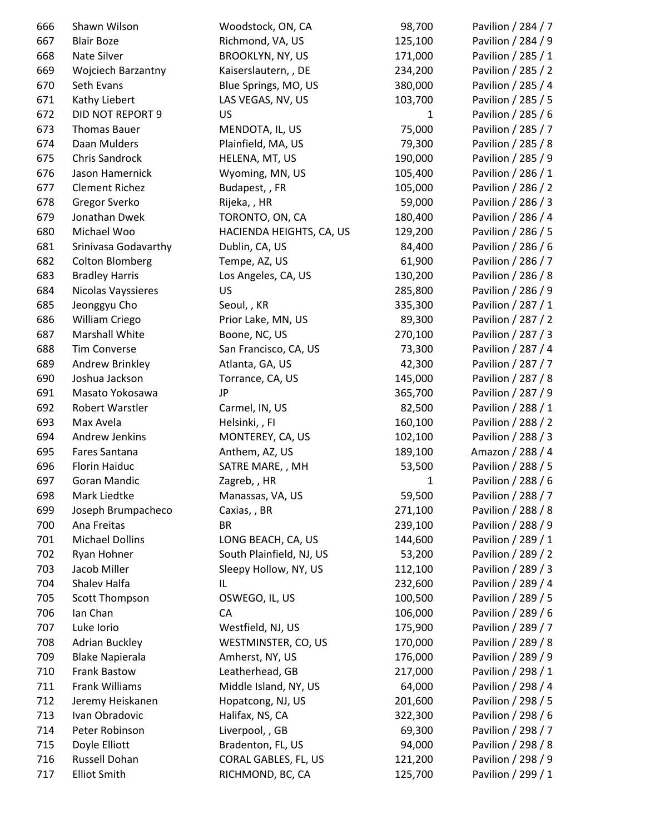| 666 | Shawn Wilson              | Woodstock, ON, CA        | 98,700       | Pavilion / 284 / 7 |
|-----|---------------------------|--------------------------|--------------|--------------------|
| 667 | <b>Blair Boze</b>         | Richmond, VA, US         | 125,100      | Pavilion / 284 / 9 |
| 668 | Nate Silver               | <b>BROOKLYN, NY, US</b>  | 171,000      | Pavilion / 285 / 1 |
| 669 | <b>Wojciech Barzantny</b> | Kaiserslautern, , DE     | 234,200      | Pavilion / 285 / 2 |
| 670 | Seth Evans                | Blue Springs, MO, US     | 380,000      | Pavilion / 285 / 4 |
| 671 | Kathy Liebert             | LAS VEGAS, NV, US        | 103,700      | Pavilion / 285 / 5 |
| 672 | DID NOT REPORT 9          | US                       | $\mathbf{1}$ | Pavilion / 285 / 6 |
| 673 | <b>Thomas Bauer</b>       | MENDOTA, IL, US          | 75,000       | Pavilion / 285 / 7 |
| 674 | Daan Mulders              | Plainfield, MA, US       | 79,300       | Pavilion / 285 / 8 |
| 675 | Chris Sandrock            | HELENA, MT, US           | 190,000      | Pavilion / 285 / 9 |
| 676 | Jason Hamernick           | Wyoming, MN, US          | 105,400      | Pavilion / 286 / 1 |
| 677 | <b>Clement Richez</b>     | Budapest, , FR           | 105,000      | Pavilion / 286 / 2 |
| 678 | Gregor Sverko             | Rijeka,, HR              | 59,000       | Pavilion / 286 / 3 |
| 679 | Jonathan Dwek             | TORONTO, ON, CA          | 180,400      | Pavilion / 286 / 4 |
| 680 | Michael Woo               | HACIENDA HEIGHTS, CA, US | 129,200      | Pavilion / 286 / 5 |
| 681 | Srinivasa Godavarthy      | Dublin, CA, US           | 84,400       | Pavilion / 286 / 6 |
| 682 | <b>Colton Blomberg</b>    | Tempe, AZ, US            | 61,900       | Pavilion / 286 / 7 |
| 683 | <b>Bradley Harris</b>     | Los Angeles, CA, US      | 130,200      | Pavilion / 286 / 8 |
| 684 | Nicolas Vayssieres        | US                       | 285,800      | Pavilion / 286 / 9 |
| 685 | Jeonggyu Cho              | Seoul, , KR              | 335,300      | Pavilion / 287 / 1 |
| 686 | William Criego            | Prior Lake, MN, US       | 89,300       | Pavilion / 287 / 2 |
| 687 | Marshall White            | Boone, NC, US            | 270,100      | Pavilion / 287 / 3 |
| 688 | <b>Tim Converse</b>       | San Francisco, CA, US    | 73,300       | Pavilion / 287 / 4 |
| 689 | Andrew Brinkley           | Atlanta, GA, US          | 42,300       | Pavilion / 287 / 7 |
| 690 | Joshua Jackson            | Torrance, CA, US         | 145,000      | Pavilion / 287 / 8 |
| 691 | Masato Yokosawa           | <b>JP</b>                | 365,700      | Pavilion / 287 / 9 |
| 692 | Robert Warstler           | Carmel, IN, US           | 82,500       | Pavilion / 288 / 1 |
| 693 | Max Avela                 | Helsinki,, FI            | 160,100      | Pavilion / 288 / 2 |
| 694 | Andrew Jenkins            | MONTEREY, CA, US         | 102,100      | Pavilion / 288 / 3 |
| 695 | Fares Santana             | Anthem, AZ, US           | 189,100      | Amazon / 288 / 4   |
| 696 | Florin Haiduc             | SATRE MARE, , MH         | 53,500       | Pavilion / 288 / 5 |
| 697 | Goran Mandic              | Zagreb, , HR             | $\mathbf{1}$ | Pavilion / 288 / 6 |
| 698 | Mark Liedtke              | Manassas, VA, US         | 59,500       | Pavilion / 288 / 7 |
| 699 | Joseph Brumpacheco        | Caxias, , BR             | 271,100      | Pavilion / 288 / 8 |
| 700 | Ana Freitas               | <b>BR</b>                | 239,100      | Pavilion / 288 / 9 |
| 701 | <b>Michael Dollins</b>    | LONG BEACH, CA, US       | 144,600      | Pavilion / 289 / 1 |
| 702 | Ryan Hohner               | South Plainfield, NJ, US | 53,200       | Pavilion / 289 / 2 |
| 703 | Jacob Miller              | Sleepy Hollow, NY, US    | 112,100      | Pavilion / 289 / 3 |
| 704 | Shalev Halfa              | IL                       | 232,600      | Pavilion / 289 / 4 |
| 705 | Scott Thompson            | OSWEGO, IL, US           | 100,500      | Pavilion / 289 / 5 |
| 706 | Ian Chan                  | CA                       | 106,000      | Pavilion / 289 / 6 |
| 707 | Luke Iorio                | Westfield, NJ, US        | 175,900      | Pavilion / 289 / 7 |
| 708 | <b>Adrian Buckley</b>     | WESTMINSTER, CO, US      | 170,000      | Pavilion / 289 / 8 |
| 709 | <b>Blake Napierala</b>    | Amherst, NY, US          | 176,000      | Pavilion / 289 / 9 |
| 710 | <b>Frank Bastow</b>       | Leatherhead, GB          | 217,000      | Pavilion / 298 / 1 |
| 711 | Frank Williams            | Middle Island, NY, US    | 64,000       | Pavilion / 298 / 4 |
| 712 | Jeremy Heiskanen          | Hopatcong, NJ, US        | 201,600      | Pavilion / 298 / 5 |
| 713 | Ivan Obradovic            | Halifax, NS, CA          | 322,300      | Pavilion / 298 / 6 |
| 714 | Peter Robinson            | Liverpool, , GB          | 69,300       | Pavilion / 298 / 7 |
| 715 | Doyle Elliott             | Bradenton, FL, US        | 94,000       | Pavilion / 298 / 8 |
| 716 | Russell Dohan             | CORAL GABLES, FL, US     | 121,200      | Pavilion / 298 / 9 |
| 717 | <b>Elliot Smith</b>       | RICHMOND, BC, CA         | 125,700      | Pavilion / 299 / 1 |
|     |                           |                          |              |                    |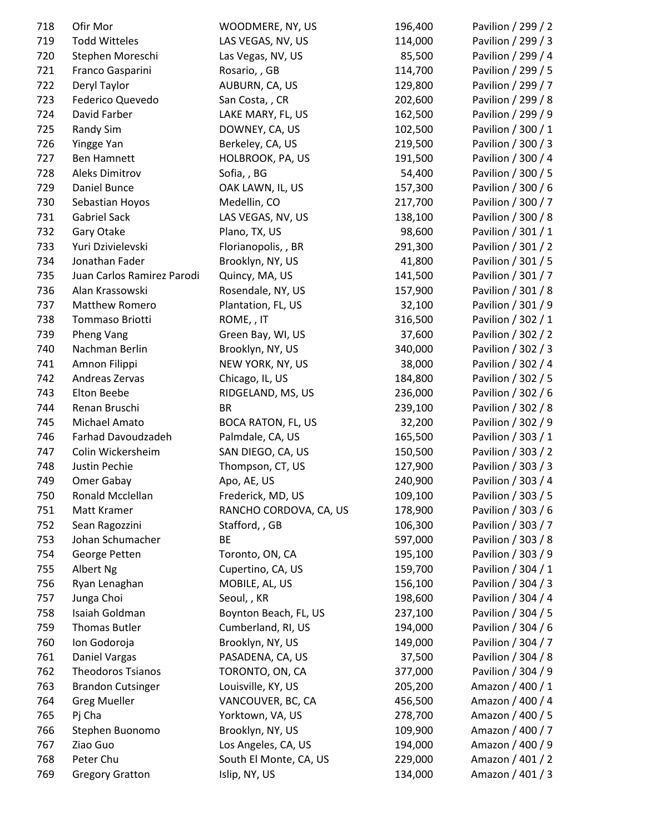| 718 | Ofir Mor                   | WOODMERE, NY, US          | 196,400 | Pavilion / 299 / 2 |
|-----|----------------------------|---------------------------|---------|--------------------|
| 719 | <b>Todd Witteles</b>       | LAS VEGAS, NV, US         | 114,000 | Pavilion / 299 / 3 |
| 720 | Stephen Moreschi           | Las Vegas, NV, US         | 85,500  | Pavilion / 299 / 4 |
| 721 | Franco Gasparini           | Rosario, , GB             | 114,700 | Pavilion / 299 / 5 |
| 722 | Deryl Taylor               | AUBURN, CA, US            | 129,800 | Pavilion / 299 / 7 |
| 723 | Federico Quevedo           | San Costa, , CR           | 202,600 | Pavilion / 299 / 8 |
| 724 | David Farber               | LAKE MARY, FL, US         | 162,500 | Pavilion / 299 / 9 |
| 725 | <b>Randy Sim</b>           | DOWNEY, CA, US            | 102,500 | Pavilion / 300 / 1 |
| 726 | Yingge Yan                 | Berkeley, CA, US          | 219,500 | Pavilion / 300 / 3 |
| 727 | <b>Ben Hamnett</b>         | HOLBROOK, PA, US          | 191,500 | Pavilion / 300 / 4 |
| 728 | <b>Aleks Dimitrov</b>      | Sofia, BG                 | 54,400  | Pavilion / 300 / 5 |
| 729 | Daniel Bunce               | OAK LAWN, IL, US          | 157,300 | Pavilion / 300 / 6 |
| 730 | Sebastian Hoyos            | Medellin, CO              | 217,700 | Pavilion / 300 / 7 |
| 731 | <b>Gabriel Sack</b>        | LAS VEGAS, NV, US         | 138,100 | Pavilion / 300 / 8 |
| 732 | Gary Otake                 | Plano, TX, US             | 98,600  | Pavilion / 301 / 1 |
| 733 | Yuri Dzivielevski          | Florianopolis, , BR       | 291,300 | Pavilion / 301 / 2 |
| 734 | Jonathan Fader             | Brooklyn, NY, US          | 41,800  | Pavilion / 301 / 5 |
| 735 | Juan Carlos Ramirez Parodi | Quincy, MA, US            | 141,500 | Pavilion / 301 / 7 |
| 736 | Alan Krassowski            | Rosendale, NY, US         | 157,900 | Pavilion / 301 / 8 |
| 737 | Matthew Romero             | Plantation, FL, US        | 32,100  | Pavilion / 301 / 9 |
| 738 | Tommaso Briotti            | ROME, , IT                | 316,500 | Pavilion / 302 / 1 |
| 739 | Pheng Vang                 | Green Bay, WI, US         | 37,600  | Pavilion / 302 / 2 |
| 740 | Nachman Berlin             | Brooklyn, NY, US          | 340,000 | Pavilion / 302 / 3 |
| 741 | Amnon Filippi              | NEW YORK, NY, US          | 38,000  | Pavilion / 302 / 4 |
| 742 | Andreas Zervas             | Chicago, IL, US           | 184,800 | Pavilion / 302 / 5 |
| 743 | Elton Beebe                | RIDGELAND, MS, US         | 236,000 | Pavilion / 302 / 6 |
| 744 | Renan Bruschi              | <b>BR</b>                 | 239,100 | Pavilion / 302 / 8 |
| 745 | Michael Amato              | <b>BOCA RATON, FL, US</b> | 32,200  | Pavilion / 302 / 9 |
| 746 | Farhad Davoudzadeh         | Palmdale, CA, US          | 165,500 | Pavilion / 303 / 1 |
| 747 | Colin Wickersheim          | SAN DIEGO, CA, US         | 150,500 | Pavilion / 303 / 2 |
| 748 | Justin Pechie              | Thompson, CT, US          | 127,900 | Pavilion / 303 / 3 |
| 749 | Omer Gabay                 | Apo, AE, US               | 240,900 | Pavilion / 303 / 4 |
| 750 | Ronald Mcclellan           | Frederick, MD, US         | 109,100 | Pavilion / 303 / 5 |
| 751 | Matt Kramer                | RANCHO CORDOVA, CA, US    | 178,900 | Pavilion / 303 / 6 |
| 752 | Sean Ragozzini             | Stafford, , GB            | 106,300 | Pavilion / 303 / 7 |
|     | Johan Schumacher           | BE                        |         |                    |
| 753 |                            |                           | 597,000 | Pavilion / 303 / 8 |
| 754 | George Petten              | Toronto, ON, CA           | 195,100 | Pavilion / 303 / 9 |
| 755 | Albert Ng                  | Cupertino, CA, US         | 159,700 | Pavilion / 304 / 1 |
| 756 | Ryan Lenaghan              | MOBILE, AL, US            | 156,100 | Pavilion / 304 / 3 |
| 757 | Junga Choi                 | Seoul, , KR               | 198,600 | Pavilion / 304 / 4 |
| 758 | Isaiah Goldman             | Boynton Beach, FL, US     | 237,100 | Pavilion / 304 / 5 |
| 759 | <b>Thomas Butler</b>       | Cumberland, RI, US        | 194,000 | Pavilion / 304 / 6 |
| 760 | Ion Godoroja               | Brooklyn, NY, US          | 149,000 | Pavilion / 304 / 7 |
| 761 | Daniel Vargas              | PASADENA, CA, US          | 37,500  | Pavilion / 304 / 8 |
| 762 | <b>Theodoros Tsianos</b>   | TORONTO, ON, CA           | 377,000 | Pavilion / 304 / 9 |
| 763 | <b>Brandon Cutsinger</b>   | Louisville, KY, US        | 205,200 | Amazon / 400 / 1   |
| 764 | <b>Greg Mueller</b>        | VANCOUVER, BC, CA         | 456,500 | Amazon / 400 / 4   |
| 765 | Pj Cha                     | Yorktown, VA, US          | 278,700 | Amazon / 400 / 5   |
| 766 | Stephen Buonomo            | Brooklyn, NY, US          | 109,900 | Amazon / 400 / 7   |
| 767 | Ziao Guo                   | Los Angeles, CA, US       | 194,000 | Amazon / 400 / 9   |
| 768 | Peter Chu                  | South El Monte, CA, US    | 229,000 | Amazon / 401 / 2   |
| 769 | <b>Gregory Gratton</b>     | Islip, NY, US             | 134,000 | Amazon / 401 / 3   |
|     |                            |                           |         |                    |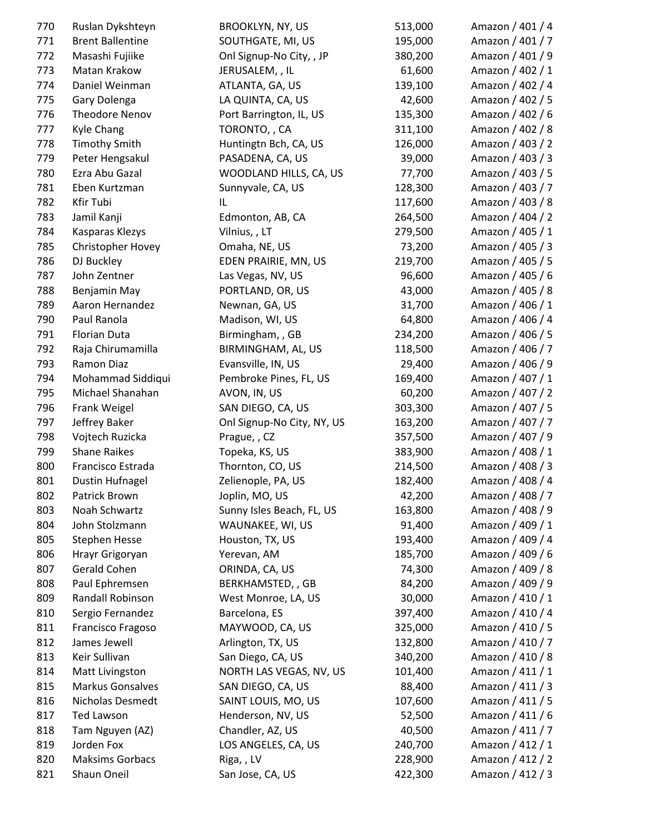| 770 | Ruslan Dykshteyn        | <b>BROOKLYN, NY, US</b>    | 513,000 | Amazon / 401 / 4 |
|-----|-------------------------|----------------------------|---------|------------------|
| 771 | <b>Brent Ballentine</b> | SOUTHGATE, MI, US          | 195,000 | Amazon / 401 / 7 |
| 772 | Masashi Fujiike         | Onl Signup-No City, , JP   | 380,200 | Amazon / 401 / 9 |
| 773 | Matan Krakow            | JERUSALEM, , IL            | 61,600  | Amazon / 402 / 1 |
| 774 | Daniel Weinman          | ATLANTA, GA, US            | 139,100 | Amazon / 402 / 4 |
| 775 | Gary Dolenga            | LA QUINTA, CA, US          | 42,600  | Amazon / 402 / 5 |
| 776 | <b>Theodore Nenov</b>   | Port Barrington, IL, US    | 135,300 | Amazon / 402 / 6 |
| 777 | <b>Kyle Chang</b>       | TORONTO,, CA               | 311,100 | Amazon / 402 / 8 |
| 778 | <b>Timothy Smith</b>    | Huntingtn Bch, CA, US      | 126,000 | Amazon / 403 / 2 |
| 779 | Peter Hengsakul         | PASADENA, CA, US           | 39,000  | Amazon / 403 / 3 |
| 780 | Ezra Abu Gazal          | WOODLAND HILLS, CA, US     | 77,700  | Amazon / 403 / 5 |
| 781 | Eben Kurtzman           | Sunnyvale, CA, US          | 128,300 | Amazon / 403 / 7 |
| 782 | Kfir Tubi               | IL                         | 117,600 | Amazon / 403 / 8 |
| 783 | Jamil Kanji             | Edmonton, AB, CA           | 264,500 | Amazon / 404 / 2 |
| 784 | Kasparas Klezys         | Vilnius, , LT              | 279,500 | Amazon / 405 / 1 |
| 785 | Christopher Hovey       | Omaha, NE, US              | 73,200  | Amazon / 405 / 3 |
| 786 | DJ Buckley              | EDEN PRAIRIE, MN, US       | 219,700 | Amazon / 405 / 5 |
| 787 | John Zentner            | Las Vegas, NV, US          | 96,600  | Amazon / 405 / 6 |
| 788 | Benjamin May            | PORTLAND, OR, US           | 43,000  | Amazon / 405 / 8 |
| 789 | Aaron Hernandez         | Newnan, GA, US             | 31,700  | Amazon / 406 / 1 |
| 790 | Paul Ranola             | Madison, WI, US            | 64,800  | Amazon / 406 / 4 |
| 791 | Florian Duta            | Birmingham, , GB           | 234,200 | Amazon / 406 / 5 |
| 792 | Raja Chirumamilla       | BIRMINGHAM, AL, US         | 118,500 | Amazon / 406 / 7 |
| 793 | Ramon Diaz              | Evansville, IN, US         | 29,400  | Amazon / 406 / 9 |
| 794 | Mohammad Siddiqui       | Pembroke Pines, FL, US     | 169,400 | Amazon / 407 / 1 |
| 795 | Michael Shanahan        | AVON, IN, US               | 60,200  | Amazon / 407 / 2 |
| 796 | Frank Weigel            | SAN DIEGO, CA, US          | 303,300 | Amazon / 407 / 5 |
| 797 | Jeffrey Baker           | Onl Signup-No City, NY, US | 163,200 | Amazon / 407 / 7 |
| 798 | Vojtech Ruzicka         |                            | 357,500 | Amazon / 407 / 9 |
|     | <b>Shane Raikes</b>     | Prague, , CZ               |         |                  |
| 799 | Francisco Estrada       | Topeka, KS, US             | 383,900 | Amazon / 408 / 1 |
| 800 |                         | Thornton, CO, US           | 214,500 | Amazon / 408 / 3 |
| 801 | <b>Dustin Hufnagel</b>  | Zelienople, PA, US         | 182,400 | Amazon / 408 / 4 |
| 802 | Patrick Brown           | Joplin, MO, US             | 42,200  | Amazon / 408 / 7 |
| 803 | Noah Schwartz           | Sunny Isles Beach, FL, US  | 163,800 | Amazon / 408 / 9 |
| 804 | John Stolzmann          | WAUNAKEE, WI, US           | 91,400  | Amazon / 409 / 1 |
| 805 | <b>Stephen Hesse</b>    | Houston, TX, US            | 193,400 | Amazon / 409 / 4 |
| 806 | Hrayr Grigoryan         | Yerevan, AM                | 185,700 | Amazon / 409 / 6 |
| 807 | Gerald Cohen            | ORINDA, CA, US             | 74,300  | Amazon / 409 / 8 |
| 808 | Paul Ephremsen          | BERKHAMSTED, , GB          | 84,200  | Amazon / 409 / 9 |
| 809 | Randall Robinson        | West Monroe, LA, US        | 30,000  | Amazon / 410 / 1 |
| 810 | Sergio Fernandez        | Barcelona, ES              | 397,400 | Amazon / 410 / 4 |
| 811 | Francisco Fragoso       | MAYWOOD, CA, US            | 325,000 | Amazon / 410 / 5 |
| 812 | James Jewell            | Arlington, TX, US          | 132,800 | Amazon / 410 / 7 |
| 813 | Keir Sullivan           | San Diego, CA, US          | 340,200 | Amazon / 410 / 8 |
| 814 | Matt Livingston         | NORTH LAS VEGAS, NV, US    | 101,400 | Amazon / 411 / 1 |
| 815 | Markus Gonsalves        | SAN DIEGO, CA, US          | 88,400  | Amazon / 411 / 3 |
| 816 | Nicholas Desmedt        | SAINT LOUIS, MO, US        | 107,600 | Amazon / 411 / 5 |
| 817 | Ted Lawson              | Henderson, NV, US          | 52,500  | Amazon / 411 / 6 |
| 818 | Tam Nguyen (AZ)         | Chandler, AZ, US           | 40,500  | Amazon / 411 / 7 |
| 819 | Jorden Fox              | LOS ANGELES, CA, US        | 240,700 | Amazon / 412 / 1 |
| 820 | <b>Maksims Gorbacs</b>  | Riga, , LV                 | 228,900 | Amazon / 412 / 2 |
| 821 | Shaun Oneil             | San Jose, CA, US           | 422,300 | Amazon / 412 / 3 |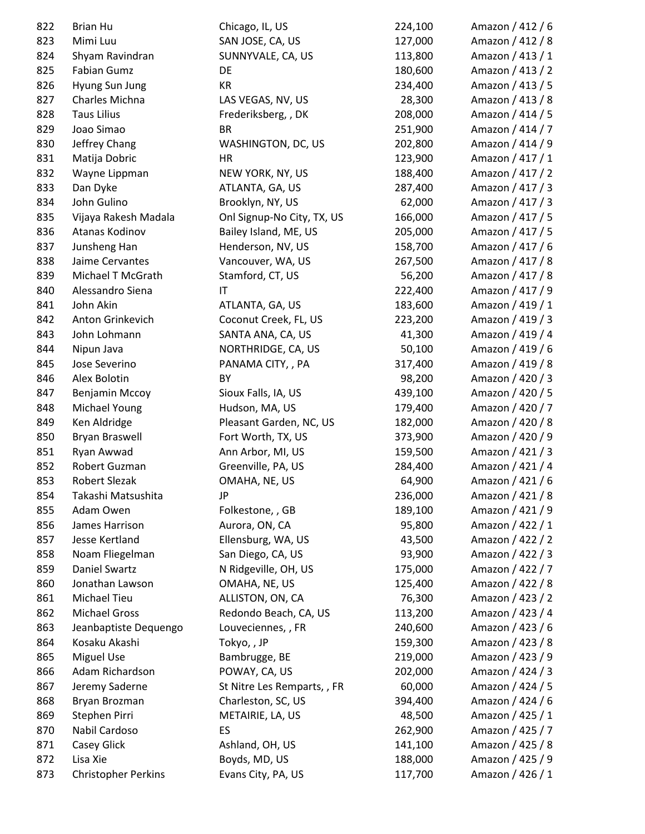| 822 | <b>Brian Hu</b>            | Chicago, IL, US             | 224,100 | Amazon / 412 / 6 |
|-----|----------------------------|-----------------------------|---------|------------------|
| 823 | Mimi Luu                   | SAN JOSE, CA, US            | 127,000 | Amazon / 412 / 8 |
| 824 | Shyam Ravindran            | SUNNYVALE, CA, US           | 113,800 | Amazon / 413 / 1 |
| 825 | <b>Fabian Gumz</b>         | DE                          | 180,600 | Amazon / 413 / 2 |
| 826 | Hyung Sun Jung             | KR                          | 234,400 | Amazon / 413 / 5 |
| 827 | Charles Michna             | LAS VEGAS, NV, US           | 28,300  | Amazon / 413 / 8 |
| 828 | <b>Taus Lilius</b>         | Frederiksberg, , DK         | 208,000 | Amazon / 414 / 5 |
| 829 | Joao Simao                 | <b>BR</b>                   | 251,900 | Amazon / 414 / 7 |
| 830 | Jeffrey Chang              | WASHINGTON, DC, US          | 202,800 | Amazon / 414 / 9 |
| 831 | Matija Dobric              | HR                          | 123,900 | Amazon / 417 / 1 |
| 832 | Wayne Lippman              | NEW YORK, NY, US            | 188,400 | Amazon / 417 / 2 |
| 833 | Dan Dyke                   | ATLANTA, GA, US             | 287,400 | Amazon / 417 / 3 |
| 834 | John Gulino                | Brooklyn, NY, US            | 62,000  | Amazon / 417 / 3 |
| 835 | Vijaya Rakesh Madala       | Onl Signup-No City, TX, US  | 166,000 | Amazon / 417 / 5 |
| 836 | Atanas Kodinov             | Bailey Island, ME, US       | 205,000 | Amazon / 417 / 5 |
| 837 | Junsheng Han               | Henderson, NV, US           | 158,700 | Amazon / 417 / 6 |
| 838 | Jaime Cervantes            | Vancouver, WA, US           | 267,500 | Amazon / 417 / 8 |
| 839 | Michael T McGrath          | Stamford, CT, US            | 56,200  | Amazon / 417 / 8 |
| 840 | Alessandro Siena           | $\mathsf{I}\mathsf{T}$      | 222,400 | Amazon / 417 / 9 |
| 841 | John Akin                  | ATLANTA, GA, US             | 183,600 | Amazon / 419 / 1 |
| 842 | Anton Grinkevich           | Coconut Creek, FL, US       | 223,200 | Amazon / 419 / 3 |
| 843 | John Lohmann               | SANTA ANA, CA, US           | 41,300  | Amazon / 419 / 4 |
| 844 | Nipun Java                 | NORTHRIDGE, CA, US          | 50,100  | Amazon / 419 / 6 |
| 845 | Jose Severino              | PANAMA CITY, , PA           | 317,400 | Amazon / 419 / 8 |
| 846 | Alex Bolotin               | BY                          | 98,200  | Amazon / 420 / 3 |
| 847 | Benjamin Mccoy             | Sioux Falls, IA, US         | 439,100 | Amazon / 420 / 5 |
| 848 | Michael Young              | Hudson, MA, US              | 179,400 | Amazon / 420 / 7 |
| 849 | Ken Aldridge               | Pleasant Garden, NC, US     | 182,000 | Amazon / 420 / 8 |
| 850 | Bryan Braswell             | Fort Worth, TX, US          | 373,900 | Amazon / 420 / 9 |
| 851 | Ryan Awwad                 | Ann Arbor, MI, US           | 159,500 | Amazon / 421 / 3 |
| 852 | Robert Guzman              | Greenville, PA, US          | 284,400 | Amazon / 421 / 4 |
| 853 | <b>Robert Slezak</b>       | OMAHA, NE, US               | 64,900  | Amazon / 421 / 6 |
| 854 | Takashi Matsushita         | JP                          | 236,000 | Amazon / 421 / 8 |
| 855 | Adam Owen                  | Folkestone, , GB            | 189,100 | Amazon / 421 / 9 |
| 856 | James Harrison             | Aurora, ON, CA              | 95,800  | Amazon / 422 / 1 |
| 857 | Jesse Kertland             | Ellensburg, WA, US          | 43,500  | Amazon / 422 / 2 |
| 858 | Noam Fliegelman            | San Diego, CA, US           | 93,900  | Amazon / 422 / 3 |
| 859 | Daniel Swartz              | N Ridgeville, OH, US        | 175,000 | Amazon / 422 / 7 |
|     | Jonathan Lawson            |                             |         | Amazon / 422 / 8 |
| 860 |                            | OMAHA, NE, US               | 125,400 |                  |
| 861 | Michael Tieu               | ALLISTON, ON, CA            | 76,300  | Amazon / 423 / 2 |
| 862 | <b>Michael Gross</b>       | Redondo Beach, CA, US       | 113,200 | Amazon / 423 / 4 |
| 863 | Jeanbaptiste Dequengo      | Louveciennes, , FR          | 240,600 | Amazon / 423 / 6 |
| 864 | Kosaku Akashi              | Tokyo,, JP                  | 159,300 | Amazon / 423 / 8 |
| 865 | <b>Miguel Use</b>          | Bambrugge, BE               | 219,000 | Amazon / 423 / 9 |
| 866 | Adam Richardson            | POWAY, CA, US               | 202,000 | Amazon / 424 / 3 |
| 867 | Jeremy Saderne             | St Nitre Les Remparts, , FR | 60,000  | Amazon / 424 / 5 |
| 868 | Bryan Brozman              | Charleston, SC, US          | 394,400 | Amazon / 424 / 6 |
| 869 | Stephen Pirri              | METAIRIE, LA, US            | 48,500  | Amazon / 425 / 1 |
| 870 | Nabil Cardoso              | ES                          | 262,900 | Amazon / 425 / 7 |
| 871 | Casey Glick                | Ashland, OH, US             | 141,100 | Amazon / 425 / 8 |
| 872 | Lisa Xie                   | Boyds, MD, US               | 188,000 | Amazon / 425 / 9 |
| 873 | <b>Christopher Perkins</b> | Evans City, PA, US          | 117,700 | Amazon / 426 / 1 |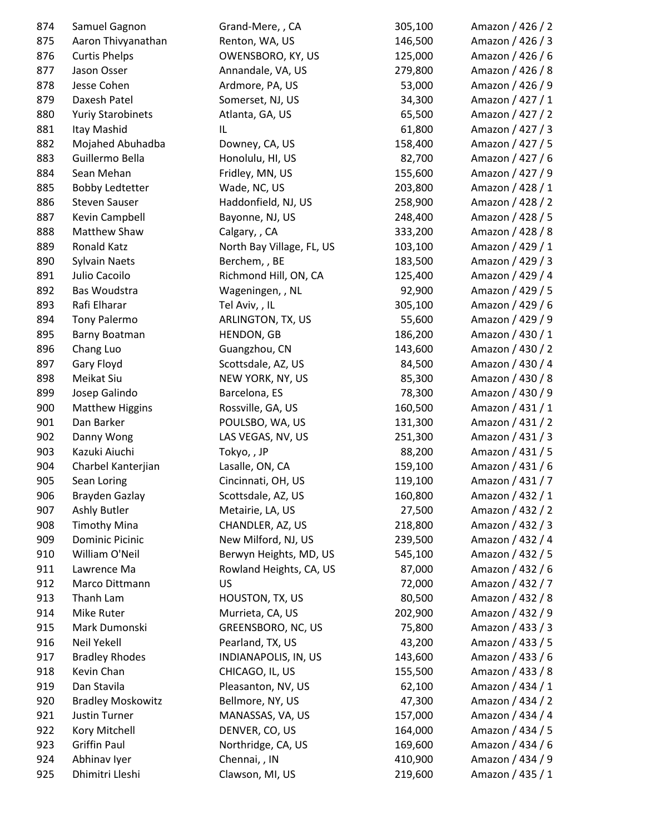| 874 | Samuel Gagnon            | Grand-Mere, , CA          | 305,100 | Amazon / 426 / 2 |
|-----|--------------------------|---------------------------|---------|------------------|
| 875 | Aaron Thivyanathan       | Renton, WA, US            | 146,500 | Amazon / 426 / 3 |
| 876 | <b>Curtis Phelps</b>     | OWENSBORO, KY, US         | 125,000 | Amazon / 426 / 6 |
| 877 | Jason Osser              | Annandale, VA, US         | 279,800 | Amazon / 426 / 8 |
| 878 | Jesse Cohen              | Ardmore, PA, US           | 53,000  | Amazon / 426 / 9 |
| 879 | Daxesh Patel             | Somerset, NJ, US          | 34,300  | Amazon / 427 / 1 |
| 880 | <b>Yuriy Starobinets</b> | Atlanta, GA, US           | 65,500  | Amazon / 427 / 2 |
| 881 | Itay Mashid              | IL                        | 61,800  | Amazon / 427 / 3 |
| 882 | Mojahed Abuhadba         | Downey, CA, US            | 158,400 | Amazon / 427 / 5 |
| 883 | Guillermo Bella          | Honolulu, HI, US          | 82,700  | Amazon / 427 / 6 |
| 884 | Sean Mehan               | Fridley, MN, US           | 155,600 | Amazon / 427 / 9 |
| 885 | <b>Bobby Ledtetter</b>   | Wade, NC, US              | 203,800 | Amazon / 428 / 1 |
| 886 | <b>Steven Sauser</b>     | Haddonfield, NJ, US       | 258,900 | Amazon / 428 / 2 |
| 887 | Kevin Campbell           | Bayonne, NJ, US           | 248,400 | Amazon / 428 / 5 |
| 888 | Matthew Shaw             | Calgary, , CA             | 333,200 | Amazon / 428 / 8 |
| 889 | Ronald Katz              | North Bay Village, FL, US | 103,100 | Amazon / 429 / 1 |
| 890 | <b>Sylvain Naets</b>     | Berchem, , BE             | 183,500 | Amazon / 429 / 3 |
| 891 | Julio Cacoilo            | Richmond Hill, ON, CA     | 125,400 | Amazon / 429 / 4 |
| 892 | Bas Woudstra             | Wageningen, , NL          | 92,900  | Amazon / 429 / 5 |
| 893 | Rafi Elharar             | Tel Aviv, , IL            | 305,100 | Amazon / 429 / 6 |
| 894 | <b>Tony Palermo</b>      | ARLINGTON, TX, US         | 55,600  | Amazon / 429 / 9 |
| 895 | Barny Boatman            | HENDON, GB                | 186,200 | Amazon / 430 / 1 |
| 896 | Chang Luo                | Guangzhou, CN             | 143,600 | Amazon / 430 / 2 |
| 897 | Gary Floyd               | Scottsdale, AZ, US        | 84,500  | Amazon / 430 / 4 |
| 898 | Meikat Siu               | NEW YORK, NY, US          | 85,300  | Amazon / 430 / 8 |
| 899 | Josep Galindo            | Barcelona, ES             | 78,300  | Amazon / 430 / 9 |
| 900 | <b>Matthew Higgins</b>   | Rossville, GA, US         | 160,500 | Amazon / 431 / 1 |
| 901 | Dan Barker               | POULSBO, WA, US           | 131,300 | Amazon / 431 / 2 |
| 902 | Danny Wong               | LAS VEGAS, NV, US         | 251,300 | Amazon / 431 / 3 |
| 903 | Kazuki Aiuchi            | Tokyo,, JP                | 88,200  | Amazon / 431 / 5 |
| 904 | Charbel Kanterjian       | Lasalle, ON, CA           | 159,100 | Amazon / 431 / 6 |
| 905 | Sean Loring              | Cincinnati, OH, US        | 119,100 | Amazon / 431 / 7 |
| 906 | Brayden Gazlay           | Scottsdale, AZ, US        | 160,800 | Amazon / 432 / 1 |
| 907 | Ashly Butler             | Metairie, LA, US          | 27,500  | Amazon / 432 / 2 |
| 908 | <b>Timothy Mina</b>      | CHANDLER, AZ, US          | 218,800 | Amazon / 432 / 3 |
| 909 | <b>Dominic Picinic</b>   | New Milford, NJ, US       | 239,500 | Amazon / 432 / 4 |
| 910 | William O'Neil           | Berwyn Heights, MD, US    | 545,100 | Amazon / 432 / 5 |
| 911 | Lawrence Ma              | Rowland Heights, CA, US   | 87,000  | Amazon / 432 / 6 |
| 912 | Marco Dittmann           | <b>US</b>                 | 72,000  | Amazon / 432 / 7 |
| 913 | Thanh Lam                | HOUSTON, TX, US           | 80,500  | Amazon / 432 / 8 |
| 914 | Mike Ruter               | Murrieta, CA, US          | 202,900 | Amazon / 432 / 9 |
| 915 | Mark Dumonski            | GREENSBORO, NC, US        | 75,800  | Amazon / 433 / 3 |
| 916 | Neil Yekell              | Pearland, TX, US          | 43,200  | Amazon / 433 / 5 |
| 917 | <b>Bradley Rhodes</b>    | INDIANAPOLIS, IN, US      | 143,600 | Amazon / 433 / 6 |
| 918 | Kevin Chan               | CHICAGO, IL, US           | 155,500 | Amazon / 433 / 8 |
| 919 | Dan Stavila              | Pleasanton, NV, US        | 62,100  | Amazon / 434 / 1 |
| 920 | <b>Bradley Moskowitz</b> | Bellmore, NY, US          | 47,300  | Amazon / 434 / 2 |
| 921 | Justin Turner            | MANASSAS, VA, US          | 157,000 | Amazon / 434 / 4 |
| 922 | Kory Mitchell            | DENVER, CO, US            | 164,000 | Amazon / 434 / 5 |
| 923 | <b>Griffin Paul</b>      | Northridge, CA, US        | 169,600 | Amazon / 434 / 6 |
| 924 | Abhinav Iyer             | Chennai, , IN             | 410,900 | Amazon / 434 / 9 |
| 925 | Dhimitri Lleshi          | Clawson, MI, US           | 219,600 | Amazon / 435 / 1 |
|     |                          |                           |         |                  |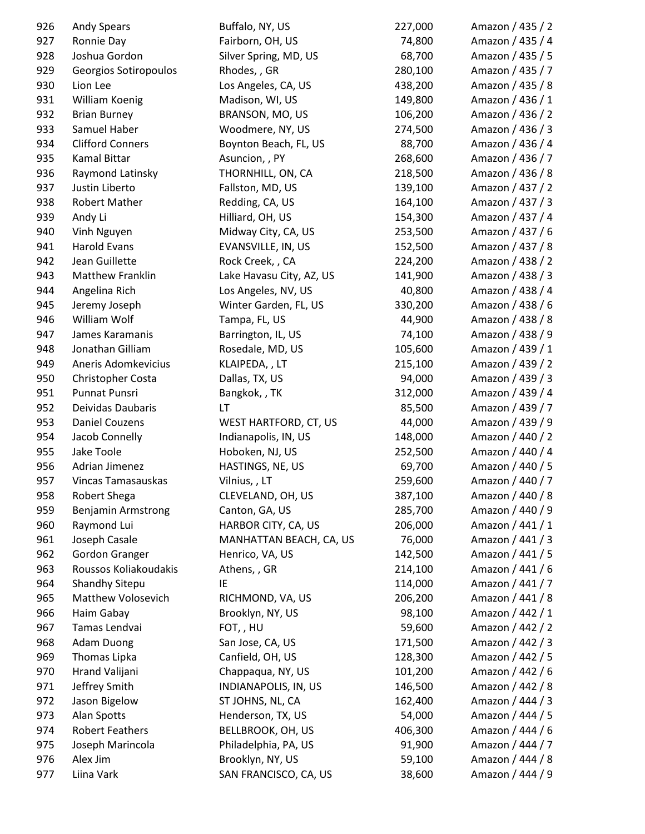| 926 | <b>Andy Spears</b>        | Buffalo, NY, US          | 227,000 | Amazon / 435 / 2 |
|-----|---------------------------|--------------------------|---------|------------------|
| 927 | Ronnie Day                | Fairborn, OH, US         | 74,800  | Amazon / 435 / 4 |
| 928 | Joshua Gordon             | Silver Spring, MD, US    | 68,700  | Amazon / 435 / 5 |
| 929 | Georgios Sotiropoulos     | Rhodes, , GR             | 280,100 | Amazon / 435 / 7 |
| 930 | Lion Lee                  | Los Angeles, CA, US      | 438,200 | Amazon / 435 / 8 |
| 931 | William Koenig            | Madison, WI, US          | 149,800 | Amazon / 436 / 1 |
| 932 | <b>Brian Burney</b>       | BRANSON, MO, US          | 106,200 | Amazon / 436 / 2 |
| 933 | Samuel Haber              | Woodmere, NY, US         | 274,500 | Amazon / 436 / 3 |
| 934 | <b>Clifford Conners</b>   | Boynton Beach, FL, US    | 88,700  | Amazon / 436 / 4 |
| 935 | <b>Kamal Bittar</b>       | Asuncion, , PY           | 268,600 | Amazon / 436 / 7 |
| 936 | Raymond Latinsky          | THORNHILL, ON, CA        | 218,500 | Amazon / 436 / 8 |
| 937 | Justin Liberto            | Fallston, MD, US         | 139,100 | Amazon / 437 / 2 |
| 938 | Robert Mather             | Redding, CA, US          | 164,100 | Amazon / 437 / 3 |
| 939 | Andy Li                   | Hilliard, OH, US         | 154,300 | Amazon / 437 / 4 |
| 940 | Vinh Nguyen               | Midway City, CA, US      | 253,500 | Amazon / 437 / 6 |
| 941 | <b>Harold Evans</b>       | EVANSVILLE, IN, US       | 152,500 | Amazon / 437 / 8 |
| 942 | Jean Guillette            | Rock Creek, , CA         | 224,200 | Amazon / 438 / 2 |
| 943 | Matthew Franklin          | Lake Havasu City, AZ, US | 141,900 | Amazon / 438 / 3 |
| 944 | Angelina Rich             | Los Angeles, NV, US      | 40,800  | Amazon / 438 / 4 |
| 945 | Jeremy Joseph             | Winter Garden, FL, US    | 330,200 | Amazon / 438 / 6 |
| 946 | William Wolf              | Tampa, FL, US            | 44,900  | Amazon / 438 / 8 |
| 947 | James Karamanis           | Barrington, IL, US       | 74,100  | Amazon / 438 / 9 |
| 948 | Jonathan Gilliam          | Rosedale, MD, US         | 105,600 | Amazon / 439 / 1 |
| 949 | Aneris Adomkevicius       | KLAIPEDA, , LT           | 215,100 | Amazon / 439 / 2 |
| 950 | Christopher Costa         | Dallas, TX, US           | 94,000  | Amazon / 439 / 3 |
| 951 | Punnat Punsri             | Bangkok, , TK            | 312,000 | Amazon / 439 / 4 |
| 952 | Deividas Daubaris         | LT                       | 85,500  | Amazon / 439 / 7 |
| 953 | <b>Daniel Couzens</b>     | WEST HARTFORD, CT, US    | 44,000  | Amazon / 439 / 9 |
| 954 | Jacob Connelly            | Indianapolis, IN, US     | 148,000 | Amazon / 440 / 2 |
| 955 | Jake Toole                | Hoboken, NJ, US          | 252,500 | Amazon / 440 / 4 |
| 956 | Adrian Jimenez            | HASTINGS, NE, US         | 69,700  | Amazon / 440 / 5 |
| 957 | <b>Vincas Tamasauskas</b> | Vilnius, , LT            | 259,600 | Amazon / 440 / 7 |
| 958 | Robert Shega              | CLEVELAND, OH, US        | 387,100 | Amazon / 440 / 8 |
| 959 | <b>Benjamin Armstrong</b> | Canton, GA, US           | 285,700 | Amazon / 440 / 9 |
| 960 | Raymond Lui               | HARBOR CITY, CA, US      | 206,000 | Amazon / 441 / 1 |
| 961 | Joseph Casale             | MANHATTAN BEACH, CA, US  | 76,000  | Amazon / 441 / 3 |
| 962 | <b>Gordon Granger</b>     | Henrico, VA, US          | 142,500 | Amazon / 441 / 5 |
| 963 | Roussos Koliakoudakis     | Athens, , GR             | 214,100 | Amazon / 441 / 6 |
| 964 | Shandhy Sitepu            | IE                       | 114,000 | Amazon / 441 / 7 |
| 965 | Matthew Volosevich        | RICHMOND, VA, US         | 206,200 | Amazon / 441 / 8 |
| 966 | Haim Gabay                | Brooklyn, NY, US         | 98,100  | Amazon / 442 / 1 |
| 967 | Tamas Lendvai             | FOT,, HU                 | 59,600  | Amazon / 442 / 2 |
| 968 | <b>Adam Duong</b>         | San Jose, CA, US         | 171,500 | Amazon / 442 / 3 |
| 969 | Thomas Lipka              | Canfield, OH, US         | 128,300 | Amazon / 442 / 5 |
| 970 | Hrand Valijani            | Chappaqua, NY, US        | 101,200 | Amazon / 442 / 6 |
| 971 | Jeffrey Smith             | INDIANAPOLIS, IN, US     | 146,500 | Amazon / 442 / 8 |
| 972 | Jason Bigelow             | ST JOHNS, NL, CA         | 162,400 | Amazon / 444 / 3 |
| 973 | Alan Spotts               | Henderson, TX, US        | 54,000  | Amazon / 444 / 5 |
| 974 | <b>Robert Feathers</b>    | BELLBROOK, OH, US        | 406,300 | Amazon / 444 / 6 |
| 975 | Joseph Marincola          | Philadelphia, PA, US     | 91,900  | Amazon / 444 / 7 |
| 976 | Alex Jim                  | Brooklyn, NY, US         | 59,100  | Amazon / 444 / 8 |
| 977 | Liina Vark                | SAN FRANCISCO, CA, US    | 38,600  | Amazon / 444 / 9 |
|     |                           |                          |         |                  |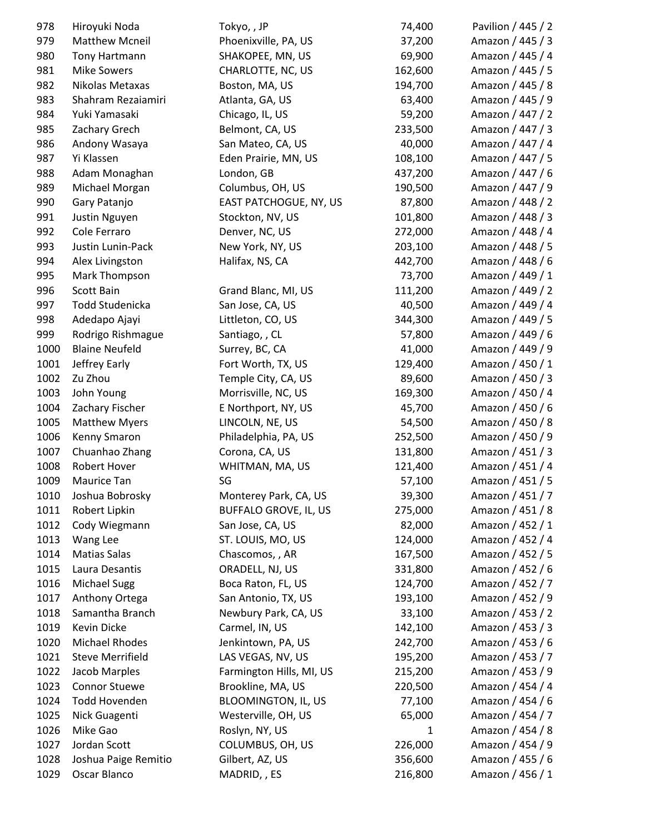| 978  | Hiroyuki Noda           | Tokyo, , JP                  | 74,400  | Pavilion / 445 / 2 |
|------|-------------------------|------------------------------|---------|--------------------|
| 979  | <b>Matthew Mcneil</b>   | Phoenixville, PA, US         | 37,200  | Amazon / 445 / 3   |
| 980  | Tony Hartmann           | SHAKOPEE, MN, US             | 69,900  | Amazon / 445 / 4   |
| 981  | <b>Mike Sowers</b>      | CHARLOTTE, NC, US            | 162,600 | Amazon / 445 / 5   |
| 982  | Nikolas Metaxas         | Boston, MA, US               | 194,700 | Amazon / 445 / 8   |
| 983  | Shahram Rezaiamiri      | Atlanta, GA, US              | 63,400  | Amazon / 445 / 9   |
| 984  | Yuki Yamasaki           | Chicago, IL, US              | 59,200  | Amazon / 447 / 2   |
| 985  | Zachary Grech           | Belmont, CA, US              | 233,500 | Amazon / 447 / 3   |
| 986  | Andony Wasaya           | San Mateo, CA, US            | 40,000  | Amazon / 447 / 4   |
| 987  | Yi Klassen              | Eden Prairie, MN, US         | 108,100 | Amazon / 447 / 5   |
| 988  | Adam Monaghan           | London, GB                   | 437,200 | Amazon / 447 / 6   |
| 989  | Michael Morgan          | Columbus, OH, US             | 190,500 | Amazon / 447 / 9   |
| 990  | Gary Patanjo            | EAST PATCHOGUE, NY, US       | 87,800  | Amazon / 448 / 2   |
| 991  | Justin Nguyen           | Stockton, NV, US             | 101,800 | Amazon / 448 / 3   |
| 992  | Cole Ferraro            | Denver, NC, US               | 272,000 | Amazon / 448 / 4   |
| 993  | Justin Lunin-Pack       | New York, NY, US             | 203,100 | Amazon / 448 / 5   |
| 994  | Alex Livingston         | Halifax, NS, CA              | 442,700 | Amazon / 448 / 6   |
| 995  | Mark Thompson           |                              | 73,700  | Amazon / 449 / 1   |
| 996  | <b>Scott Bain</b>       | Grand Blanc, MI, US          | 111,200 | Amazon / 449 / 2   |
| 997  | Todd Studenicka         | San Jose, CA, US             | 40,500  | Amazon / 449 / 4   |
| 998  | Adedapo Ajayi           | Littleton, CO, US            | 344,300 | Amazon / 449 / 5   |
| 999  | Rodrigo Rishmague       | Santiago, , CL               | 57,800  | Amazon / 449 / 6   |
| 1000 | <b>Blaine Neufeld</b>   | Surrey, BC, CA               | 41,000  | Amazon / 449 / 9   |
| 1001 | Jeffrey Early           | Fort Worth, TX, US           | 129,400 | Amazon / 450 / 1   |
| 1002 | Zu Zhou                 | Temple City, CA, US          | 89,600  | Amazon / 450 / 3   |
| 1003 | John Young              | Morrisville, NC, US          | 169,300 | Amazon / 450 / 4   |
| 1004 | Zachary Fischer         | E Northport, NY, US          | 45,700  | Amazon / 450 / 6   |
| 1005 | <b>Matthew Myers</b>    | LINCOLN, NE, US              | 54,500  | Amazon / 450 / 8   |
| 1006 | Kenny Smaron            | Philadelphia, PA, US         | 252,500 | Amazon / 450 / 9   |
| 1007 | Chuanhao Zhang          | Corona, CA, US               | 131,800 | Amazon / 451 / 3   |
| 1008 | Robert Hover            | WHITMAN, MA, US              | 121,400 | Amazon / 451 / 4   |
| 1009 | Maurice Tan             | SG                           | 57,100  | Amazon / 451 / 5   |
| 1010 | Joshua Bobrosky         | Monterey Park, CA, US        | 39,300  | Amazon / 451 / 7   |
| 1011 | Robert Lipkin           | <b>BUFFALO GROVE, IL, US</b> | 275,000 | Amazon / 451 / 8   |
| 1012 | Cody Wiegmann           | San Jose, CA, US             | 82,000  | Amazon / 452 / 1   |
| 1013 | Wang Lee                | ST. LOUIS, MO, US            | 124,000 | Amazon / 452 / 4   |
| 1014 | <b>Matias Salas</b>     | Chascomos, , AR              | 167,500 | Amazon / 452 / 5   |
| 1015 | Laura Desantis          | ORADELL, NJ, US              | 331,800 | Amazon / 452 / 6   |
| 1016 | <b>Michael Sugg</b>     | Boca Raton, FL, US           | 124,700 | Amazon / 452 / 7   |
| 1017 | Anthony Ortega          | San Antonio, TX, US          | 193,100 | Amazon / 452 / 9   |
| 1018 | Samantha Branch         | Newbury Park, CA, US         | 33,100  | Amazon / 453 / 2   |
| 1019 | Kevin Dicke             | Carmel, IN, US               | 142,100 | Amazon / 453 / 3   |
| 1020 | Michael Rhodes          | Jenkintown, PA, US           | 242,700 | Amazon / 453 / 6   |
| 1021 | <b>Steve Merrifield</b> | LAS VEGAS, NV, US            | 195,200 | Amazon / 453 / 7   |
| 1022 | Jacob Marples           | Farmington Hills, MI, US     | 215,200 | Amazon / 453 / 9   |
| 1023 | <b>Connor Stuewe</b>    | Brookline, MA, US            | 220,500 | Amazon / 454 / 4   |
| 1024 | <b>Todd Hovenden</b>    | <b>BLOOMINGTON, IL, US</b>   | 77,100  | Amazon / 454 / 6   |
| 1025 | Nick Guagenti           | Westerville, OH, US          | 65,000  | Amazon / 454 / 7   |
| 1026 | Mike Gao                | Roslyn, NY, US               | 1       | Amazon / 454 / 8   |
| 1027 | Jordan Scott            | COLUMBUS, OH, US             | 226,000 | Amazon / 454 / 9   |
| 1028 | Joshua Paige Remitio    | Gilbert, AZ, US              | 356,600 | Amazon / 455 / 6   |
| 1029 | Oscar Blanco            | MADRID, , ES                 | 216,800 | Amazon / 456 / 1   |
|      |                         |                              |         |                    |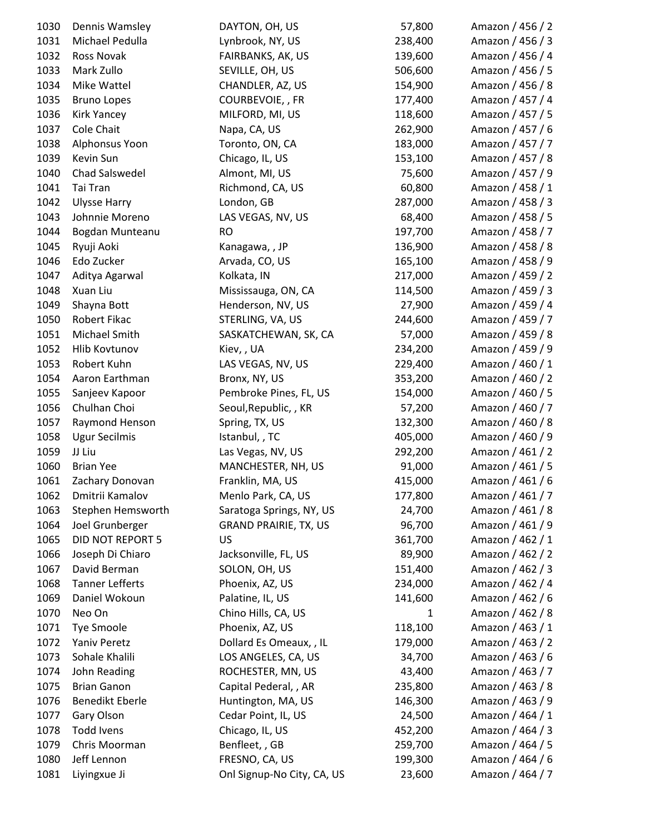| 1030 | Dennis Wamsley          | DAYTON, OH, US               | 57,800       | Amazon / 456 / 2 |
|------|-------------------------|------------------------------|--------------|------------------|
| 1031 | Michael Pedulla         | Lynbrook, NY, US             | 238,400      | Amazon / 456 / 3 |
| 1032 | Ross Novak              | FAIRBANKS, AK, US            | 139,600      | Amazon / 456 / 4 |
| 1033 | Mark Zullo              | SEVILLE, OH, US              | 506,600      | Amazon / 456 / 5 |
| 1034 | Mike Wattel             | CHANDLER, AZ, US             | 154,900      | Amazon / 456 / 8 |
| 1035 | <b>Bruno Lopes</b>      | COURBEVOIE, , FR             | 177,400      | Amazon / 457 / 4 |
| 1036 | <b>Kirk Yancey</b>      | MILFORD, MI, US              | 118,600      | Amazon / 457 / 5 |
| 1037 | Cole Chait              | Napa, CA, US                 | 262,900      | Amazon / 457 / 6 |
| 1038 | Alphonsus Yoon          | Toronto, ON, CA              | 183,000      | Amazon / 457 / 7 |
| 1039 | Kevin Sun               | Chicago, IL, US              | 153,100      | Amazon / 457 / 8 |
| 1040 | Chad Salswedel          | Almont, MI, US               | 75,600       | Amazon / 457 / 9 |
| 1041 | Tai Tran                | Richmond, CA, US             | 60,800       | Amazon / 458 / 1 |
| 1042 | <b>Ulysse Harry</b>     | London, GB                   | 287,000      | Amazon / 458 / 3 |
| 1043 | Johnnie Moreno          | LAS VEGAS, NV, US            | 68,400       | Amazon / 458 / 5 |
| 1044 | Bogdan Munteanu         | <b>RO</b>                    | 197,700      | Amazon / 458 / 7 |
| 1045 | Ryuji Aoki              | Kanagawa, , JP               | 136,900      | Amazon / 458 / 8 |
| 1046 | Edo Zucker              | Arvada, CO, US               | 165,100      | Amazon / 458 / 9 |
| 1047 | Aditya Agarwal          | Kolkata, IN                  | 217,000      | Amazon / 459 / 2 |
| 1048 | Xuan Liu                | Mississauga, ON, CA          | 114,500      | Amazon / 459 / 3 |
| 1049 | Shayna Bott             | Henderson, NV, US            | 27,900       | Amazon / 459 / 4 |
| 1050 | Robert Fikac            | STERLING, VA, US             | 244,600      | Amazon / 459 / 7 |
| 1051 | Michael Smith           | SASKATCHEWAN, SK, CA         | 57,000       | Amazon / 459 / 8 |
| 1052 | Hlib Kovtunov           | Kiev, , UA                   | 234,200      | Amazon / 459 / 9 |
| 1053 | Robert Kuhn             | LAS VEGAS, NV, US            | 229,400      | Amazon / 460 / 1 |
| 1054 | Aaron Earthman          | Bronx, NY, US                | 353,200      | Amazon / 460 / 2 |
| 1055 | Sanjeev Kapoor          | Pembroke Pines, FL, US       | 154,000      | Amazon / 460 / 5 |
| 1056 | Chulhan Choi            | Seoul, Republic, , KR        | 57,200       | Amazon / 460 / 7 |
| 1057 | Raymond Henson          | Spring, TX, US               | 132,300      | Amazon / 460 / 8 |
| 1058 | <b>Ugur Secilmis</b>    | Istanbul, , TC               | 405,000      | Amazon / 460 / 9 |
| 1059 | JJ Liu                  | Las Vegas, NV, US            | 292,200      | Amazon / 461 / 2 |
| 1060 | <b>Brian Yee</b>        | MANCHESTER, NH, US           | 91,000       | Amazon / 461 / 5 |
| 1061 | Zachary Donovan         | Franklin, MA, US             | 415,000      | Amazon / 461 / 6 |
| 1062 | Dmitrii Kamalov         | Menlo Park, CA, US           | 177,800      | Amazon / 461 / 7 |
| 1063 | Stephen Hemsworth       | Saratoga Springs, NY, US     | 24,700       | Amazon / 461 / 8 |
| 1064 | Joel Grunberger         | <b>GRAND PRAIRIE, TX, US</b> | 96,700       | Amazon / 461 / 9 |
| 1065 | <b>DID NOT REPORT 5</b> | <b>US</b>                    | 361,700      | Amazon / 462 / 1 |
| 1066 | Joseph Di Chiaro        | Jacksonville, FL, US         | 89,900       | Amazon / 462 / 2 |
| 1067 | David Berman            | SOLON, OH, US                | 151,400      | Amazon / 462 / 3 |
| 1068 | <b>Tanner Lefferts</b>  | Phoenix, AZ, US              | 234,000      | Amazon / 462 / 4 |
| 1069 | Daniel Wokoun           | Palatine, IL, US             | 141,600      | Amazon / 462 / 6 |
| 1070 | Neo On                  | Chino Hills, CA, US          | $\mathbf{1}$ | Amazon / 462 / 8 |
| 1071 | <b>Tye Smoole</b>       | Phoenix, AZ, US              | 118,100      | Amazon / 463 / 1 |
| 1072 | Yaniv Peretz            | Dollard Es Omeaux, , IL      | 179,000      | Amazon / 463 / 2 |
| 1073 | Sohale Khalili          | LOS ANGELES, CA, US          | 34,700       | Amazon / 463 / 6 |
| 1074 | John Reading            | ROCHESTER, MN, US            | 43,400       | Amazon / 463 / 7 |
| 1075 | <b>Brian Ganon</b>      | Capital Pederal, , AR        | 235,800      | Amazon / 463 / 8 |
| 1076 | <b>Benedikt Eberle</b>  | Huntington, MA, US           | 146,300      | Amazon / 463 / 9 |
| 1077 | Gary Olson              | Cedar Point, IL, US          | 24,500       | Amazon / 464 / 1 |
| 1078 | <b>Todd Ivens</b>       | Chicago, IL, US              | 452,200      | Amazon / 464 / 3 |
| 1079 | Chris Moorman           | Benfleet, , GB               | 259,700      | Amazon / 464 / 5 |
| 1080 | Jeff Lennon             | FRESNO, CA, US               | 199,300      | Amazon / 464 / 6 |
| 1081 | Liyingxue Ji            | Onl Signup-No City, CA, US   | 23,600       | Amazon / 464 / 7 |
|      |                         |                              |              |                  |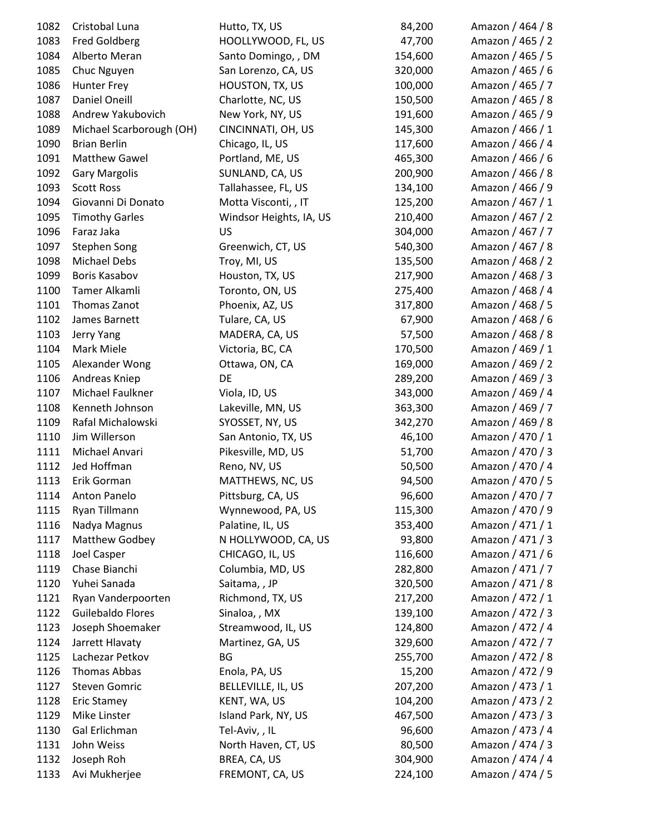| 1082 | Cristobal Luna           | Hutto, TX, US           | 84,200  | Amazon / 464 / 8 |
|------|--------------------------|-------------------------|---------|------------------|
| 1083 | <b>Fred Goldberg</b>     | HOOLLYWOOD, FL, US      | 47,700  | Amazon / 465 / 2 |
| 1084 | Alberto Meran            | Santo Domingo, , DM     | 154,600 | Amazon / 465 / 5 |
| 1085 | Chuc Nguyen              | San Lorenzo, CA, US     | 320,000 | Amazon / 465 / 6 |
| 1086 | Hunter Frey              | HOUSTON, TX, US         | 100,000 | Amazon / 465 / 7 |
| 1087 | Daniel Oneill            | Charlotte, NC, US       | 150,500 | Amazon / 465 / 8 |
| 1088 | Andrew Yakubovich        | New York, NY, US        | 191,600 | Amazon / 465 / 9 |
| 1089 | Michael Scarborough (OH) | CINCINNATI, OH, US      | 145,300 | Amazon / 466 / 1 |
| 1090 | <b>Brian Berlin</b>      | Chicago, IL, US         | 117,600 | Amazon / 466 / 4 |
| 1091 | <b>Matthew Gawel</b>     | Portland, ME, US        | 465,300 | Amazon / 466 / 6 |
| 1092 | <b>Gary Margolis</b>     | SUNLAND, CA, US         | 200,900 | Amazon / 466 / 8 |
| 1093 | <b>Scott Ross</b>        | Tallahassee, FL, US     | 134,100 | Amazon / 466 / 9 |
| 1094 | Giovanni Di Donato       | Motta Visconti, , IT    | 125,200 | Amazon / 467 / 1 |
| 1095 | <b>Timothy Garles</b>    | Windsor Heights, IA, US | 210,400 | Amazon / 467 / 2 |
| 1096 | Faraz Jaka               | US                      | 304,000 | Amazon / 467 / 7 |
| 1097 | <b>Stephen Song</b>      | Greenwich, CT, US       | 540,300 | Amazon / 467 / 8 |
| 1098 | Michael Debs             | Troy, MI, US            | 135,500 | Amazon / 468 / 2 |
| 1099 | Boris Kasabov            | Houston, TX, US         | 217,900 | Amazon / 468 / 3 |
| 1100 | Tamer Alkamli            | Toronto, ON, US         | 275,400 | Amazon / 468 / 4 |
| 1101 | Thomas Zanot             | Phoenix, AZ, US         | 317,800 | Amazon / 468 / 5 |
| 1102 | James Barnett            | Tulare, CA, US          | 67,900  | Amazon / 468 / 6 |
| 1103 | Jerry Yang               | MADERA, CA, US          | 57,500  | Amazon / 468 / 8 |
| 1104 | Mark Miele               | Victoria, BC, CA        | 170,500 | Amazon / 469 / 1 |
| 1105 | Alexander Wong           | Ottawa, ON, CA          | 169,000 | Amazon / 469 / 2 |
| 1106 | Andreas Kniep            | DE                      | 289,200 | Amazon / 469 / 3 |
| 1107 | Michael Faulkner         | Viola, ID, US           | 343,000 | Amazon / 469 / 4 |
| 1108 | Kenneth Johnson          | Lakeville, MN, US       | 363,300 | Amazon / 469 / 7 |
| 1109 | Rafal Michalowski        | SYOSSET, NY, US         | 342,270 | Amazon / 469 / 8 |
| 1110 | Jim Willerson            | San Antonio, TX, US     | 46,100  | Amazon / 470 / 1 |
| 1111 | Michael Anvari           | Pikesville, MD, US      | 51,700  | Amazon / 470 / 3 |
| 1112 | Jed Hoffman              | Reno, NV, US            | 50,500  | Amazon / 470 / 4 |
| 1113 | Erik Gorman              | MATTHEWS, NC, US        | 94,500  | Amazon / 470 / 5 |
| 1114 | Anton Panelo             | Pittsburg, CA, US       | 96,600  | Amazon / 470 / 7 |
| 1115 | Ryan Tillmann            | Wynnewood, PA, US       | 115,300 | Amazon / 470 / 9 |
| 1116 | Nadya Magnus             | Palatine, IL, US        | 353,400 | Amazon / 471 / 1 |
| 1117 | Matthew Godbey           | N HOLLYWOOD, CA, US     | 93,800  | Amazon / 471 / 3 |
| 1118 | Joel Casper              | CHICAGO, IL, US         | 116,600 | Amazon / 471 / 6 |
| 1119 | Chase Bianchi            | Columbia, MD, US        | 282,800 | Amazon / 471 / 7 |
| 1120 | Yuhei Sanada             | Saitama, , JP           | 320,500 | Amazon / 471 / 8 |
| 1121 | Ryan Vanderpoorten       | Richmond, TX, US        | 217,200 | Amazon / 472 / 1 |
| 1122 | Guilebaldo Flores        | Sinaloa, , MX           | 139,100 | Amazon / 472 / 3 |
| 1123 | Joseph Shoemaker         | Streamwood, IL, US      | 124,800 | Amazon / 472 / 4 |
| 1124 | Jarrett Hlavaty          | Martinez, GA, US        | 329,600 | Amazon / 472 / 7 |
| 1125 | Lachezar Petkov          | BG                      | 255,700 | Amazon / 472 / 8 |
| 1126 | Thomas Abbas             | Enola, PA, US           | 15,200  | Amazon / 472 / 9 |
| 1127 | <b>Steven Gomric</b>     | BELLEVILLE, IL, US      | 207,200 | Amazon / 473 / 1 |
| 1128 | <b>Eric Stamey</b>       | KENT, WA, US            | 104,200 | Amazon / 473 / 2 |
| 1129 | Mike Linster             | Island Park, NY, US     | 467,500 | Amazon / 473 / 3 |
| 1130 | Gal Erlichman            | Tel-Aviv,, IL           | 96,600  | Amazon / 473 / 4 |
| 1131 | John Weiss               | North Haven, CT, US     | 80,500  | Amazon / 474 / 3 |
| 1132 | Joseph Roh               | BREA, CA, US            | 304,900 | Amazon / 474 / 4 |
| 1133 | Avi Mukherjee            | FREMONT, CA, US         | 224,100 | Amazon / 474 / 5 |
|      |                          |                         |         |                  |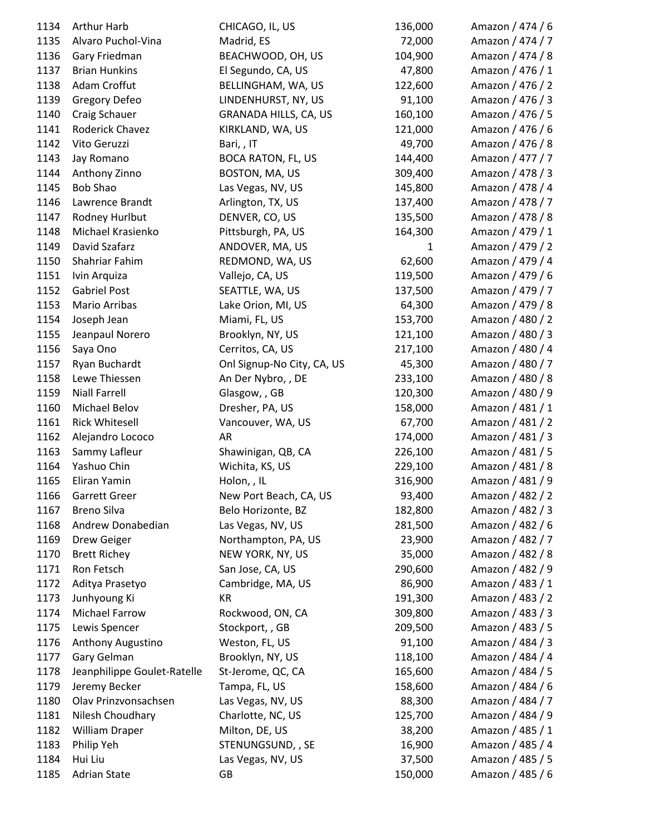| 1134 | Arthur Harb                 | CHICAGO, IL, US            | 136,000      | Amazon / 474 / 6 |
|------|-----------------------------|----------------------------|--------------|------------------|
| 1135 | Alvaro Puchol-Vina          | Madrid, ES                 | 72,000       | Amazon / 474 / 7 |
| 1136 | Gary Friedman               | BEACHWOOD, OH, US          | 104,900      | Amazon / 474 / 8 |
| 1137 | <b>Brian Hunkins</b>        | El Segundo, CA, US         | 47,800       | Amazon / 476 / 1 |
| 1138 | Adam Croffut                | BELLINGHAM, WA, US         | 122,600      | Amazon / 476 / 2 |
| 1139 | Gregory Defeo               | LINDENHURST, NY, US        | 91,100       | Amazon / 476 / 3 |
| 1140 | Craig Schauer               | GRANADA HILLS, CA, US      | 160,100      | Amazon / 476 / 5 |
| 1141 | Roderick Chavez             | KIRKLAND, WA, US           | 121,000      | Amazon / 476 / 6 |
| 1142 | Vito Geruzzi                | Bari, , IT                 | 49,700       | Amazon / 476 / 8 |
| 1143 | Jay Romano                  | <b>BOCA RATON, FL, US</b>  | 144,400      | Amazon / 477 / 7 |
| 1144 | Anthony Zinno               | BOSTON, MA, US             | 309,400      | Amazon / 478 / 3 |
| 1145 | <b>Bob Shao</b>             | Las Vegas, NV, US          | 145,800      | Amazon / 478 / 4 |
| 1146 | Lawrence Brandt             | Arlington, TX, US          | 137,400      | Amazon / 478 / 7 |
| 1147 | Rodney Hurlbut              | DENVER, CO, US             | 135,500      | Amazon / 478 / 8 |
| 1148 | Michael Krasienko           | Pittsburgh, PA, US         | 164,300      | Amazon / 479 / 1 |
| 1149 | David Szafarz               | ANDOVER, MA, US            | $\mathbf{1}$ | Amazon / 479 / 2 |
| 1150 | Shahriar Fahim              | REDMOND, WA, US            | 62,600       | Amazon / 479 / 4 |
| 1151 | Ivin Arquiza                | Vallejo, CA, US            | 119,500      | Amazon / 479 / 6 |
| 1152 | <b>Gabriel Post</b>         | SEATTLE, WA, US            | 137,500      | Amazon / 479 / 7 |
| 1153 | Mario Arribas               | Lake Orion, MI, US         | 64,300       | Amazon / 479 / 8 |
| 1154 | Joseph Jean                 | Miami, FL, US              | 153,700      | Amazon / 480 / 2 |
| 1155 | Jeanpaul Norero             | Brooklyn, NY, US           | 121,100      | Amazon / 480 / 3 |
| 1156 | Saya Ono                    | Cerritos, CA, US           | 217,100      | Amazon / 480 / 4 |
| 1157 | Ryan Buchardt               | Onl Signup-No City, CA, US | 45,300       | Amazon / 480 / 7 |
| 1158 | Lewe Thiessen               | An Der Nybro, , DE         | 233,100      | Amazon / 480 / 8 |
| 1159 | <b>Niall Farrell</b>        | Glasgow, , GB              | 120,300      | Amazon / 480 / 9 |
| 1160 | Michael Belov               | Dresher, PA, US            | 158,000      | Amazon / 481 / 1 |
| 1161 | <b>Rick Whitesell</b>       | Vancouver, WA, US          | 67,700       | Amazon / 481 / 2 |
| 1162 | Alejandro Lococo            | AR                         | 174,000      | Amazon / 481 / 3 |
| 1163 | Sammy Lafleur               | Shawinigan, QB, CA         | 226,100      | Amazon / 481 / 5 |
| 1164 | Yashuo Chin                 | Wichita, KS, US            | 229,100      | Amazon / 481 / 8 |
| 1165 | Eliran Yamin                | Holon, , IL                | 316,900      | Amazon / 481 / 9 |
| 1166 | Garrett Greer               | New Port Beach, CA, US     | 93,400       | Amazon / 482 / 2 |
| 1167 | <b>Breno Silva</b>          | Belo Horizonte, BZ         | 182,800      | Amazon / 482 / 3 |
| 1168 | Andrew Donabedian           | Las Vegas, NV, US          | 281,500      | Amazon / 482 / 6 |
| 1169 | Drew Geiger                 | Northampton, PA, US        | 23,900       | Amazon / 482 / 7 |
| 1170 | <b>Brett Richey</b>         | NEW YORK, NY, US           | 35,000       | Amazon / 482 / 8 |
| 1171 | Ron Fetsch                  | San Jose, CA, US           | 290,600      | Amazon / 482 / 9 |
| 1172 | Aditya Prasetyo             | Cambridge, MA, US          | 86,900       | Amazon / 483 / 1 |
| 1173 | Junhyoung Ki                | KR                         | 191,300      | Amazon / 483 / 2 |
| 1174 | Michael Farrow              | Rockwood, ON, CA           | 309,800      | Amazon / 483 / 3 |
| 1175 | Lewis Spencer               | Stockport, , GB            | 209,500      | Amazon / 483 / 5 |
| 1176 | Anthony Augustino           | Weston, FL, US             | 91,100       | Amazon / 484 / 3 |
| 1177 | Gary Gelman                 | Brooklyn, NY, US           | 118,100      | Amazon / 484 / 4 |
| 1178 | Jeanphilippe Goulet-Ratelle | St-Jerome, QC, CA          | 165,600      | Amazon / 484 / 5 |
| 1179 | Jeremy Becker               | Tampa, FL, US              | 158,600      | Amazon / 484 / 6 |
| 1180 | Olav Prinzvonsachsen        | Las Vegas, NV, US          | 88,300       | Amazon / 484 / 7 |
| 1181 | Nilesh Choudhary            | Charlotte, NC, US          | 125,700      | Amazon / 484 / 9 |
| 1182 | <b>William Draper</b>       | Milton, DE, US             | 38,200       | Amazon / 485 / 1 |
| 1183 | Philip Yeh                  | STENUNGSUND, , SE          | 16,900       | Amazon / 485 / 4 |
| 1184 | Hui Liu                     | Las Vegas, NV, US          | 37,500       | Amazon / 485 / 5 |
| 1185 | <b>Adrian State</b>         | GB                         | 150,000      | Amazon / 485 / 6 |
|      |                             |                            |              |                  |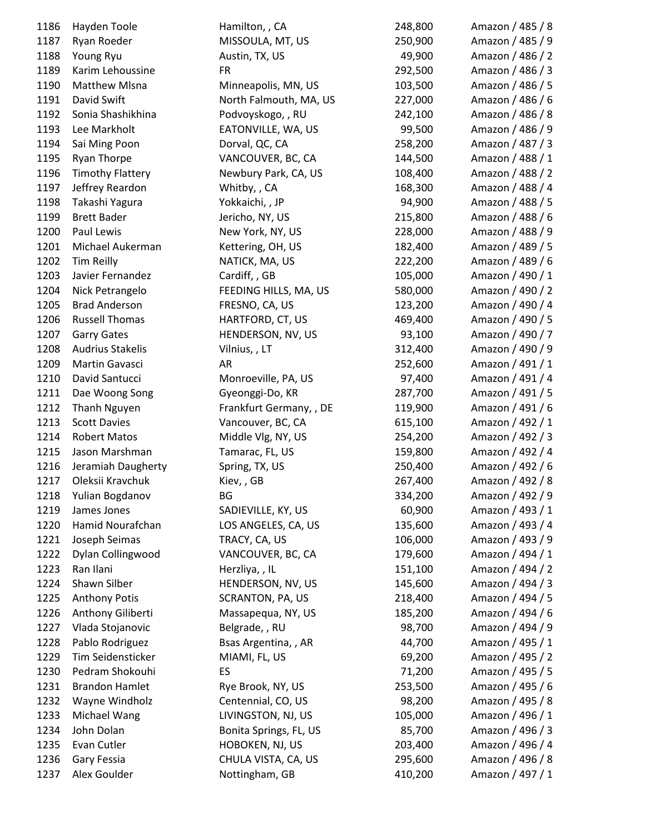| 1186 | Hayden Toole            | Hamilton, , CA          | 248,800 | Amazon / 485 / 8 |
|------|-------------------------|-------------------------|---------|------------------|
| 1187 | Ryan Roeder             | MISSOULA, MT, US        | 250,900 | Amazon / 485 / 9 |
| 1188 | Young Ryu               | Austin, TX, US          | 49,900  | Amazon / 486 / 2 |
| 1189 | Karim Lehoussine        | <b>FR</b>               | 292,500 | Amazon / 486 / 3 |
| 1190 | <b>Matthew Misna</b>    | Minneapolis, MN, US     | 103,500 | Amazon / 486 / 5 |
| 1191 | David Swift             | North Falmouth, MA, US  | 227,000 | Amazon / 486 / 6 |
| 1192 | Sonia Shashikhina       | Podvoyskogo, , RU       | 242,100 | Amazon / 486 / 8 |
| 1193 | Lee Markholt            | EATONVILLE, WA, US      | 99,500  | Amazon / 486 / 9 |
| 1194 | Sai Ming Poon           | Dorval, QC, CA          | 258,200 | Amazon / 487 / 3 |
| 1195 | Ryan Thorpe             | VANCOUVER, BC, CA       | 144,500 | Amazon / 488 / 1 |
| 1196 | <b>Timothy Flattery</b> | Newbury Park, CA, US    | 108,400 | Amazon / 488 / 2 |
| 1197 | Jeffrey Reardon         | Whitby, , CA            | 168,300 | Amazon / 488 / 4 |
| 1198 | Takashi Yagura          | Yokkaichi, , JP         | 94,900  | Amazon / 488 / 5 |
| 1199 | <b>Brett Bader</b>      | Jericho, NY, US         | 215,800 | Amazon / 488 / 6 |
| 1200 | Paul Lewis              | New York, NY, US        | 228,000 | Amazon / 488 / 9 |
| 1201 | Michael Aukerman        | Kettering, OH, US       | 182,400 | Amazon / 489 / 5 |
| 1202 | <b>Tim Reilly</b>       | NATICK, MA, US          | 222,200 | Amazon / 489 / 6 |
| 1203 | Javier Fernandez        | Cardiff, , GB           | 105,000 | Amazon / 490 / 1 |
| 1204 | Nick Petrangelo         | FEEDING HILLS, MA, US   | 580,000 | Amazon / 490 / 2 |
| 1205 | <b>Brad Anderson</b>    | FRESNO, CA, US          | 123,200 | Amazon / 490 / 4 |
| 1206 | <b>Russell Thomas</b>   | HARTFORD, CT, US        | 469,400 | Amazon / 490 / 5 |
| 1207 | <b>Garry Gates</b>      | HENDERSON, NV, US       | 93,100  | Amazon / 490 / 7 |
| 1208 | <b>Audrius Stakelis</b> | Vilnius, , LT           | 312,400 | Amazon / 490 / 9 |
| 1209 | Martin Gavasci          | AR                      | 252,600 | Amazon / 491 / 1 |
| 1210 | David Santucci          | Monroeville, PA, US     | 97,400  | Amazon / 491 / 4 |
| 1211 | Dae Woong Song          | Gyeonggi-Do, KR         | 287,700 | Amazon / 491 / 5 |
| 1212 | Thanh Nguyen            | Frankfurt Germany, , DE | 119,900 | Amazon / 491 / 6 |
| 1213 | <b>Scott Davies</b>     | Vancouver, BC, CA       | 615,100 | Amazon / 492 / 1 |
| 1214 | <b>Robert Matos</b>     | Middle Vlg, NY, US      | 254,200 | Amazon / 492 / 3 |
| 1215 | Jason Marshman          | Tamarac, FL, US         | 159,800 | Amazon / 492 / 4 |
| 1216 | Jeramiah Daugherty      | Spring, TX, US          | 250,400 | Amazon / 492 / 6 |
| 1217 | Oleksii Kravchuk        | Kiev,, GB               | 267,400 | Amazon / 492 / 8 |
| 1218 | Yulian Bogdanov         | BG                      | 334,200 | Amazon / 492 / 9 |
| 1219 | James Jones             | SADIEVILLE, KY, US      | 60,900  | Amazon / 493 / 1 |
| 1220 | Hamid Nourafchan        | LOS ANGELES, CA, US     | 135,600 | Amazon / 493 / 4 |
| 1221 | Joseph Seimas           | TRACY, CA, US           | 106,000 | Amazon / 493 / 9 |
| 1222 | Dylan Collingwood       | VANCOUVER, BC, CA       | 179,600 | Amazon / 494 / 1 |
| 1223 | Ran Ilani               | Herzliya, , IL          | 151,100 | Amazon / 494 / 2 |
| 1224 | Shawn Silber            | HENDERSON, NV, US       | 145,600 | Amazon / 494 / 3 |
| 1225 | <b>Anthony Potis</b>    | <b>SCRANTON, PA, US</b> | 218,400 | Amazon / 494 / 5 |
| 1226 | Anthony Giliberti       | Massapequa, NY, US      | 185,200 | Amazon / 494 / 6 |
| 1227 | Vlada Stojanovic        | Belgrade, , RU          | 98,700  | Amazon / 494 / 9 |
| 1228 | Pablo Rodriguez         | Bsas Argentina, , AR    | 44,700  | Amazon / 495 / 1 |
| 1229 | Tim Seidensticker       | MIAMI, FL, US           | 69,200  | Amazon / 495 / 2 |
| 1230 | Pedram Shokouhi         | ES                      | 71,200  | Amazon / 495 / 5 |
| 1231 | <b>Brandon Hamlet</b>   | Rye Brook, NY, US       | 253,500 | Amazon / 495 / 6 |
| 1232 | Wayne Windholz          | Centennial, CO, US      | 98,200  | Amazon / 495 / 8 |
| 1233 | Michael Wang            | LIVINGSTON, NJ, US      | 105,000 | Amazon / 496 / 1 |
| 1234 | John Dolan              | Bonita Springs, FL, US  | 85,700  | Amazon / 496 / 3 |
| 1235 | Evan Cutler             | HOBOKEN, NJ, US         | 203,400 | Amazon / 496 / 4 |
| 1236 | Gary Fessia             | CHULA VISTA, CA, US     | 295,600 | Amazon / 496 / 8 |
| 1237 | Alex Goulder            | Nottingham, GB          | 410,200 | Amazon / 497 / 1 |
|      |                         |                         |         |                  |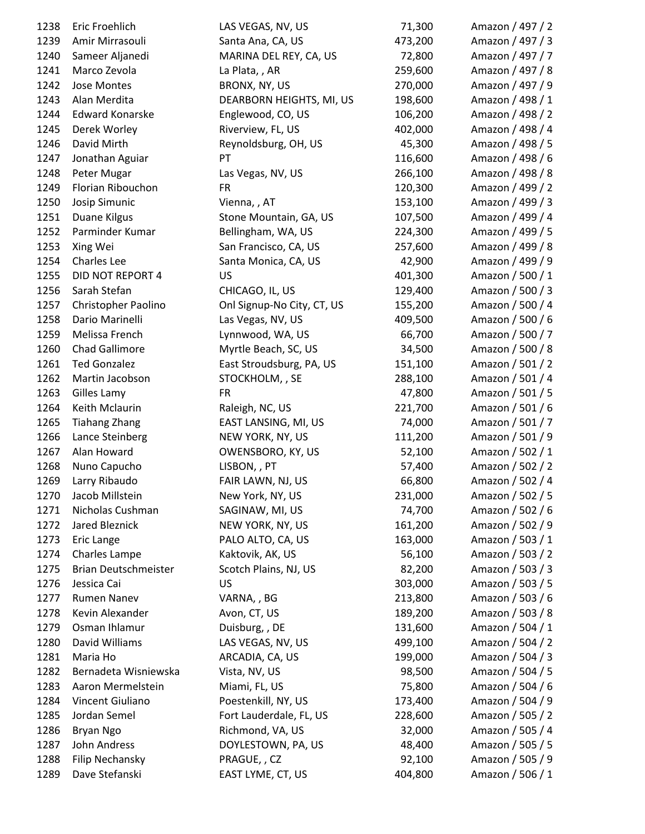| 1238 | Eric Froehlich              | LAS VEGAS, NV, US          | 71,300  | Amazon / 497 / 2 |
|------|-----------------------------|----------------------------|---------|------------------|
| 1239 | Amir Mirrasouli             | Santa Ana, CA, US          | 473,200 | Amazon / 497 / 3 |
| 1240 | Sameer Aljanedi             | MARINA DEL REY, CA, US     | 72,800  | Amazon / 497 / 7 |
| 1241 | Marco Zevola                | La Plata, , AR             | 259,600 | Amazon / 497 / 8 |
| 1242 | Jose Montes                 | BRONX, NY, US              | 270,000 | Amazon / 497 / 9 |
| 1243 | Alan Merdita                | DEARBORN HEIGHTS, MI, US   | 198,600 | Amazon / 498 / 1 |
| 1244 | <b>Edward Konarske</b>      | Englewood, CO, US          | 106,200 | Amazon / 498 / 2 |
| 1245 | Derek Worley                | Riverview, FL, US          | 402,000 | Amazon / 498 / 4 |
| 1246 | David Mirth                 | Reynoldsburg, OH, US       | 45,300  | Amazon / 498 / 5 |
| 1247 | Jonathan Aguiar             | PT                         | 116,600 | Amazon / 498 / 6 |
| 1248 | Peter Mugar                 | Las Vegas, NV, US          | 266,100 | Amazon / 498 / 8 |
| 1249 | Florian Ribouchon           | <b>FR</b>                  | 120,300 | Amazon / 499 / 2 |
| 1250 | Josip Simunic               | Vienna, , AT               | 153,100 | Amazon / 499 / 3 |
| 1251 | Duane Kilgus                | Stone Mountain, GA, US     | 107,500 | Amazon / 499 / 4 |
| 1252 | Parminder Kumar             | Bellingham, WA, US         | 224,300 | Amazon / 499 / 5 |
| 1253 | Xing Wei                    | San Francisco, CA, US      | 257,600 | Amazon / 499 / 8 |
| 1254 | Charles Lee                 | Santa Monica, CA, US       | 42,900  | Amazon / 499 / 9 |
| 1255 | DID NOT REPORT 4            | US                         | 401,300 | Amazon / 500 / 1 |
| 1256 | Sarah Stefan                | CHICAGO, IL, US            | 129,400 | Amazon / 500 / 3 |
| 1257 | Christopher Paolino         | Onl Signup-No City, CT, US | 155,200 | Amazon / 500 / 4 |
| 1258 | Dario Marinelli             | Las Vegas, NV, US          | 409,500 | Amazon / 500 / 6 |
| 1259 | Melissa French              | Lynnwood, WA, US           | 66,700  | Amazon / 500 / 7 |
| 1260 | Chad Gallimore              | Myrtle Beach, SC, US       | 34,500  | Amazon / 500 / 8 |
| 1261 | <b>Ted Gonzalez</b>         | East Stroudsburg, PA, US   | 151,100 | Amazon / 501 / 2 |
| 1262 | Martin Jacobson             | STOCKHOLM, , SE            | 288,100 | Amazon / 501 / 4 |
| 1263 | Gilles Lamy                 | <b>FR</b>                  | 47,800  | Amazon / 501 / 5 |
| 1264 | Keith Mclaurin              | Raleigh, NC, US            | 221,700 | Amazon / 501 / 6 |
| 1265 | <b>Tiahang Zhang</b>        | EAST LANSING, MI, US       | 74,000  | Amazon / 501 / 7 |
| 1266 | Lance Steinberg             | NEW YORK, NY, US           | 111,200 | Amazon / 501 / 9 |
| 1267 | Alan Howard                 | OWENSBORO, KY, US          | 52,100  | Amazon / 502 / 1 |
| 1268 | Nuno Capucho                | LISBON, , PT               | 57,400  | Amazon / 502 / 2 |
| 1269 | Larry Ribaudo               | FAIR LAWN, NJ, US          | 66,800  | Amazon / 502 / 4 |
| 1270 | Jacob Millstein             | New York, NY, US           | 231,000 | Amazon / 502 / 5 |
| 1271 | Nicholas Cushman            | SAGINAW, MI, US            | 74,700  | Amazon / 502 / 6 |
| 1272 | Jared Bleznick              | NEW YORK, NY, US           | 161,200 | Amazon / 502 / 9 |
| 1273 | Eric Lange                  | PALO ALTO, CA, US          | 163,000 | Amazon / 503 / 1 |
| 1274 | Charles Lampe               | Kaktovik, AK, US           | 56,100  | Amazon / 503 / 2 |
| 1275 | <b>Brian Deutschmeister</b> | Scotch Plains, NJ, US      | 82,200  | Amazon / 503 / 3 |
| 1276 | Jessica Cai                 | US                         | 303,000 | Amazon / 503 / 5 |
| 1277 | Rumen Nanev                 | VARNA, , BG                | 213,800 | Amazon / 503 / 6 |
| 1278 | Kevin Alexander             | Avon, CT, US               | 189,200 | Amazon / 503 / 8 |
| 1279 | Osman Ihlamur               | Duisburg, , DE             | 131,600 | Amazon / 504 / 1 |
| 1280 | David Williams              | LAS VEGAS, NV, US          | 499,100 | Amazon / 504 / 2 |
| 1281 | Maria Ho                    | ARCADIA, CA, US            | 199,000 | Amazon / 504 / 3 |
| 1282 | Bernadeta Wisniewska        | Vista, NV, US              | 98,500  | Amazon / 504 / 5 |
| 1283 | Aaron Mermelstein           | Miami, FL, US              | 75,800  | Amazon / 504 / 6 |
| 1284 | Vincent Giuliano            | Poestenkill, NY, US        | 173,400 | Amazon / 504 / 9 |
| 1285 | Jordan Semel                | Fort Lauderdale, FL, US    | 228,600 | Amazon / 505 / 2 |
| 1286 | <b>Bryan Ngo</b>            | Richmond, VA, US           | 32,000  | Amazon / 505 / 4 |
| 1287 | John Andress                | DOYLESTOWN, PA, US         | 48,400  | Amazon / 505 / 5 |
| 1288 | Filip Nechansky             | PRAGUE, , CZ               | 92,100  | Amazon / 505 / 9 |
| 1289 | Dave Stefanski              | EAST LYME, CT, US          | 404,800 | Amazon / 506 / 1 |
|      |                             |                            |         |                  |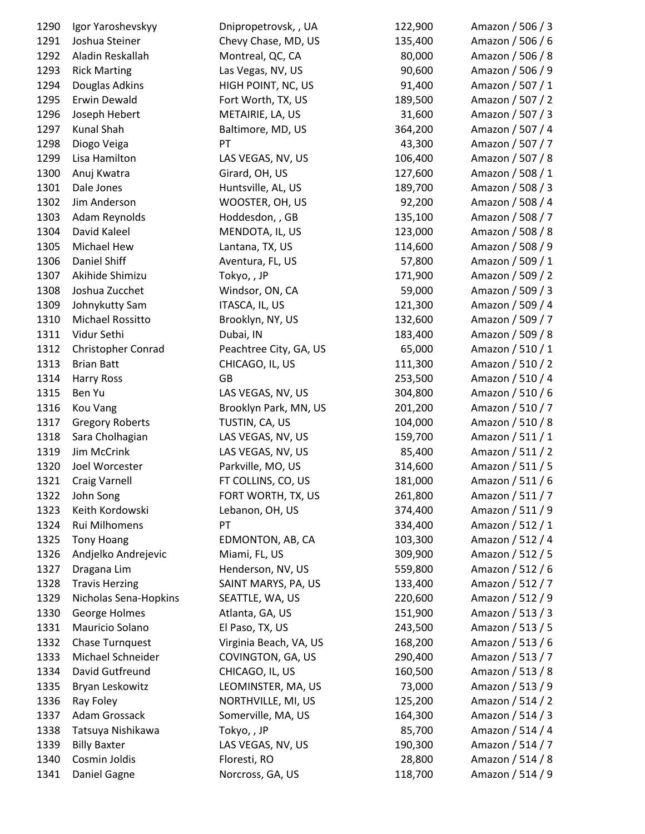| 1290 | Igor Yaroshevskyy      | Dnipropetrovsk, , UA   | 122,900 | Amazon / 506 / 3 |
|------|------------------------|------------------------|---------|------------------|
| 1291 | Joshua Steiner         | Chevy Chase, MD, US    | 135,400 | Amazon / 506 / 6 |
| 1292 | Aladin Reskallah       | Montreal, QC, CA       | 80,000  | Amazon / 506 / 8 |
| 1293 | <b>Rick Marting</b>    | Las Vegas, NV, US      | 90,600  | Amazon / 506 / 9 |
| 1294 | Douglas Adkins         | HIGH POINT, NC, US     | 91,400  | Amazon / 507 / 1 |
| 1295 | Erwin Dewald           | Fort Worth, TX, US     | 189,500 | Amazon / 507 / 2 |
| 1296 | Joseph Hebert          | METAIRIE, LA, US       | 31,600  | Amazon / 507 / 3 |
| 1297 | Kunal Shah             | Baltimore, MD, US      | 364,200 | Amazon / 507 / 4 |
| 1298 | Diogo Veiga            | PT                     | 43,300  | Amazon / 507 / 7 |
| 1299 | Lisa Hamilton          | LAS VEGAS, NV, US      | 106,400 | Amazon / 507 / 8 |
| 1300 | Anuj Kwatra            | Girard, OH, US         | 127,600 | Amazon / 508 / 1 |
| 1301 | Dale Jones             | Huntsville, AL, US     | 189,700 | Amazon / 508 / 3 |
| 1302 | Jim Anderson           | WOOSTER, OH, US        | 92,200  | Amazon / 508 / 4 |
| 1303 | Adam Reynolds          | Hoddesdon, , GB        | 135,100 | Amazon / 508 / 7 |
| 1304 | David Kaleel           | MENDOTA, IL, US        | 123,000 | Amazon / 508 / 8 |
| 1305 | Michael Hew            | Lantana, TX, US        | 114,600 | Amazon / 508 / 9 |
| 1306 | Daniel Shiff           | Aventura, FL, US       | 57,800  | Amazon / 509 / 1 |
| 1307 | Akihide Shimizu        | Tokyo,, JP             | 171,900 | Amazon / 509 / 2 |
| 1308 | Joshua Zucchet         | Windsor, ON, CA        | 59,000  | Amazon / 509 / 3 |
| 1309 | Johnykutty Sam         | ITASCA, IL, US         | 121,300 | Amazon / 509 / 4 |
| 1310 | Michael Rossitto       | Brooklyn, NY, US       | 132,600 | Amazon / 509 / 7 |
| 1311 | Vidur Sethi            | Dubai, IN              | 183,400 | Amazon / 509 / 8 |
| 1312 | Christopher Conrad     | Peachtree City, GA, US | 65,000  | Amazon / 510 / 1 |
| 1313 | <b>Brian Batt</b>      | CHICAGO, IL, US        | 111,300 | Amazon / 510 / 2 |
| 1314 | <b>Harry Ross</b>      | <b>GB</b>              | 253,500 | Amazon / 510 / 4 |
| 1315 | Ben Yu                 | LAS VEGAS, NV, US      | 304,800 | Amazon / 510 / 6 |
| 1316 | Kou Vang               | Brooklyn Park, MN, US  | 201,200 | Amazon / 510 / 7 |
| 1317 | <b>Gregory Roberts</b> | TUSTIN, CA, US         | 104,000 | Amazon / 510 / 8 |
| 1318 | Sara Cholhagian        | LAS VEGAS, NV, US      | 159,700 | Amazon / 511 / 1 |
| 1319 | Jim McCrink            | LAS VEGAS, NV, US      | 85,400  | Amazon / 511 / 2 |
| 1320 | Joel Worcester         | Parkville, MO, US      | 314,600 | Amazon / 511 / 5 |
| 1321 | <b>Craig Varnell</b>   | FT COLLINS, CO, US     | 181,000 | Amazon / 511 / 6 |
| 1322 | John Song              | FORT WORTH, TX, US     | 261,800 | Amazon / 511 / 7 |
| 1323 | Keith Kordowski        | Lebanon, OH, US        | 374,400 | Amazon / 511 / 9 |
| 1324 | Rui Milhomens          | PT                     | 334,400 | Amazon / 512 / 1 |
| 1325 | <b>Tony Hoang</b>      | EDMONTON, AB, CA       | 103,300 | Amazon / 512 / 4 |
| 1326 | Andjelko Andrejevic    | Miami, FL, US          | 309,900 | Amazon / 512 / 5 |
| 1327 | Dragana Lim            | Henderson, NV, US      | 559,800 | Amazon / 512 / 6 |
| 1328 | <b>Travis Herzing</b>  | SAINT MARYS, PA, US    | 133,400 | Amazon / 512 / 7 |
| 1329 | Nicholas Sena-Hopkins  | SEATTLE, WA, US        | 220,600 | Amazon / 512 / 9 |
| 1330 | George Holmes          | Atlanta, GA, US        | 151,900 | Amazon / 513 / 3 |
| 1331 | Mauricio Solano        | El Paso, TX, US        | 243,500 | Amazon / 513 / 5 |
| 1332 | Chase Turnquest        | Virginia Beach, VA, US | 168,200 | Amazon / 513 / 6 |
| 1333 | Michael Schneider      | COVINGTON, GA, US      | 290,400 | Amazon / 513 / 7 |
| 1334 | David Gutfreund        | CHICAGO, IL, US        | 160,500 | Amazon / 513 / 8 |
| 1335 | Bryan Leskowitz        | LEOMINSTER, MA, US     | 73,000  | Amazon / 513 / 9 |
| 1336 | Ray Foley              | NORTHVILLE, MI, US     | 125,200 | Amazon / 514 / 2 |
| 1337 | Adam Grossack          | Somerville, MA, US     | 164,300 | Amazon / 514 / 3 |
| 1338 | Tatsuya Nishikawa      | Tokyo,, JP             | 85,700  | Amazon / 514 / 4 |
| 1339 | <b>Billy Baxter</b>    | LAS VEGAS, NV, US      | 190,300 | Amazon / 514 / 7 |
| 1340 | Cosmin Joldis          | Floresti, RO           | 28,800  | Amazon / 514 / 8 |
| 1341 | Daniel Gagne           | Norcross, GA, US       | 118,700 | Amazon / 514 / 9 |
|      |                        |                        |         |                  |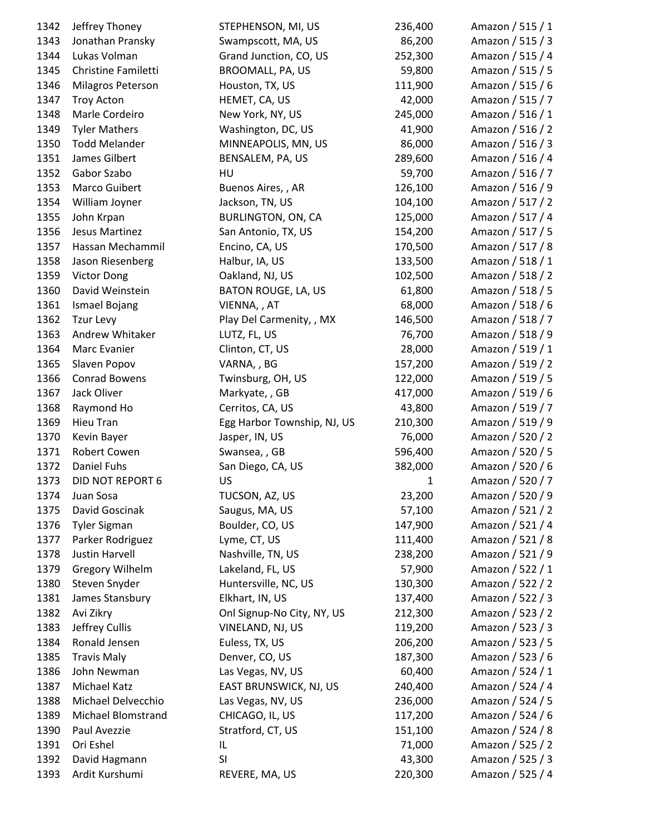| 1342 | Jeffrey Thoney            | STEPHENSON, MI, US                   | 236,400      | Amazon / 515 / 1 |
|------|---------------------------|--------------------------------------|--------------|------------------|
| 1343 | Jonathan Pransky          | Swampscott, MA, US                   | 86,200       | Amazon / 515 / 3 |
| 1344 | Lukas Volman              | Grand Junction, CO, US               | 252,300      | Amazon / 515 / 4 |
| 1345 | Christine Familetti       | BROOMALL, PA, US                     | 59,800       | Amazon / 515 / 5 |
| 1346 | Milagros Peterson         | Houston, TX, US                      | 111,900      | Amazon / 515 / 6 |
| 1347 | <b>Troy Acton</b>         | HEMET, CA, US                        | 42,000       | Amazon / 515 / 7 |
| 1348 | Marle Cordeiro            | New York, NY, US                     | 245,000      | Amazon / 516 / 1 |
| 1349 | <b>Tyler Mathers</b>      | Washington, DC, US                   | 41,900       | Amazon / 516 / 2 |
| 1350 | <b>Todd Melander</b>      | MINNEAPOLIS, MN, US                  | 86,000       | Amazon / 516 / 3 |
| 1351 | James Gilbert             | BENSALEM, PA, US                     | 289,600      | Amazon / 516 / 4 |
| 1352 | Gabor Szabo               | HU                                   | 59,700       | Amazon / 516 / 7 |
| 1353 | Marco Guibert             | Buenos Aires, , AR                   | 126,100      | Amazon / 516 / 9 |
| 1354 | William Joyner            | Jackson, TN, US                      | 104,100      | Amazon / 517 / 2 |
| 1355 | John Krpan                | BURLINGTON, ON, CA                   | 125,000      | Amazon / 517 / 4 |
| 1356 | Jesus Martinez            | San Antonio, TX, US                  | 154,200      | Amazon / 517 / 5 |
| 1357 | Hassan Mechammil          | Encino, CA, US                       | 170,500      | Amazon / 517 / 8 |
| 1358 | Jason Riesenberg          | Halbur, IA, US                       | 133,500      | Amazon / 518 / 1 |
| 1359 | <b>Victor Dong</b>        | Oakland, NJ, US                      | 102,500      | Amazon / 518 / 2 |
| 1360 | David Weinstein           | BATON ROUGE, LA, US                  | 61,800       | Amazon / 518 / 5 |
| 1361 | Ismael Bojang             | VIENNA, , AT                         | 68,000       | Amazon / 518 / 6 |
| 1362 | <b>Tzur Levy</b>          | Play Del Carmenity, , MX             | 146,500      | Amazon / 518 / 7 |
| 1363 | Andrew Whitaker           | LUTZ, FL, US                         | 76,700       | Amazon / 518 / 9 |
| 1364 | Marc Evanier              | Clinton, CT, US                      | 28,000       | Amazon / 519 / 1 |
| 1365 | Slaven Popov              | VARNA, , BG                          | 157,200      | Amazon / 519 / 2 |
| 1366 | Conrad Bowens             | Twinsburg, OH, US                    | 122,000      | Amazon / 519 / 5 |
| 1367 | Jack Oliver               | Markyate, , GB                       | 417,000      | Amazon / 519 / 6 |
| 1368 | Raymond Ho                | Cerritos, CA, US                     | 43,800       | Amazon / 519 / 7 |
| 1369 | Hieu Tran                 | Egg Harbor Township, NJ, US          | 210,300      | Amazon / 519 / 9 |
| 1370 | Kevin Bayer               | Jasper, IN, US                       | 76,000       | Amazon / 520 / 2 |
| 1371 | Robert Cowen              | Swansea, , GB                        | 596,400      | Amazon / 520 / 5 |
| 1372 | Daniel Fuhs               | San Diego, CA, US                    | 382,000      | Amazon / 520 / 6 |
| 1373 | DID NOT REPORT 6          | US                                   | $\mathbf{1}$ | Amazon / 520 / 7 |
| 1374 | Juan Sosa                 | TUCSON, AZ, US                       | 23,200       | Amazon / 520 / 9 |
| 1375 | David Goscinak            | Saugus, MA, US                       | 57,100       | Amazon / 521 / 2 |
| 1376 | <b>Tyler Sigman</b>       | Boulder, CO, US                      | 147,900      | Amazon / 521 / 4 |
| 1377 | Parker Rodriguez          | Lyme, CT, US                         | 111,400      | Amazon / 521 / 8 |
| 1378 | Justin Harvell            | Nashville, TN, US                    | 238,200      | Amazon / 521 / 9 |
| 1379 | <b>Gregory Wilhelm</b>    | Lakeland, FL, US                     | 57,900       | Amazon / 522 / 1 |
| 1380 | Steven Snyder             | Huntersville, NC, US                 | 130,300      | Amazon / 522 / 2 |
| 1381 | James Stansbury           | Elkhart, IN, US                      | 137,400      | Amazon / 522 / 3 |
| 1382 | Avi Zikry                 | Onl Signup-No City, NY, US           | 212,300      | Amazon / 523 / 2 |
| 1383 | Jeffrey Cullis            | VINELAND, NJ, US                     | 119,200      | Amazon / 523 / 3 |
| 1384 | Ronald Jensen             | Euless, TX, US                       | 206,200      | Amazon / 523 / 5 |
| 1385 | <b>Travis Maly</b>        | Denver, CO, US                       | 187,300      | Amazon / 523 / 6 |
| 1386 | John Newman               | Las Vegas, NV, US                    | 60,400       | Amazon / 524 / 1 |
| 1387 | Michael Katz              | EAST BRUNSWICK, NJ, US               | 240,400      | Amazon / 524 / 4 |
| 1388 | Michael Delvecchio        |                                      | 236,000      | Amazon / 524 / 5 |
| 1389 | <b>Michael Blomstrand</b> | Las Vegas, NV, US<br>CHICAGO, IL, US | 117,200      | Amazon / 524 / 6 |
| 1390 | Paul Avezzie              | Stratford, CT, US                    | 151,100      | Amazon / 524 / 8 |
| 1391 | Ori Eshel                 | IL                                   | 71,000       | Amazon / 525 / 2 |
| 1392 | David Hagmann             | SI                                   | 43,300       | Amazon / 525 / 3 |
| 1393 | Ardit Kurshumi            | REVERE, MA, US                       | 220,300      | Amazon / 525 / 4 |
|      |                           |                                      |              |                  |